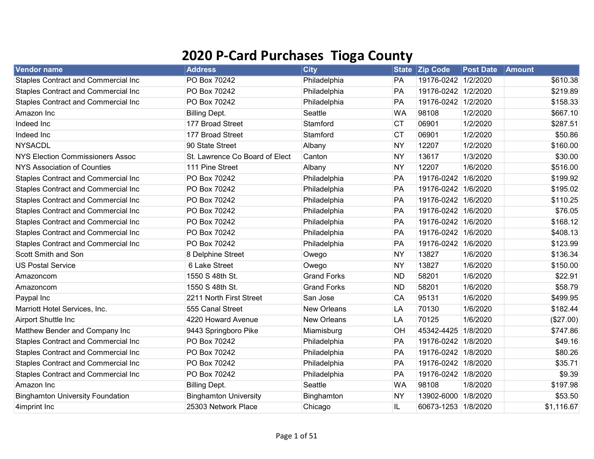## 2020 P-Card Purchases Tioga County

| <b>Vendor name</b>                         | <b>Address</b>                 | <b>City</b>        | <b>State</b> | <b>Zip Code</b>     | <b>Post Date</b> | Amount     |  |
|--------------------------------------------|--------------------------------|--------------------|--------------|---------------------|------------------|------------|--|
| <b>Staples Contract and Commercial Inc</b> | PO Box 70242                   | Philadelphia       | PA           | 19176-0242 1/2/2020 |                  | \$610.38   |  |
| <b>Staples Contract and Commercial Inc</b> | PO Box 70242                   | Philadelphia       | <b>PA</b>    | 19176-0242 1/2/2020 |                  | \$219.89   |  |
| <b>Staples Contract and Commercial Inc</b> | PO Box 70242                   | Philadelphia       | PA           | 19176-0242 1/2/2020 |                  | \$158.33   |  |
| Amazon Inc                                 | <b>Billing Dept.</b>           | Seattle            | <b>WA</b>    | 98108               | 1/2/2020         | \$667.10   |  |
| Indeed Inc                                 | 177 Broad Street               | Stamford           | <b>CT</b>    | 06901               | 1/2/2020         | \$287.51   |  |
| Indeed Inc                                 | 177 Broad Street               | Stamford           | <b>CT</b>    | 06901               | 1/2/2020         | \$50.86    |  |
| <b>NYSACDL</b>                             | 90 State Street                | Albany             | <b>NY</b>    | 12207               | 1/2/2020         | \$160.00   |  |
| <b>NYS Election Commissioners Assoc</b>    | St. Lawrence Co Board of Elect | Canton             | <b>NY</b>    | 13617               | 1/3/2020         | \$30.00    |  |
| <b>NYS Association of Counties</b>         | 111 Pine Street                | Albany             | <b>NY</b>    | 12207               | 1/6/2020         | \$516.00   |  |
| <b>Staples Contract and Commercial Inc</b> | PO Box 70242                   | Philadelphia       | PA           | 19176-0242 1/6/2020 |                  | \$199.92   |  |
| <b>Staples Contract and Commercial Inc</b> | PO Box 70242                   | Philadelphia       | PA           | 19176-0242 1/6/2020 |                  | \$195.02   |  |
| <b>Staples Contract and Commercial Inc</b> | PO Box 70242                   | Philadelphia       | PA           | 19176-0242 1/6/2020 |                  | \$110.25   |  |
| <b>Staples Contract and Commercial Inc</b> | PO Box 70242                   | Philadelphia       | PA           | 19176-0242 1/6/2020 |                  | \$76.05    |  |
| <b>Staples Contract and Commercial Inc</b> | PO Box 70242                   | Philadelphia       | PA           | 19176-0242 1/6/2020 |                  | \$168.12   |  |
| Staples Contract and Commercial Inc        | PO Box 70242                   | Philadelphia       | PA           | 19176-0242 1/6/2020 |                  | \$408.13   |  |
| <b>Staples Contract and Commercial Inc</b> | PO Box 70242                   | Philadelphia       | PA           | 19176-0242 1/6/2020 |                  | \$123.99   |  |
| Scott Smith and Son                        | 8 Delphine Street              | Owego              | <b>NY</b>    | 13827               | 1/6/2020         | \$136.34   |  |
| <b>US Postal Service</b>                   | 6 Lake Street                  | Owego              | <b>NY</b>    | 13827               | 1/6/2020         | \$150.00   |  |
| Amazoncom                                  | 1550 S 48th St.                | <b>Grand Forks</b> | <b>ND</b>    | 58201               | 1/6/2020         | \$22.91    |  |
| Amazoncom                                  | 1550 S 48th St.                | <b>Grand Forks</b> | <b>ND</b>    | 58201               | 1/6/2020         | \$58.79    |  |
| Paypal Inc                                 | 2211 North First Street        | San Jose           | CA           | 95131               | 1/6/2020         | \$499.95   |  |
| Marriott Hotel Services, Inc.              | 555 Canal Street               | <b>New Orleans</b> | LA           | 70130               | 1/6/2020         | \$182.44   |  |
| Airport Shuttle Inc                        | 4220 Howard Avenue             | <b>New Orleans</b> | LA           | 70125               | 1/6/2020         | (\$27.00)  |  |
| Matthew Bender and Company Inc             | 9443 Springboro Pike           | Miamisburg         | OH           | 45342-4425          | 1/8/2020         | \$747.86   |  |
| <b>Staples Contract and Commercial Inc</b> | PO Box 70242                   | Philadelphia       | PA           | 19176-0242 1/8/2020 |                  | \$49.16    |  |
| <b>Staples Contract and Commercial Inc</b> | PO Box 70242                   | Philadelphia       | <b>PA</b>    | 19176-0242 1/8/2020 |                  | \$80.26    |  |
| Staples Contract and Commercial Inc        | PO Box 70242                   | Philadelphia       | PA           | 19176-0242 1/8/2020 |                  | \$35.71    |  |
| Staples Contract and Commercial Inc        | PO Box 70242                   | Philadelphia       | PA           | 19176-0242 1/8/2020 |                  | \$9.39     |  |
| Amazon Inc                                 | <b>Billing Dept.</b>           | Seattle            | <b>WA</b>    | 98108               | 1/8/2020         | \$197.98   |  |
| <b>Binghamton University Foundation</b>    | <b>Binghamton University</b>   | Binghamton         | <b>NY</b>    | 13902-6000 1/8/2020 |                  | \$53.50    |  |
| 4imprint Inc                               | 25303 Network Place            | Chicago            | IL           | 60673-1253 1/8/2020 |                  | \$1,116.67 |  |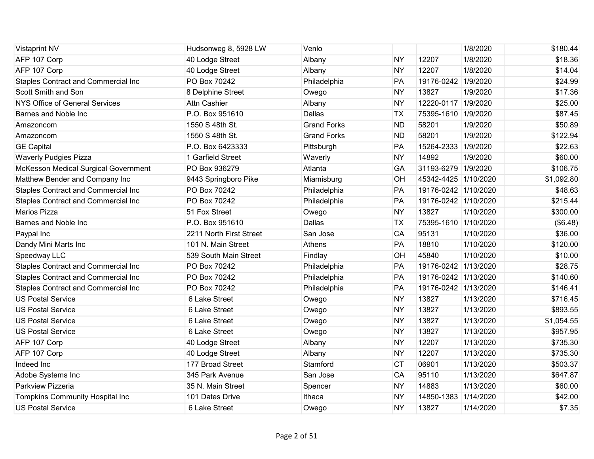| <b>Vistaprint NV</b>                        | Hudsonweg 8, 5928 LW    | Venlo              |           |                      | 1/8/2020  | \$180.44   |
|---------------------------------------------|-------------------------|--------------------|-----------|----------------------|-----------|------------|
| AFP 107 Corp                                | 40 Lodge Street         | Albany             | <b>NY</b> | 12207                | 1/8/2020  | \$18.36    |
| AFP 107 Corp                                | 40 Lodge Street         | Albany             | <b>NY</b> | 12207                | 1/8/2020  | \$14.04    |
| <b>Staples Contract and Commercial Inc</b>  | PO Box 70242            | Philadelphia       | PA        | 19176-0242 1/9/2020  |           | \$24.99    |
| Scott Smith and Son                         | 8 Delphine Street       | Owego              | <b>NY</b> | 13827                | 1/9/2020  | \$17.36    |
| <b>NYS Office of General Services</b>       | <b>Attn Cashier</b>     | Albany             | <b>NY</b> | 12220-0117 1/9/2020  |           | \$25.00    |
| Barnes and Noble Inc                        | P.O. Box 951610         | Dallas             | <b>TX</b> | 75395-1610 1/9/2020  |           | \$87.45    |
| Amazoncom                                   | 1550 S 48th St.         | <b>Grand Forks</b> | <b>ND</b> | 58201                | 1/9/2020  | \$50.89    |
| Amazoncom                                   | 1550 S 48th St.         | <b>Grand Forks</b> | <b>ND</b> | 58201                | 1/9/2020  | \$122.94   |
| <b>GE Capital</b>                           | P.O. Box 6423333        | Pittsburgh         | PA        | 15264-2333 1/9/2020  |           | \$22.63    |
| <b>Waverly Pudgies Pizza</b>                | 1 Garfield Street       | Waverly            | <b>NY</b> | 14892                | 1/9/2020  | \$60.00    |
| <b>McKesson Medical Surgical Government</b> | PO Box 936279           | Atlanta            | GA        | 31193-6279 1/9/2020  |           | \$106.75   |
| Matthew Bender and Company Inc              | 9443 Springboro Pike    | Miamisburg         | OH        | 45342-4425 1/10/2020 |           | \$1,092.80 |
| Staples Contract and Commercial Inc         | PO Box 70242            | Philadelphia       | PA        | 19176-0242 1/10/2020 |           | \$48.63    |
| <b>Staples Contract and Commercial Inc</b>  | PO Box 70242            | Philadelphia       | PA        | 19176-0242 1/10/2020 |           | \$215.44   |
| Marios Pizza                                | 51 Fox Street           | Owego              | <b>NY</b> | 13827                | 1/10/2020 | \$300.00   |
| Barnes and Noble Inc                        | P.O. Box 951610         | Dallas             | <b>TX</b> | 75395-1610 1/10/2020 |           | (\$6.48)   |
| Paypal Inc                                  | 2211 North First Street | San Jose           | CA        | 95131                | 1/10/2020 | \$36.00    |
| Dandy Mini Marts Inc                        | 101 N. Main Street      | Athens             | PA        | 18810                | 1/10/2020 | \$120.00   |
| Speedway LLC                                | 539 South Main Street   | Findlay            | OH        | 45840                | 1/10/2020 | \$10.00    |
| <b>Staples Contract and Commercial Inc</b>  | PO Box 70242            | Philadelphia       | PA        | 19176-0242 1/13/2020 |           | \$28.75    |
| Staples Contract and Commercial Inc         | PO Box 70242            | Philadelphia       | PA        | 19176-0242 1/13/2020 |           | \$140.60   |
| <b>Staples Contract and Commercial Inc</b>  | PO Box 70242            | Philadelphia       | PA        | 19176-0242 1/13/2020 |           | \$146.41   |
| <b>US Postal Service</b>                    | 6 Lake Street           | Owego              | <b>NY</b> | 13827                | 1/13/2020 | \$716.45   |
| <b>US Postal Service</b>                    | 6 Lake Street           | Owego              | <b>NY</b> | 13827                | 1/13/2020 | \$893.55   |
| <b>US Postal Service</b>                    | 6 Lake Street           | Owego              | <b>NY</b> | 13827                | 1/13/2020 | \$1,054.55 |
| <b>US Postal Service</b>                    | 6 Lake Street           | Owego              | <b>NY</b> | 13827                | 1/13/2020 | \$957.95   |
| AFP 107 Corp                                | 40 Lodge Street         | Albany             | <b>NY</b> | 12207                | 1/13/2020 | \$735.30   |
| AFP 107 Corp                                | 40 Lodge Street         | Albany             | <b>NY</b> | 12207                | 1/13/2020 | \$735.30   |
| Indeed Inc                                  | 177 Broad Street        | Stamford           | <b>CT</b> | 06901                | 1/13/2020 | \$503.37   |
| Adobe Systems Inc                           | 345 Park Avenue         | San Jose           | CA        | 95110                | 1/13/2020 | \$647.87   |
| Parkview Pizzeria                           | 35 N. Main Street       | Spencer            | <b>NY</b> | 14883                | 1/13/2020 | \$60.00    |
| <b>Tompkins Community Hospital Inc</b>      | 101 Dates Drive         | Ithaca             | <b>NY</b> | 14850-1383           | 1/14/2020 | \$42.00    |
| <b>US Postal Service</b>                    | 6 Lake Street           | Owego              | <b>NY</b> | 13827                | 1/14/2020 | \$7.35     |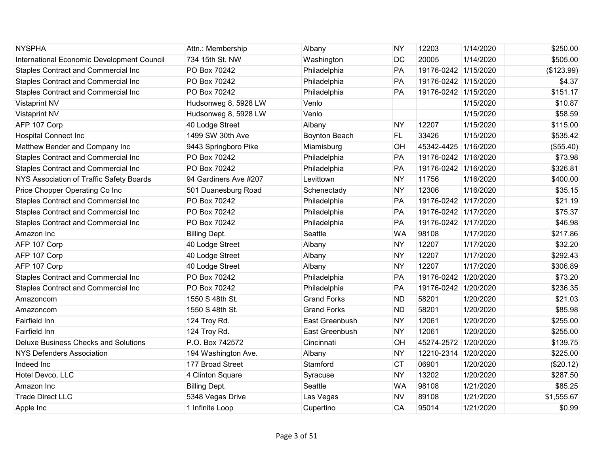| <b>NYSPHA</b>                               | Attn.: Membership     | Albany               | <b>NY</b> | 12203                | 1/14/2020 | \$250.00   |
|---------------------------------------------|-----------------------|----------------------|-----------|----------------------|-----------|------------|
| International Economic Development Council  | 734 15th St. NW       | Washington           | <b>DC</b> | 20005                | 1/14/2020 | \$505.00   |
| Staples Contract and Commercial Inc         | PO Box 70242          | Philadelphia         | PA        | 19176-0242 1/15/2020 |           | (\$123.99) |
| <b>Staples Contract and Commercial Inc</b>  | PO Box 70242          | Philadelphia         | PA        | 19176-0242 1/15/2020 |           | \$4.37     |
| <b>Staples Contract and Commercial Inc</b>  | PO Box 70242          | Philadelphia         | PA        | 19176-0242 1/15/2020 |           | \$151.17   |
| <b>Vistaprint NV</b>                        | Hudsonweg 8, 5928 LW  | Venlo                |           |                      | 1/15/2020 | \$10.87    |
| <b>Vistaprint NV</b>                        | Hudsonweg 8, 5928 LW  | Venlo                |           |                      | 1/15/2020 | \$58.59    |
| AFP 107 Corp                                | 40 Lodge Street       | Albany               | <b>NY</b> | 12207                | 1/15/2020 | \$115.00   |
| <b>Hospital Connect Inc</b>                 | 1499 SW 30th Ave      | <b>Boynton Beach</b> | <b>FL</b> | 33426                | 1/15/2020 | \$535.42   |
| Matthew Bender and Company Inc              | 9443 Springboro Pike  | Miamisburg           | OH        | 45342-4425 1/16/2020 |           | (\$55.40)  |
| Staples Contract and Commercial Inc         | PO Box 70242          | Philadelphia         | PA        | 19176-0242 1/16/2020 |           | \$73.98    |
| Staples Contract and Commercial Inc         | PO Box 70242          | Philadelphia         | <b>PA</b> | 19176-0242 1/16/2020 |           | \$326.81   |
| NYS Association of Traffic Safety Boards    | 94 Gardiners Ave #207 | Levittown            | <b>NY</b> | 11756                | 1/16/2020 | \$400.00   |
| Price Chopper Operating Co Inc              | 501 Duanesburg Road   | Schenectady          | <b>NY</b> | 12306                | 1/16/2020 | \$35.15    |
| Staples Contract and Commercial Inc         | PO Box 70242          | Philadelphia         | PA        | 19176-0242 1/17/2020 |           | \$21.19    |
| Staples Contract and Commercial Inc         | PO Box 70242          | Philadelphia         | PA        | 19176-0242 1/17/2020 |           | \$75.37    |
| <b>Staples Contract and Commercial Inc</b>  | PO Box 70242          | Philadelphia         | PA        | 19176-0242 1/17/2020 |           | \$46.98    |
| Amazon Inc                                  | <b>Billing Dept.</b>  | Seattle              | <b>WA</b> | 98108                | 1/17/2020 | \$217.86   |
| AFP 107 Corp                                | 40 Lodge Street       | Albany               | <b>NY</b> | 12207                | 1/17/2020 | \$32.20    |
| AFP 107 Corp                                | 40 Lodge Street       | Albany               | <b>NY</b> | 12207                | 1/17/2020 | \$292.43   |
| AFP 107 Corp                                | 40 Lodge Street       | Albany               | <b>NY</b> | 12207                | 1/17/2020 | \$306.89   |
| Staples Contract and Commercial Inc         | PO Box 70242          | Philadelphia         | PA        | 19176-0242 1/20/2020 |           | \$73.20    |
| <b>Staples Contract and Commercial Inc</b>  | PO Box 70242          | Philadelphia         | PA        | 19176-0242 1/20/2020 |           | \$236.35   |
| Amazoncom                                   | 1550 S 48th St.       | <b>Grand Forks</b>   | <b>ND</b> | 58201                | 1/20/2020 | \$21.03    |
| Amazoncom                                   | 1550 S 48th St.       | <b>Grand Forks</b>   | <b>ND</b> | 58201                | 1/20/2020 | \$85.98    |
| <b>Fairfield Inn</b>                        | 124 Troy Rd.          | East Greenbush       | <b>NY</b> | 12061                | 1/20/2020 | \$255.00   |
| Fairfield Inn                               | 124 Troy Rd.          | East Greenbush       | <b>NY</b> | 12061                | 1/20/2020 | \$255.00   |
| <b>Deluxe Business Checks and Solutions</b> | P.O. Box 742572       | Cincinnati           | OH        | 45274-2572 1/20/2020 |           | \$139.75   |
| <b>NYS Defenders Association</b>            | 194 Washington Ave.   | Albany               | <b>NY</b> | 12210-2314           | 1/20/2020 | \$225.00   |
| Indeed Inc                                  | 177 Broad Street      | Stamford             | <b>CT</b> | 06901                | 1/20/2020 | (\$20.12)  |
| Hotel Devco, LLC                            | 4 Clinton Square      | Syracuse             | <b>NY</b> | 13202                | 1/20/2020 | \$287.50   |
| Amazon Inc                                  | <b>Billing Dept.</b>  | Seattle              | <b>WA</b> | 98108                | 1/21/2020 | \$85.25    |
| <b>Trade Direct LLC</b>                     | 5348 Vegas Drive      | Las Vegas            | <b>NV</b> | 89108                | 1/21/2020 | \$1,555.67 |
| Apple Inc                                   | 1 Infinite Loop       | Cupertino            | CA        | 95014                | 1/21/2020 | \$0.99     |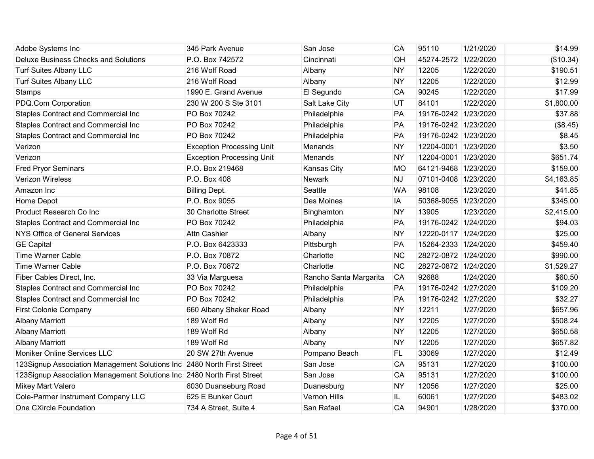| Adobe Systems Inc                                                      | 345 Park Avenue                  | San Jose               | CA        | 95110                | 1/21/2020 | \$14.99    |
|------------------------------------------------------------------------|----------------------------------|------------------------|-----------|----------------------|-----------|------------|
| <b>Deluxe Business Checks and Solutions</b>                            | P.O. Box 742572                  | Cincinnati             | OH        | 45274-2572 1/22/2020 |           | (\$10.34)  |
| <b>Turf Suites Albany LLC</b>                                          | 216 Wolf Road                    | Albany                 | <b>NY</b> | 12205                | 1/22/2020 | \$190.51   |
| <b>Turf Suites Albany LLC</b>                                          | 216 Wolf Road                    | Albany                 | <b>NY</b> | 12205                | 1/22/2020 | \$12.99    |
| Stamps                                                                 | 1990 E. Grand Avenue             | El Segundo             | CA        | 90245                | 1/22/2020 | \$17.99    |
| PDQ.Com Corporation                                                    | 230 W 200 S Ste 3101             | Salt Lake City         | UT        | 84101                | 1/22/2020 | \$1,800.00 |
| <b>Staples Contract and Commercial Inc</b>                             | PO Box 70242                     | Philadelphia           | PA        | 19176-0242 1/23/2020 |           | \$37.88    |
| <b>Staples Contract and Commercial Inc</b>                             | PO Box 70242                     | Philadelphia           | PA        | 19176-0242 1/23/2020 |           | (\$8.45)   |
| Staples Contract and Commercial Inc                                    | PO Box 70242                     | Philadelphia           | PA        | 19176-0242 1/23/2020 |           | \$8.45     |
| Verizon                                                                | <b>Exception Processing Unit</b> | Menands                | <b>NY</b> | 12204-0001 1/23/2020 |           | \$3.50     |
| Verizon                                                                | <b>Exception Processing Unit</b> | Menands                | <b>NY</b> | 12204-0001 1/23/2020 |           | \$651.74   |
| <b>Fred Pryor Seminars</b>                                             | P.O. Box 219468                  | Kansas City            | МO        | 64121-9468 1/23/2020 |           | \$159.00   |
| Verizon Wireless                                                       | P.O. Box 408                     | Newark                 | <b>NJ</b> | 07101-0408 1/23/2020 |           | \$4,163.85 |
| Amazon Inc                                                             | <b>Billing Dept.</b>             | Seattle                | <b>WA</b> | 98108                | 1/23/2020 | \$41.85    |
| Home Depot                                                             | P.O. Box 9055                    | <b>Des Moines</b>      | <b>IA</b> | 50368-9055 1/23/2020 |           | \$345.00   |
| Product Research Co Inc                                                | 30 Charlotte Street              | Binghamton             | <b>NY</b> | 13905                | 1/23/2020 | \$2,415.00 |
| Staples Contract and Commercial Inc                                    | PO Box 70242                     | Philadelphia           | PA        | 19176-0242 1/24/2020 |           | \$94.03    |
| NYS Office of General Services                                         | <b>Attn Cashier</b>              | Albany                 | <b>NY</b> | 12220-0117 1/24/2020 |           | \$25.00    |
| <b>GE Capital</b>                                                      | P.O. Box 6423333                 | Pittsburgh             | PA        | 15264-2333 1/24/2020 |           | \$459.40   |
| <b>Time Warner Cable</b>                                               | P.O. Box 70872                   | Charlotte              | <b>NC</b> | 28272-0872 1/24/2020 |           | \$990.00   |
| <b>Time Warner Cable</b>                                               | P.O. Box 70872                   | Charlotte              | <b>NC</b> | 28272-0872 1/24/2020 |           | \$1,529.27 |
| Fiber Cables Direct, Inc.                                              | 33 Via Marguesa                  | Rancho Santa Margarita | CA        | 92688                | 1/24/2020 | \$60.50    |
| <b>Staples Contract and Commercial Inc</b>                             | PO Box 70242                     | Philadelphia           | <b>PA</b> | 19176-0242 1/27/2020 |           | \$109.20   |
| Staples Contract and Commercial Inc                                    | PO Box 70242                     | Philadelphia           | PA        | 19176-0242 1/27/2020 |           | \$32.27    |
| <b>First Colonie Company</b>                                           | 660 Albany Shaker Road           | Albany                 | <b>NY</b> | 12211                | 1/27/2020 | \$657.96   |
| <b>Albany Marriott</b>                                                 | 189 Wolf Rd                      | Albany                 | <b>NY</b> | 12205                | 1/27/2020 | \$508.24   |
| <b>Albany Marriott</b>                                                 | 189 Wolf Rd                      | Albany                 | <b>NY</b> | 12205                | 1/27/2020 | \$650.58   |
| <b>Albany Marriott</b>                                                 | 189 Wolf Rd                      | Albany                 | <b>NY</b> | 12205                | 1/27/2020 | \$657.82   |
| Moniker Online Services LLC                                            | 20 SW 27th Avenue                | Pompano Beach          | <b>FL</b> | 33069                | 1/27/2020 | \$12.49    |
| 123Signup Association Management Solutions Inc 2480 North First Street |                                  | San Jose               | CA        | 95131                | 1/27/2020 | \$100.00   |
| 123Signup Association Management Solutions Inc 2480 North First Street |                                  | San Jose               | CA        | 95131                | 1/27/2020 | \$100.00   |
| <b>Mikey Mart Valero</b>                                               | 6030 Duanseburg Road             | Duanesburg             | <b>NY</b> | 12056                | 1/27/2020 | \$25.00    |
| Cole-Parmer Instrument Company LLC                                     | 625 E Bunker Court               | Vernon Hills           | IL.       | 60061                | 1/27/2020 | \$483.02   |
| One CXircle Foundation                                                 | 734 A Street, Suite 4            | San Rafael             | CA        | 94901                | 1/28/2020 | \$370.00   |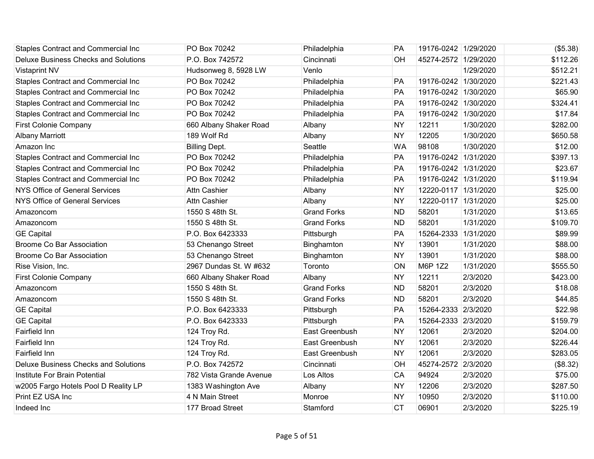| <b>Staples Contract and Commercial Inc</b>  | PO Box 70242            | Philadelphia       | PA        | 19176-0242 1/29/2020 |           | (\$5.38) |
|---------------------------------------------|-------------------------|--------------------|-----------|----------------------|-----------|----------|
| <b>Deluxe Business Checks and Solutions</b> | P.O. Box 742572         | Cincinnati         | OH        | 45274-2572 1/29/2020 |           | \$112.26 |
| <b>Vistaprint NV</b>                        | Hudsonweg 8, 5928 LW    | Venlo              |           |                      | 1/29/2020 | \$512.21 |
| Staples Contract and Commercial Inc         | PO Box 70242            | Philadelphia       | PA        | 19176-0242 1/30/2020 |           | \$221.43 |
| Staples Contract and Commercial Inc         | PO Box 70242            | Philadelphia       | PA        | 19176-0242 1/30/2020 |           | \$65.90  |
| Staples Contract and Commercial Inc         | PO Box 70242            | Philadelphia       | PA        | 19176-0242 1/30/2020 |           | \$324.41 |
| Staples Contract and Commercial Inc         | PO Box 70242            | Philadelphia       | PA        | 19176-0242 1/30/2020 |           | \$17.84  |
| <b>First Colonie Company</b>                | 660 Albany Shaker Road  | Albany             | <b>NY</b> | 12211                | 1/30/2020 | \$282.00 |
| <b>Albany Marriott</b>                      | 189 Wolf Rd             | Albany             | <b>NY</b> | 12205                | 1/30/2020 | \$650.58 |
| Amazon Inc                                  | <b>Billing Dept.</b>    | Seattle            | <b>WA</b> | 98108                | 1/30/2020 | \$12.00  |
| <b>Staples Contract and Commercial Inc</b>  | PO Box 70242            | Philadelphia       | PA        | 19176-0242 1/31/2020 |           | \$397.13 |
| <b>Staples Contract and Commercial Inc</b>  | PO Box 70242            | Philadelphia       | PA        | 19176-0242 1/31/2020 |           | \$23.67  |
| Staples Contract and Commercial Inc         | PO Box 70242            | Philadelphia       | <b>PA</b> | 19176-0242 1/31/2020 |           | \$119.94 |
| NYS Office of General Services              | <b>Attn Cashier</b>     | Albany             | <b>NY</b> | 12220-0117 1/31/2020 |           | \$25.00  |
| NYS Office of General Services              | Attn Cashier            | Albany             | <b>NY</b> | 12220-0117 1/31/2020 |           | \$25.00  |
| Amazoncom                                   | 1550 S 48th St.         | <b>Grand Forks</b> | <b>ND</b> | 58201                | 1/31/2020 | \$13.65  |
| Amazoncom                                   | 1550 S 48th St.         | <b>Grand Forks</b> | <b>ND</b> | 58201                | 1/31/2020 | \$109.70 |
| <b>GE Capital</b>                           | P.O. Box 6423333        | Pittsburgh         | PA        | 15264-2333           | 1/31/2020 | \$89.99  |
| <b>Broome Co Bar Association</b>            | 53 Chenango Street      | Binghamton         | <b>NY</b> | 13901                | 1/31/2020 | \$88.00  |
| <b>Broome Co Bar Association</b>            | 53 Chenango Street      | Binghamton         | <b>NY</b> | 13901                | 1/31/2020 | \$88.00  |
| Rise Vision, Inc.                           | 2967 Dundas St. W #632  | Toronto            | ON        | M6P 1Z2              | 1/31/2020 | \$555.50 |
| <b>First Colonie Company</b>                | 660 Albany Shaker Road  | Albany             | <b>NY</b> | 12211                | 2/3/2020  | \$423.00 |
| Amazoncom                                   | 1550 S 48th St.         | <b>Grand Forks</b> | <b>ND</b> | 58201                | 2/3/2020  | \$18.08  |
| Amazoncom                                   | 1550 S 48th St.         | <b>Grand Forks</b> | <b>ND</b> | 58201                | 2/3/2020  | \$44.85  |
| <b>GE Capital</b>                           | P.O. Box 6423333        | Pittsburgh         | PA        | 15264-2333 2/3/2020  |           | \$22.98  |
| <b>GE Capital</b>                           | P.O. Box 6423333        | Pittsburgh         | PA        | 15264-2333 2/3/2020  |           | \$159.79 |
| Fairfield Inn                               | 124 Troy Rd.            | East Greenbush     | <b>NY</b> | 12061                | 2/3/2020  | \$204.00 |
| Fairfield Inn                               | 124 Troy Rd.            | East Greenbush     | <b>NY</b> | 12061                | 2/3/2020  | \$226.44 |
| Fairfield Inn                               | 124 Troy Rd.            | East Greenbush     | <b>NY</b> | 12061                | 2/3/2020  | \$283.05 |
| <b>Deluxe Business Checks and Solutions</b> | P.O. Box 742572         | Cincinnati         | OH        | 45274-2572 2/3/2020  |           | (\$8.32) |
| Institute For Brain Potential               | 782 Vista Grande Avenue | Los Altos          | CA        | 94924                | 2/3/2020  | \$75.00  |
| w2005 Fargo Hotels Pool D Reality LP        | 1383 Washington Ave     | Albany             | <b>NY</b> | 12206                | 2/3/2020  | \$287.50 |
| Print EZ USA Inc                            | 4 N Main Street         | Monroe             | <b>NY</b> | 10950                | 2/3/2020  | \$110.00 |
| Indeed Inc                                  | 177 Broad Street        | Stamford           | <b>CT</b> | 06901                | 2/3/2020  | \$225.19 |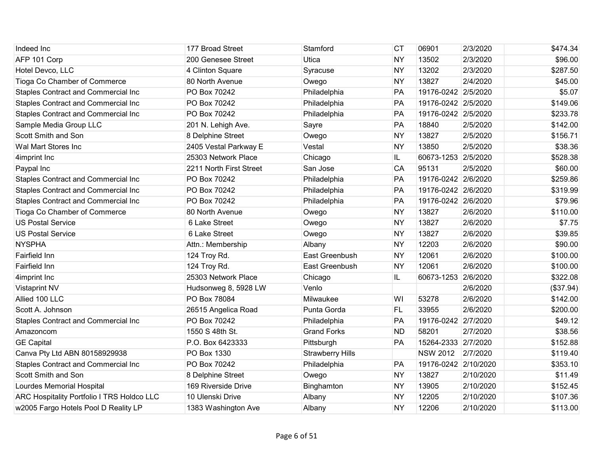| Indeed Inc                                        | 177 Broad Street        | Stamford                | <b>CT</b> | 06901                | 2/3/2020  | \$474.34  |
|---------------------------------------------------|-------------------------|-------------------------|-----------|----------------------|-----------|-----------|
| AFP 101 Corp                                      | 200 Genesee Street      | Utica                   | <b>NY</b> | 13502                | 2/3/2020  | \$96.00   |
| Hotel Devco, LLC                                  | 4 Clinton Square        | Syracuse                | <b>NY</b> | 13202                | 2/3/2020  | \$287.50  |
| Tioga Co Chamber of Commerce                      | 80 North Avenue         | Owego                   | <b>NY</b> | 13827                | 2/4/2020  | \$45.00   |
| <b>Staples Contract and Commercial Inc</b>        | PO Box 70242            | Philadelphia            | PA        | 19176-0242 2/5/2020  |           | \$5.07    |
| Staples Contract and Commercial Inc               | PO Box 70242            | Philadelphia            | PA        | 19176-0242 2/5/2020  |           | \$149.06  |
| Staples Contract and Commercial Inc               | PO Box 70242            | Philadelphia            | PA        | 19176-0242 2/5/2020  |           | \$233.78  |
| Sample Media Group LLC                            | 201 N. Lehigh Ave.      | Sayre                   | PA        | 18840                | 2/5/2020  | \$142.00  |
| Scott Smith and Son                               | 8 Delphine Street       | Owego                   | <b>NY</b> | 13827                | 2/5/2020  | \$156.71  |
| Wal Mart Stores Inc                               | 2405 Vestal Parkway E   | Vestal                  | <b>NY</b> | 13850                | 2/5/2020  | \$38.36   |
| 4imprint Inc                                      | 25303 Network Place     | Chicago                 | IL.       | 60673-1253 2/5/2020  |           | \$528.38  |
| Paypal Inc                                        | 2211 North First Street | San Jose                | CA        | 95131                | 2/5/2020  | \$60.00   |
| Staples Contract and Commercial Inc               | PO Box 70242            | Philadelphia            | PA        | 19176-0242 2/6/2020  |           | \$259.86  |
| Staples Contract and Commercial Inc               | PO Box 70242            | Philadelphia            | PA        | 19176-0242 2/6/2020  |           | \$319.99  |
| <b>Staples Contract and Commercial Inc</b>        | PO Box 70242            | Philadelphia            | PA        | 19176-0242 2/6/2020  |           | \$79.96   |
| Tioga Co Chamber of Commerce                      | 80 North Avenue         | Owego                   | <b>NY</b> | 13827                | 2/6/2020  | \$110.00  |
| <b>US Postal Service</b>                          | 6 Lake Street           | Owego                   | <b>NY</b> | 13827                | 2/6/2020  | \$7.75    |
| <b>US Postal Service</b>                          | 6 Lake Street           | Owego                   | <b>NY</b> | 13827                | 2/6/2020  | \$39.85   |
| <b>NYSPHA</b>                                     | Attn.: Membership       | Albany                  | <b>NY</b> | 12203                | 2/6/2020  | \$90.00   |
| <b>Fairfield Inn</b>                              | 124 Troy Rd.            | East Greenbush          | <b>NY</b> | 12061                | 2/6/2020  | \$100.00  |
| <b>Fairfield Inn</b>                              | 124 Troy Rd.            | East Greenbush          | <b>NY</b> | 12061                | 2/6/2020  | \$100.00  |
| 4imprint Inc                                      | 25303 Network Place     | Chicago                 | IL.       | 60673-1253 2/6/2020  |           | \$322.08  |
| <b>Vistaprint NV</b>                              | Hudsonweg 8, 5928 LW    | Venlo                   |           |                      | 2/6/2020  | (\$37.94) |
| Allied 100 LLC                                    | PO Box 78084            | Milwaukee               | WI        | 53278                | 2/6/2020  | \$142.00  |
| Scott A. Johnson                                  | 26515 Angelica Road     | Punta Gorda             | FL        | 33955                | 2/6/2020  | \$200.00  |
| <b>Staples Contract and Commercial Inc</b>        | PO Box 70242            | Philadelphia            | PA        | 19176-0242 2/7/2020  |           | \$49.12   |
| Amazoncom                                         | 1550 S 48th St.         | <b>Grand Forks</b>      | <b>ND</b> | 58201                | 2/7/2020  | \$38.56   |
| <b>GE Capital</b>                                 | P.O. Box 6423333        | Pittsburgh              | PA        | 15264-2333 2/7/2020  |           | \$152.88  |
| Canva Pty Ltd ABN 80158929938                     | PO Box 1330             | <b>Strawberry Hills</b> |           | <b>NSW 2012</b>      | 2/7/2020  | \$119.40  |
| <b>Staples Contract and Commercial Inc</b>        | PO Box 70242            | Philadelphia            | PA        | 19176-0242 2/10/2020 |           | \$353.10  |
| Scott Smith and Son                               | 8 Delphine Street       | Owego                   | <b>NY</b> | 13827                | 2/10/2020 | \$11.49   |
| Lourdes Memorial Hospital                         | 169 Riverside Drive     | Binghamton              | <b>NY</b> | 13905                | 2/10/2020 | \$152.45  |
| <b>ARC Hospitality Portfolio I TRS Holdco LLC</b> | 10 Ulenski Drive        | Albany                  | <b>NY</b> | 12205                | 2/10/2020 | \$107.36  |
| w2005 Fargo Hotels Pool D Reality LP              | 1383 Washington Ave     | Albany                  | <b>NY</b> | 12206                | 2/10/2020 | \$113.00  |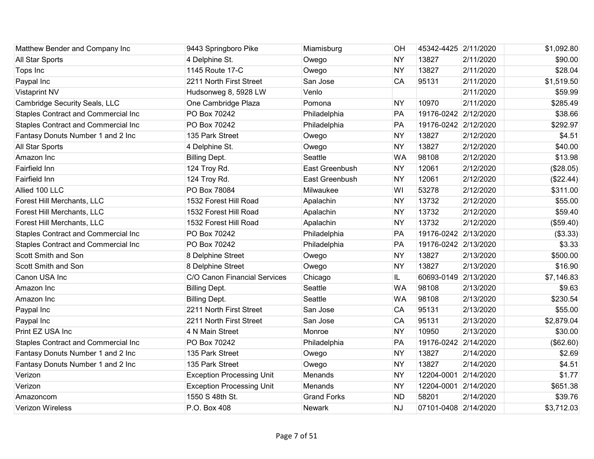| Matthew Bender and Company Inc             | 9443 Springboro Pike             | Miamisburg         | OH        | 45342-4425 2/11/2020 |           | \$1,092.80 |
|--------------------------------------------|----------------------------------|--------------------|-----------|----------------------|-----------|------------|
| All Star Sports                            | 4 Delphine St.                   | Owego              | <b>NY</b> | 13827                | 2/11/2020 | \$90.00    |
| Tops Inc                                   | 1145 Route 17-C                  | Owego              | <b>NY</b> | 13827                | 2/11/2020 | \$28.04    |
| Paypal Inc                                 | 2211 North First Street          | San Jose           | CA        | 95131                | 2/11/2020 | \$1,519.50 |
| <b>Vistaprint NV</b>                       | Hudsonweg 8, 5928 LW             | Venlo              |           |                      | 2/11/2020 | \$59.99    |
| Cambridge Security Seals, LLC              | One Cambridge Plaza              | Pomona             | <b>NY</b> | 10970                | 2/11/2020 | \$285.49   |
| Staples Contract and Commercial Inc        | PO Box 70242                     | Philadelphia       | PA        | 19176-0242 2/12/2020 |           | \$38.66    |
| <b>Staples Contract and Commercial Inc</b> | PO Box 70242                     | Philadelphia       | PA        | 19176-0242 2/12/2020 |           | \$292.97   |
| Fantasy Donuts Number 1 and 2 Inc          | 135 Park Street                  | Owego              | <b>NY</b> | 13827                | 2/12/2020 | \$4.51     |
| All Star Sports                            | 4 Delphine St.                   | Owego              | <b>NY</b> | 13827                | 2/12/2020 | \$40.00    |
| Amazon Inc                                 | <b>Billing Dept.</b>             | Seattle            | <b>WA</b> | 98108                | 2/12/2020 | \$13.98    |
| Fairfield Inn                              | 124 Troy Rd.                     | East Greenbush     | <b>NY</b> | 12061                | 2/12/2020 | (\$28.05)  |
| Fairfield Inn                              | 124 Troy Rd.                     | East Greenbush     | <b>NY</b> | 12061                | 2/12/2020 | (\$22.44)  |
| Allied 100 LLC                             | PO Box 78084                     | Milwaukee          | WI        | 53278                | 2/12/2020 | \$311.00   |
| Forest Hill Merchants, LLC                 | 1532 Forest Hill Road            | Apalachin          | <b>NY</b> | 13732                | 2/12/2020 | \$55.00    |
| Forest Hill Merchants, LLC                 | 1532 Forest Hill Road            | Apalachin          | <b>NY</b> | 13732                | 2/12/2020 | \$59.40    |
| Forest Hill Merchants, LLC                 | 1532 Forest Hill Road            | Apalachin          | <b>NY</b> | 13732                | 2/12/2020 | (\$59.40)  |
| Staples Contract and Commercial Inc        | PO Box 70242                     | Philadelphia       | PA        | 19176-0242 2/13/2020 |           | (\$3.33)   |
| Staples Contract and Commercial Inc        | PO Box 70242                     | Philadelphia       | PA        | 19176-0242 2/13/2020 |           | \$3.33     |
| Scott Smith and Son                        | 8 Delphine Street                | Owego              | <b>NY</b> | 13827                | 2/13/2020 | \$500.00   |
| Scott Smith and Son                        | 8 Delphine Street                | Owego              | <b>NY</b> | 13827                | 2/13/2020 | \$16.90    |
| Canon USA Inc                              | C/O Canon Financial Services     | Chicago            | IL.       | 60693-0149 2/13/2020 |           | \$7,146.83 |
| Amazon Inc                                 | <b>Billing Dept.</b>             | Seattle            | <b>WA</b> | 98108                | 2/13/2020 | \$9.63     |
| Amazon Inc                                 | <b>Billing Dept.</b>             | Seattle            | <b>WA</b> | 98108                | 2/13/2020 | \$230.54   |
| Paypal Inc                                 | 2211 North First Street          | San Jose           | CA        | 95131                | 2/13/2020 | \$55.00    |
| Paypal Inc                                 | 2211 North First Street          | San Jose           | CA        | 95131                | 2/13/2020 | \$2,879.04 |
| Print EZ USA Inc                           | 4 N Main Street                  | Monroe             | <b>NY</b> | 10950                | 2/13/2020 | \$30.00    |
| <b>Staples Contract and Commercial Inc</b> | PO Box 70242                     | Philadelphia       | PA        | 19176-0242 2/14/2020 |           | (\$62.60)  |
| Fantasy Donuts Number 1 and 2 Inc          | 135 Park Street                  | Owego              | <b>NY</b> | 13827                | 2/14/2020 | \$2.69     |
| Fantasy Donuts Number 1 and 2 Inc          | 135 Park Street                  | Owego              | <b>NY</b> | 13827                | 2/14/2020 | \$4.51     |
| Verizon                                    | <b>Exception Processing Unit</b> | Menands            | <b>NY</b> | 12204-0001 2/14/2020 |           | \$1.77     |
| Verizon                                    | <b>Exception Processing Unit</b> | Menands            | <b>NY</b> | 12204-0001 2/14/2020 |           | \$651.38   |
| Amazoncom                                  | 1550 S 48th St.                  | <b>Grand Forks</b> | <b>ND</b> | 58201                | 2/14/2020 | \$39.76    |
| Verizon Wireless                           | P.O. Box 408                     | <b>Newark</b>      | <b>NJ</b> | 07101-0408 2/14/2020 |           | \$3,712.03 |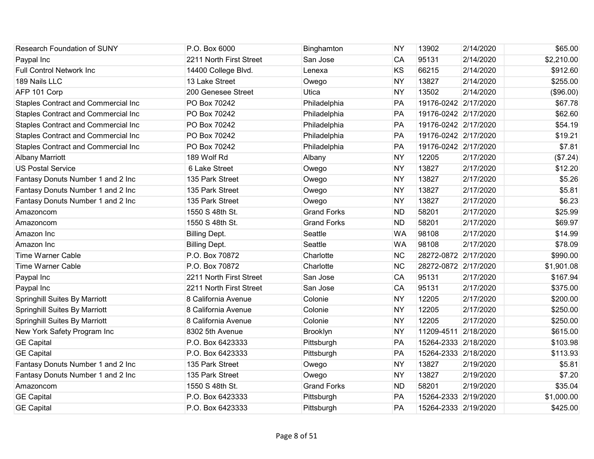| <b>Research Foundation of SUNY</b>         | P.O. Box 6000           | Binghamton         | <b>NY</b> | 13902                | 2/14/2020 | \$65.00    |
|--------------------------------------------|-------------------------|--------------------|-----------|----------------------|-----------|------------|
| Paypal Inc                                 | 2211 North First Street | San Jose           | CA        | 95131                | 2/14/2020 | \$2,210.00 |
| <b>Full Control Network Inc.</b>           | 14400 College Blvd.     | Lenexa             | KS        | 66215                | 2/14/2020 | \$912.60   |
| 189 Nails LLC                              | 13 Lake Street          | Owego              | <b>NY</b> | 13827                | 2/14/2020 | \$255.00   |
| AFP 101 Corp                               | 200 Genesee Street      | Utica              | <b>NY</b> | 13502                | 2/14/2020 | (\$96.00)  |
| Staples Contract and Commercial Inc        | PO Box 70242            | Philadelphia       | PA        | 19176-0242 2/17/2020 |           | \$67.78    |
| Staples Contract and Commercial Inc        | PO Box 70242            | Philadelphia       | PA        | 19176-0242 2/17/2020 |           | \$62.60    |
| <b>Staples Contract and Commercial Inc</b> | PO Box 70242            | Philadelphia       | PA        | 19176-0242 2/17/2020 |           | \$54.19    |
| Staples Contract and Commercial Inc        | PO Box 70242            | Philadelphia       | PA        | 19176-0242 2/17/2020 |           | \$19.21    |
| <b>Staples Contract and Commercial Inc</b> | PO Box 70242            | Philadelphia       | PA        | 19176-0242 2/17/2020 |           | \$7.81     |
| <b>Albany Marriott</b>                     | 189 Wolf Rd             | Albany             | <b>NY</b> | 12205                | 2/17/2020 | (\$7.24)   |
| <b>US Postal Service</b>                   | 6 Lake Street           | Owego              | <b>NY</b> | 13827                | 2/17/2020 | \$12.20    |
| Fantasy Donuts Number 1 and 2 Inc          | 135 Park Street         | Owego              | <b>NY</b> | 13827                | 2/17/2020 | \$5.26     |
| Fantasy Donuts Number 1 and 2 Inc          | 135 Park Street         | Owego              | <b>NY</b> | 13827                | 2/17/2020 | \$5.81     |
| Fantasy Donuts Number 1 and 2 Inc          | 135 Park Street         | Owego              | <b>NY</b> | 13827                | 2/17/2020 | \$6.23     |
| Amazoncom                                  | 1550 S 48th St.         | <b>Grand Forks</b> | <b>ND</b> | 58201                | 2/17/2020 | \$25.99    |
| Amazoncom                                  | 1550 S 48th St.         | <b>Grand Forks</b> | <b>ND</b> | 58201                | 2/17/2020 | \$69.97    |
| Amazon Inc                                 | <b>Billing Dept.</b>    | Seattle            | <b>WA</b> | 98108                | 2/17/2020 | \$14.99    |
| Amazon Inc                                 | <b>Billing Dept.</b>    | Seattle            | <b>WA</b> | 98108                | 2/17/2020 | \$78.09    |
| <b>Time Warner Cable</b>                   | P.O. Box 70872          | Charlotte          | <b>NC</b> | 28272-0872 2/17/2020 |           | \$990.00   |
| <b>Time Warner Cable</b>                   | P.O. Box 70872          | Charlotte          | <b>NC</b> | 28272-0872 2/17/2020 |           | \$1,901.08 |
| Paypal Inc                                 | 2211 North First Street | San Jose           | CA        | 95131                | 2/17/2020 | \$167.94   |
| Paypal Inc                                 | 2211 North First Street | San Jose           | CA        | 95131                | 2/17/2020 | \$375.00   |
| <b>Springhill Suites By Marriott</b>       | 8 California Avenue     | Colonie            | <b>NY</b> | 12205                | 2/17/2020 | \$200.00   |
| Springhill Suites By Marriott              | 8 California Avenue     | Colonie            | <b>NY</b> | 12205                | 2/17/2020 | \$250.00   |
| Springhill Suites By Marriott              | 8 California Avenue     | Colonie            | <b>NY</b> | 12205                | 2/17/2020 | \$250.00   |
| New York Safety Program Inc                | 8302 5th Avenue         | Brooklyn           | <b>NY</b> | 11209-4511 2/18/2020 |           | \$615.00   |
| <b>GE Capital</b>                          | P.O. Box 6423333        | Pittsburgh         | PA        | 15264-2333 2/18/2020 |           | \$103.98   |
| <b>GE Capital</b>                          | P.O. Box 6423333        | Pittsburgh         | PA        | 15264-2333 2/18/2020 |           | \$113.93   |
| Fantasy Donuts Number 1 and 2 Inc          | 135 Park Street         | Owego              | <b>NY</b> | 13827                | 2/19/2020 | \$5.81     |
| Fantasy Donuts Number 1 and 2 Inc          | 135 Park Street         | Owego              | <b>NY</b> | 13827                | 2/19/2020 | \$7.20     |
| Amazoncom                                  | 1550 S 48th St.         | <b>Grand Forks</b> | <b>ND</b> | 58201                | 2/19/2020 | \$35.04    |
| <b>GE Capital</b>                          | P.O. Box 6423333        | Pittsburgh         | PA        | 15264-2333 2/19/2020 |           | \$1,000.00 |
| <b>GE Capital</b>                          | P.O. Box 6423333        | Pittsburgh         | PA        | 15264-2333 2/19/2020 |           | \$425.00   |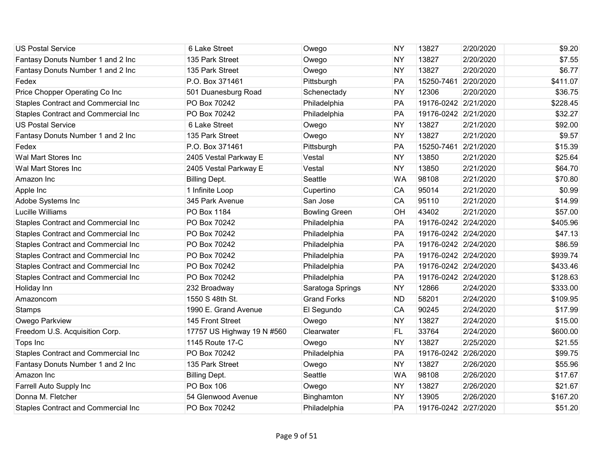| <b>US Postal Service</b>                   | 6 Lake Street              | Owego                | <b>NY</b> | 13827                | 2/20/2020 | \$9.20   |
|--------------------------------------------|----------------------------|----------------------|-----------|----------------------|-----------|----------|
| Fantasy Donuts Number 1 and 2 Inc          | 135 Park Street            | Owego                | <b>NY</b> | 13827                | 2/20/2020 | \$7.55   |
| Fantasy Donuts Number 1 and 2 Inc          | 135 Park Street            | Owego                | <b>NY</b> | 13827                | 2/20/2020 | \$6.77   |
| Fedex                                      | P.O. Box 371461            | Pittsburgh           | PA        | 15250-7461 2/20/2020 |           | \$411.07 |
| Price Chopper Operating Co Inc             | 501 Duanesburg Road        | Schenectady          | <b>NY</b> | 12306                | 2/20/2020 | \$36.75  |
| Staples Contract and Commercial Inc        | PO Box 70242               | Philadelphia         | PA        | 19176-0242 2/21/2020 |           | \$228.45 |
| Staples Contract and Commercial Inc        | PO Box 70242               | Philadelphia         | PA        | 19176-0242 2/21/2020 |           | \$32.27  |
| <b>US Postal Service</b>                   | 6 Lake Street              | Owego                | <b>NY</b> | 13827                | 2/21/2020 | \$92.00  |
| Fantasy Donuts Number 1 and 2 Inc          | 135 Park Street            | Owego                | <b>NY</b> | 13827                | 2/21/2020 | \$9.57   |
| Fedex                                      | P.O. Box 371461            | Pittsburgh           | PA        | 15250-7461 2/21/2020 |           | \$15.39  |
| Wal Mart Stores Inc                        | 2405 Vestal Parkway E      | Vestal               | <b>NY</b> | 13850                | 2/21/2020 | \$25.64  |
| Wal Mart Stores Inc                        | 2405 Vestal Parkway E      | Vestal               | <b>NY</b> | 13850                | 2/21/2020 | \$64.70  |
| Amazon Inc                                 | <b>Billing Dept.</b>       | Seattle              | <b>WA</b> | 98108                | 2/21/2020 | \$70.80  |
| Apple Inc                                  | 1 Infinite Loop            | Cupertino            | CA        | 95014                | 2/21/2020 | \$0.99   |
| Adobe Systems Inc                          | 345 Park Avenue            | San Jose             | CA        | 95110                | 2/21/2020 | \$14.99  |
| <b>Lucille Williams</b>                    | PO Box 1184                | <b>Bowling Green</b> | OH        | 43402                | 2/21/2020 | \$57.00  |
| Staples Contract and Commercial Inc        | PO Box 70242               | Philadelphia         | PA        | 19176-0242 2/24/2020 |           | \$405.96 |
| Staples Contract and Commercial Inc        | PO Box 70242               | Philadelphia         | PA        | 19176-0242 2/24/2020 |           | \$47.13  |
| <b>Staples Contract and Commercial Inc</b> | PO Box 70242               | Philadelphia         | PA        | 19176-0242 2/24/2020 |           | \$86.59  |
| <b>Staples Contract and Commercial Inc</b> | PO Box 70242               | Philadelphia         | PA        | 19176-0242 2/24/2020 |           | \$939.74 |
| Staples Contract and Commercial Inc        | PO Box 70242               | Philadelphia         | PA        | 19176-0242 2/24/2020 |           | \$433.46 |
| Staples Contract and Commercial Inc        | PO Box 70242               | Philadelphia         | PA        | 19176-0242 2/24/2020 |           | \$128.63 |
| Holiday Inn                                | 232 Broadway               | Saratoga Springs     | <b>NY</b> | 12866                | 2/24/2020 | \$333.00 |
| Amazoncom                                  | 1550 S 48th St.            | <b>Grand Forks</b>   | <b>ND</b> | 58201                | 2/24/2020 | \$109.95 |
| <b>Stamps</b>                              | 1990 E. Grand Avenue       | El Segundo           | CA        | 90245                | 2/24/2020 | \$17.99  |
| Owego Parkview                             | 145 Front Street           | Owego                | <b>NY</b> | 13827                | 2/24/2020 | \$15.00  |
| Freedom U.S. Acquisition Corp.             | 17757 US Highway 19 N #560 | Clearwater           | <b>FL</b> | 33764                | 2/24/2020 | \$600.00 |
| Tops Inc                                   | 1145 Route 17-C            | Owego                | <b>NY</b> | 13827                | 2/25/2020 | \$21.55  |
| <b>Staples Contract and Commercial Inc</b> | PO Box 70242               | Philadelphia         | PA        | 19176-0242 2/26/2020 |           | \$99.75  |
| Fantasy Donuts Number 1 and 2 Inc          | 135 Park Street            | Owego                | <b>NY</b> | 13827                | 2/26/2020 | \$55.96  |
| Amazon Inc                                 | <b>Billing Dept.</b>       | Seattle              | <b>WA</b> | 98108                | 2/26/2020 | \$17.67  |
| Farrell Auto Supply Inc                    | <b>PO Box 106</b>          | Owego                | <b>NY</b> | 13827                | 2/26/2020 | \$21.67  |
| Donna M. Fletcher                          | 54 Glenwood Avenue         | Binghamton           | <b>NY</b> | 13905                | 2/26/2020 | \$167.20 |
| <b>Staples Contract and Commercial Inc</b> | PO Box 70242               | Philadelphia         | PA        | 19176-0242 2/27/2020 |           | \$51.20  |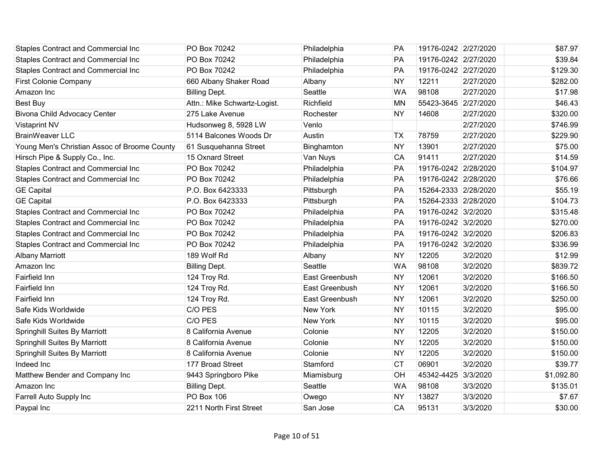| Staples Contract and Commercial Inc          | PO Box 70242                 | Philadelphia    | <b>PA</b> | 19176-0242 2/27/2020 |           | \$87.97    |
|----------------------------------------------|------------------------------|-----------------|-----------|----------------------|-----------|------------|
| <b>Staples Contract and Commercial Inc</b>   | PO Box 70242                 | Philadelphia    | PA        | 19176-0242 2/27/2020 |           | \$39.84    |
| <b>Staples Contract and Commercial Inc</b>   | PO Box 70242                 | Philadelphia    | PA        | 19176-0242 2/27/2020 |           | \$129.30   |
| <b>First Colonie Company</b>                 | 660 Albany Shaker Road       | Albany          | <b>NY</b> | 12211                | 2/27/2020 | \$282.00   |
| Amazon Inc                                   | <b>Billing Dept.</b>         | Seattle         | <b>WA</b> | 98108                | 2/27/2020 | \$17.98    |
| Best Buy                                     | Attn.: Mike Schwartz-Logist. | Richfield       | <b>MN</b> | 55423-3645 2/27/2020 |           | \$46.43    |
| <b>Bivona Child Advocacy Center</b>          | 275 Lake Avenue              | Rochester       | <b>NY</b> | 14608                | 2/27/2020 | \$320.00   |
| <b>Vistaprint NV</b>                         | Hudsonweg 8, 5928 LW         | Venlo           |           |                      | 2/27/2020 | \$746.99   |
| <b>BrainWeaver LLC</b>                       | 5114 Balcones Woods Dr       | Austin          | <b>TX</b> | 78759                | 2/27/2020 | \$229.90   |
| Young Men's Christian Assoc of Broome County | 61 Susquehanna Street        | Binghamton      | <b>NY</b> | 13901                | 2/27/2020 | \$75.00    |
| Hirsch Pipe & Supply Co., Inc.               | 15 Oxnard Street             | Van Nuys        | CA        | 91411                | 2/27/2020 | \$14.59    |
| Staples Contract and Commercial Inc          | PO Box 70242                 | Philadelphia    | PA        | 19176-0242 2/28/2020 |           | \$104.97   |
| Staples Contract and Commercial Inc          | PO Box 70242                 | Philadelphia    | <b>PA</b> | 19176-0242 2/28/2020 |           | \$76.66    |
| <b>GE Capital</b>                            | P.O. Box 6423333             | Pittsburgh      | PA        | 15264-2333 2/28/2020 |           | \$55.19    |
| <b>GE</b> Capital                            | P.O. Box 6423333             | Pittsburgh      | PA        | 15264-2333 2/28/2020 |           | \$104.73   |
| <b>Staples Contract and Commercial Inc</b>   | PO Box 70242                 | Philadelphia    | PA        | 19176-0242 3/2/2020  |           | \$315.48   |
| Staples Contract and Commercial Inc          | PO Box 70242                 | Philadelphia    | PA        | 19176-0242 3/2/2020  |           | \$270.00   |
| Staples Contract and Commercial Inc          | PO Box 70242                 | Philadelphia    | PA        | 19176-0242 3/2/2020  |           | \$206.83   |
| Staples Contract and Commercial Inc          | PO Box 70242                 | Philadelphia    | PA        | 19176-0242 3/2/2020  |           | \$336.99   |
| <b>Albany Marriott</b>                       | 189 Wolf Rd                  | Albany          | <b>NY</b> | 12205                | 3/2/2020  | \$12.99    |
| Amazon Inc                                   | <b>Billing Dept.</b>         | Seattle         | <b>WA</b> | 98108                | 3/2/2020  | \$839.72   |
| Fairfield Inn                                | 124 Troy Rd.                 | East Greenbush  | <b>NY</b> | 12061                | 3/2/2020  | \$166.50   |
| Fairfield Inn                                | 124 Troy Rd.                 | East Greenbush  | <b>NY</b> | 12061                | 3/2/2020  | \$166.50   |
| Fairfield Inn                                | 124 Troy Rd.                 | East Greenbush  | <b>NY</b> | 12061                | 3/2/2020  | \$250.00   |
| Safe Kids Worldwide                          | C/O PES                      | New York        | <b>NY</b> | 10115                | 3/2/2020  | \$95.00    |
| Safe Kids Worldwide                          | C/O PES                      | <b>New York</b> | <b>NY</b> | 10115                | 3/2/2020  | \$95.00    |
| Springhill Suites By Marriott                | 8 California Avenue          | Colonie         | <b>NY</b> | 12205                | 3/2/2020  | \$150.00   |
| <b>Springhill Suites By Marriott</b>         | 8 California Avenue          | Colonie         | <b>NY</b> | 12205                | 3/2/2020  | \$150.00   |
| <b>Springhill Suites By Marriott</b>         | 8 California Avenue          | Colonie         | <b>NY</b> | 12205                | 3/2/2020  | \$150.00   |
| Indeed Inc                                   | 177 Broad Street             | Stamford        | <b>CT</b> | 06901                | 3/2/2020  | \$39.77    |
| Matthew Bender and Company Inc               | 9443 Springboro Pike         | Miamisburg      | OH        | 45342-4425 3/3/2020  |           | \$1,092.80 |
| Amazon Inc                                   | <b>Billing Dept.</b>         | Seattle         | <b>WA</b> | 98108                | 3/3/2020  | \$135.01   |
| Farrell Auto Supply Inc                      | <b>PO Box 106</b>            | Owego           | <b>NY</b> | 13827                | 3/3/2020  | \$7.67     |
| Paypal Inc                                   | 2211 North First Street      | San Jose        | CA        | 95131                | 3/3/2020  | \$30.00    |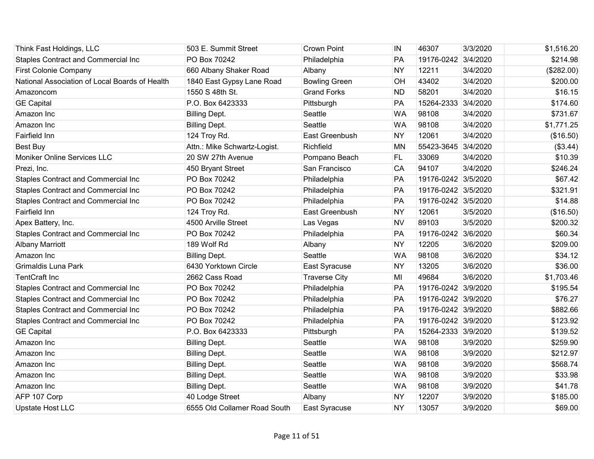| Think Fast Holdings, LLC                       | 503 E. Summit Street         | <b>Crown Point</b>   | IN        | 46307               | 3/3/2020 | \$1,516.20 |
|------------------------------------------------|------------------------------|----------------------|-----------|---------------------|----------|------------|
| Staples Contract and Commercial Inc            | PO Box 70242                 | Philadelphia         | PA        | 19176-0242 3/4/2020 |          | \$214.98   |
| First Colonie Company                          | 660 Albany Shaker Road       | Albany               | <b>NY</b> | 12211               | 3/4/2020 | (\$282.00) |
| National Association of Local Boards of Health | 1840 East Gypsy Lane Road    | <b>Bowling Green</b> | OH        | 43402               | 3/4/2020 | \$200.00   |
| Amazoncom                                      | 1550 S 48th St.              | <b>Grand Forks</b>   | <b>ND</b> | 58201               | 3/4/2020 | \$16.15    |
| <b>GE Capital</b>                              | P.O. Box 6423333             | Pittsburgh           | PA        | 15264-2333 3/4/2020 |          | \$174.60   |
| Amazon Inc                                     | <b>Billing Dept.</b>         | Seattle              | <b>WA</b> | 98108               | 3/4/2020 | \$731.67   |
| Amazon Inc                                     | <b>Billing Dept.</b>         | Seattle              | <b>WA</b> | 98108               | 3/4/2020 | \$1,771.25 |
| Fairfield Inn                                  | 124 Troy Rd.                 | East Greenbush       | <b>NY</b> | 12061               | 3/4/2020 | (\$16.50)  |
| <b>Best Buy</b>                                | Attn.: Mike Schwartz-Logist. | Richfield            | <b>MN</b> | 55423-3645 3/4/2020 |          | (\$3.44)   |
| Moniker Online Services LLC                    | 20 SW 27th Avenue            | Pompano Beach        | <b>FL</b> | 33069               | 3/4/2020 | \$10.39    |
| Prezi, Inc.                                    | 450 Bryant Street            | San Francisco        | CA        | 94107               | 3/4/2020 | \$246.24   |
| Staples Contract and Commercial Inc            | PO Box 70242                 | Philadelphia         | PA        | 19176-0242 3/5/2020 |          | \$67.42    |
| <b>Staples Contract and Commercial Inc</b>     | PO Box 70242                 | Philadelphia         | PA        | 19176-0242 3/5/2020 |          | \$321.91   |
| Staples Contract and Commercial Inc            | PO Box 70242                 | Philadelphia         | PA        | 19176-0242 3/5/2020 |          | \$14.88    |
| <b>Fairfield Inn</b>                           | 124 Troy Rd.                 | East Greenbush       | <b>NY</b> | 12061               | 3/5/2020 | (\$16.50)  |
| Apex Battery, Inc.                             | 4500 Arville Street          | Las Vegas            | <b>NV</b> | 89103               | 3/5/2020 | \$200.32   |
| Staples Contract and Commercial Inc            | PO Box 70242                 | Philadelphia         | PA        | 19176-0242 3/6/2020 |          | \$60.34    |
| <b>Albany Marriott</b>                         | 189 Wolf Rd                  | Albany               | <b>NY</b> | 12205               | 3/6/2020 | \$209.00   |
| Amazon Inc                                     | <b>Billing Dept.</b>         | Seattle              | <b>WA</b> | 98108               | 3/6/2020 | \$34.12    |
| Grimaldis Luna Park                            | 6430 Yorktown Circle         | East Syracuse        | <b>NY</b> | 13205               | 3/6/2020 | \$36.00    |
| <b>TentCraft Inc</b>                           | 2662 Cass Road               | <b>Traverse City</b> | MI        | 49684               | 3/6/2020 | \$1,703.46 |
| Staples Contract and Commercial Inc            | PO Box 70242                 | Philadelphia         | PA        | 19176-0242 3/9/2020 |          | \$195.54   |
| <b>Staples Contract and Commercial Inc</b>     | PO Box 70242                 | Philadelphia         | PA        | 19176-0242 3/9/2020 |          | \$76.27    |
| Staples Contract and Commercial Inc            | PO Box 70242                 | Philadelphia         | PA        | 19176-0242 3/9/2020 |          | \$882.66   |
| Staples Contract and Commercial Inc            | PO Box 70242                 | Philadelphia         | PA        | 19176-0242 3/9/2020 |          | \$123.92   |
| <b>GE Capital</b>                              | P.O. Box 6423333             | Pittsburgh           | PA        | 15264-2333 3/9/2020 |          | \$139.52   |
| Amazon Inc                                     | <b>Billing Dept.</b>         | Seattle              | <b>WA</b> | 98108               | 3/9/2020 | \$259.90   |
| Amazon Inc                                     | <b>Billing Dept.</b>         | Seattle              | <b>WA</b> | 98108               | 3/9/2020 | \$212.97   |
| Amazon Inc                                     | <b>Billing Dept.</b>         | Seattle              | <b>WA</b> | 98108               | 3/9/2020 | \$568.74   |
| Amazon Inc                                     | <b>Billing Dept.</b>         | Seattle              | <b>WA</b> | 98108               | 3/9/2020 | \$33.98    |
| Amazon Inc                                     | <b>Billing Dept.</b>         | Seattle              | <b>WA</b> | 98108               | 3/9/2020 | \$41.78    |
| AFP 107 Corp                                   | 40 Lodge Street              | Albany               | <b>NY</b> | 12207               | 3/9/2020 | \$185.00   |
| <b>Upstate Host LLC</b>                        | 6555 Old Collamer Road South | East Syracuse        | <b>NY</b> | 13057               | 3/9/2020 | \$69.00    |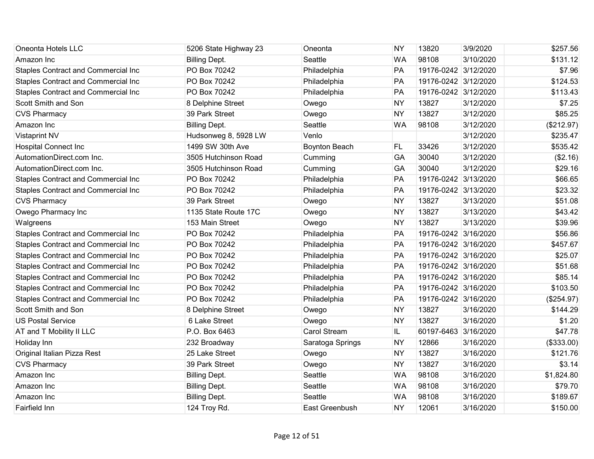| Oneonta Hotels LLC                         | 5206 State Highway 23 | Oneonta              | <b>NY</b> | 13820                | 3/9/2020  | \$257.56   |
|--------------------------------------------|-----------------------|----------------------|-----------|----------------------|-----------|------------|
| Amazon Inc                                 | <b>Billing Dept.</b>  | Seattle              | <b>WA</b> | 98108                | 3/10/2020 | \$131.12   |
| Staples Contract and Commercial Inc        | PO Box 70242          | Philadelphia         | PA        | 19176-0242 3/12/2020 |           | \$7.96     |
| Staples Contract and Commercial Inc        | PO Box 70242          | Philadelphia         | PA        | 19176-0242 3/12/2020 |           | \$124.53   |
| <b>Staples Contract and Commercial Inc</b> | PO Box 70242          | Philadelphia         | PA        | 19176-0242 3/12/2020 |           | \$113.43   |
| Scott Smith and Son                        | 8 Delphine Street     | Owego                | <b>NY</b> | 13827                | 3/12/2020 | \$7.25     |
| <b>CVS Pharmacy</b>                        | 39 Park Street        | Owego                | <b>NY</b> | 13827                | 3/12/2020 | \$85.25    |
| Amazon Inc                                 | <b>Billing Dept.</b>  | Seattle              | <b>WA</b> | 98108                | 3/12/2020 | (\$212.97) |
| <b>Vistaprint NV</b>                       | Hudsonweg 8, 5928 LW  | Venlo                |           |                      | 3/12/2020 | \$235.47   |
| <b>Hospital Connect Inc</b>                | 1499 SW 30th Ave      | <b>Boynton Beach</b> | <b>FL</b> | 33426                | 3/12/2020 | \$535.42   |
| AutomationDirect.com Inc.                  | 3505 Hutchinson Road  | Cumming              | GA        | 30040                | 3/12/2020 | (\$2.16)   |
| AutomationDirect.com Inc.                  | 3505 Hutchinson Road  | Cumming              | GA        | 30040                | 3/12/2020 | \$29.16    |
| <b>Staples Contract and Commercial Inc</b> | PO Box 70242          | Philadelphia         | PA        | 19176-0242 3/13/2020 |           | \$66.65    |
| Staples Contract and Commercial Inc        | PO Box 70242          | Philadelphia         | PA        | 19176-0242 3/13/2020 |           | \$23.32    |
| <b>CVS Pharmacy</b>                        | 39 Park Street        | Owego                | <b>NY</b> | 13827                | 3/13/2020 | \$51.08    |
| Owego Pharmacy Inc                         | 1135 State Route 17C  | Owego                | <b>NY</b> | 13827                | 3/13/2020 | \$43.42    |
| Walgreens                                  | 153 Main Street       | Owego                | <b>NY</b> | 13827                | 3/13/2020 | \$39.96    |
| Staples Contract and Commercial Inc        | PO Box 70242          | Philadelphia         | PA        | 19176-0242 3/16/2020 |           | \$56.86    |
| Staples Contract and Commercial Inc        | PO Box 70242          | Philadelphia         | PA        | 19176-0242 3/16/2020 |           | \$457.67   |
| <b>Staples Contract and Commercial Inc</b> | PO Box 70242          | Philadelphia         | PA        | 19176-0242 3/16/2020 |           | \$25.07    |
| Staples Contract and Commercial Inc        | PO Box 70242          | Philadelphia         | PA        | 19176-0242 3/16/2020 |           | \$51.68    |
| Staples Contract and Commercial Inc        | PO Box 70242          | Philadelphia         | <b>PA</b> | 19176-0242 3/16/2020 |           | \$85.14    |
| Staples Contract and Commercial Inc        | PO Box 70242          | Philadelphia         | PA        | 19176-0242 3/16/2020 |           | \$103.50   |
| Staples Contract and Commercial Inc        | PO Box 70242          | Philadelphia         | PA        | 19176-0242 3/16/2020 |           | (\$254.97) |
| Scott Smith and Son                        | 8 Delphine Street     | Owego                | <b>NY</b> | 13827                | 3/16/2020 | \$144.29   |
| <b>US Postal Service</b>                   | 6 Lake Street         | Owego                | <b>NY</b> | 13827                | 3/16/2020 | \$1.20     |
| AT and T Mobility II LLC                   | P.O. Box 6463         | Carol Stream         | IL.       | 60197-6463 3/16/2020 |           | \$47.78    |
| Holiday Inn                                | 232 Broadway          | Saratoga Springs     | <b>NY</b> | 12866                | 3/16/2020 | (\$333.00) |
| Original Italian Pizza Rest                | 25 Lake Street        | Owego                | <b>NY</b> | 13827                | 3/16/2020 | \$121.76   |
| <b>CVS Pharmacy</b>                        | 39 Park Street        | Owego                | <b>NY</b> | 13827                | 3/16/2020 | \$3.14     |
| Amazon Inc                                 | <b>Billing Dept.</b>  | Seattle              | <b>WA</b> | 98108                | 3/16/2020 | \$1,824.80 |
| Amazon Inc                                 | <b>Billing Dept.</b>  | Seattle              | <b>WA</b> | 98108                | 3/16/2020 | \$79.70    |
| Amazon Inc                                 | <b>Billing Dept.</b>  | Seattle              | <b>WA</b> | 98108                | 3/16/2020 | \$189.67   |
| Fairfield Inn                              | 124 Troy Rd.          | East Greenbush       | <b>NY</b> | 12061                | 3/16/2020 | \$150.00   |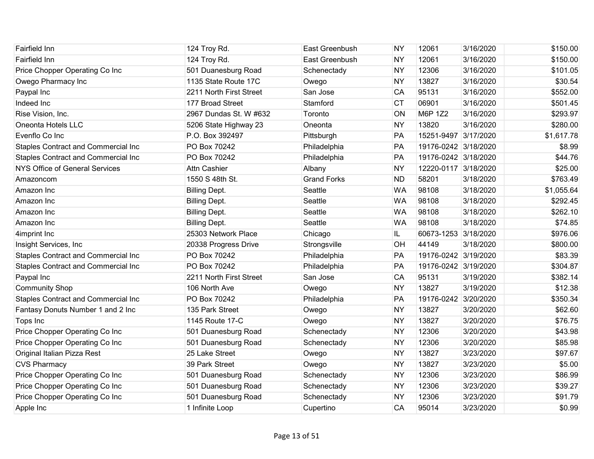| Fairfield Inn                              | 124 Troy Rd.            | East Greenbush     | <b>NY</b> | 12061                | 3/16/2020 | \$150.00   |
|--------------------------------------------|-------------------------|--------------------|-----------|----------------------|-----------|------------|
| <b>Fairfield Inn</b>                       | 124 Troy Rd.            | East Greenbush     | <b>NY</b> | 12061                | 3/16/2020 | \$150.00   |
| Price Chopper Operating Co Inc             | 501 Duanesburg Road     | Schenectady        | <b>NY</b> | 12306                | 3/16/2020 | \$101.05   |
| Owego Pharmacy Inc                         | 1135 State Route 17C    | Owego              | <b>NY</b> | 13827                | 3/16/2020 | \$30.54    |
| Paypal Inc                                 | 2211 North First Street | San Jose           | CA        | 95131                | 3/16/2020 | \$552.00   |
| Indeed Inc                                 | 177 Broad Street        | Stamford           | <b>CT</b> | 06901                | 3/16/2020 | \$501.45   |
| Rise Vision, Inc.                          | 2967 Dundas St. W #632  | Toronto            | ON        | M6P 1Z2              | 3/16/2020 | \$293.97   |
| Oneonta Hotels LLC                         | 5206 State Highway 23   | Oneonta            | <b>NY</b> | 13820                | 3/16/2020 | \$280.00   |
| Evenflo Co Inc                             | P.O. Box 392497         | Pittsburgh         | PA        | 15251-9497 3/17/2020 |           | \$1,617.78 |
| <b>Staples Contract and Commercial Inc</b> | PO Box 70242            | Philadelphia       | PA        | 19176-0242 3/18/2020 |           | \$8.99     |
| Staples Contract and Commercial Inc        | PO Box 70242            | Philadelphia       | PA        | 19176-0242 3/18/2020 |           | \$44.76    |
| <b>NYS Office of General Services</b>      | <b>Attn Cashier</b>     | Albany             | <b>NY</b> | 12220-0117 3/18/2020 |           | \$25.00    |
| Amazoncom                                  | 1550 S 48th St.         | <b>Grand Forks</b> | <b>ND</b> | 58201                | 3/18/2020 | \$763.49   |
| Amazon Inc                                 | <b>Billing Dept.</b>    | Seattle            | <b>WA</b> | 98108                | 3/18/2020 | \$1,055.64 |
| Amazon Inc                                 | <b>Billing Dept.</b>    | Seattle            | <b>WA</b> | 98108                | 3/18/2020 | \$292.45   |
| Amazon Inc                                 | <b>Billing Dept.</b>    | Seattle            | <b>WA</b> | 98108                | 3/18/2020 | \$262.10   |
| Amazon Inc                                 | <b>Billing Dept.</b>    | Seattle            | <b>WA</b> | 98108                | 3/18/2020 | \$74.85    |
| 4imprint Inc                               | 25303 Network Place     | Chicago            | IL.       | 60673-1253           | 3/18/2020 | \$976.06   |
| Insight Services, Inc.                     | 20338 Progress Drive    | Strongsville       | OH        | 44149                | 3/18/2020 | \$800.00   |
| Staples Contract and Commercial Inc        | PO Box 70242            | Philadelphia       | PA        | 19176-0242 3/19/2020 |           | \$83.39    |
| Staples Contract and Commercial Inc        | PO Box 70242            | Philadelphia       | PA        | 19176-0242 3/19/2020 |           | \$304.87   |
| Paypal Inc                                 | 2211 North First Street | San Jose           | CA        | 95131                | 3/19/2020 | \$382.14   |
| <b>Community Shop</b>                      | 106 North Ave           | Owego              | <b>NY</b> | 13827                | 3/19/2020 | \$12.38    |
| Staples Contract and Commercial Inc        | PO Box 70242            | Philadelphia       | PA        | 19176-0242 3/20/2020 |           | \$350.34   |
| Fantasy Donuts Number 1 and 2 Inc          | 135 Park Street         | Owego              | <b>NY</b> | 13827                | 3/20/2020 | \$62.60    |
| Tops Inc                                   | 1145 Route 17-C         | Owego              | <b>NY</b> | 13827                | 3/20/2020 | \$76.75    |
| Price Chopper Operating Co Inc             | 501 Duanesburg Road     | Schenectady        | <b>NY</b> | 12306                | 3/20/2020 | \$43.98    |
| Price Chopper Operating Co Inc             | 501 Duanesburg Road     | Schenectady        | <b>NY</b> | 12306                | 3/20/2020 | \$85.98    |
| Original Italian Pizza Rest                | 25 Lake Street          | Owego              | <b>NY</b> | 13827                | 3/23/2020 | \$97.67    |
| <b>CVS Pharmacy</b>                        | 39 Park Street          | Owego              | <b>NY</b> | 13827                | 3/23/2020 | \$5.00     |
| Price Chopper Operating Co Inc             | 501 Duanesburg Road     | Schenectady        | <b>NY</b> | 12306                | 3/23/2020 | \$86.99    |
| Price Chopper Operating Co Inc             | 501 Duanesburg Road     | Schenectady        | <b>NY</b> | 12306                | 3/23/2020 | \$39.27    |
| Price Chopper Operating Co Inc             | 501 Duanesburg Road     | Schenectady        | <b>NY</b> | 12306                | 3/23/2020 | \$91.79    |
| Apple Inc                                  | 1 Infinite Loop         | Cupertino          | CA        | 95014                | 3/23/2020 | \$0.99     |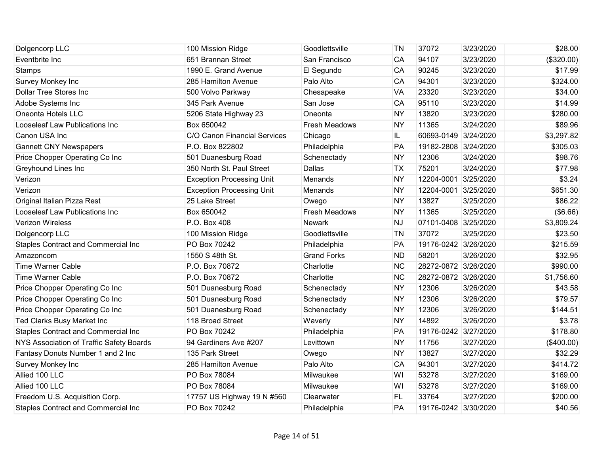| Dolgencorp LLC                             | 100 Mission Ridge                | Goodlettsville       | ΤN        | 37072                | 3/23/2020 | \$28.00    |
|--------------------------------------------|----------------------------------|----------------------|-----------|----------------------|-----------|------------|
| Eventbrite Inc                             | 651 Brannan Street               | San Francisco        | CA        | 94107                | 3/23/2020 | (\$320.00) |
| <b>Stamps</b>                              | 1990 E. Grand Avenue             | El Segundo           | CA        | 90245                | 3/23/2020 | \$17.99    |
| <b>Survey Monkey Inc</b>                   | 285 Hamilton Avenue              | Palo Alto            | CA        | 94301                | 3/23/2020 | \$324.00   |
| <b>Dollar Tree Stores Inc</b>              | 500 Volvo Parkway                | Chesapeake           | <b>VA</b> | 23320                | 3/23/2020 | \$34.00    |
| Adobe Systems Inc                          | 345 Park Avenue                  | San Jose             | CA        | 95110                | 3/23/2020 | \$14.99    |
| Oneonta Hotels LLC                         | 5206 State Highway 23            | Oneonta              | <b>NY</b> | 13820                | 3/23/2020 | \$280.00   |
| Looseleaf Law Publications Inc             | Box 650042                       | <b>Fresh Meadows</b> | <b>NY</b> | 11365                | 3/24/2020 | \$89.96    |
| Canon USA Inc                              | C/O Canon Financial Services     | Chicago              | IL.       | 60693-0149 3/24/2020 |           | \$3,297.82 |
| <b>Gannett CNY Newspapers</b>              | P.O. Box 822802                  | Philadelphia         | PA        | 19182-2808 3/24/2020 |           | \$305.03   |
| Price Chopper Operating Co Inc             | 501 Duanesburg Road              | Schenectady          | <b>NY</b> | 12306                | 3/24/2020 | \$98.76    |
| Greyhound Lines Inc                        | 350 North St. Paul Street        | Dallas               | <b>TX</b> | 75201                | 3/24/2020 | \$77.98    |
| Verizon                                    | <b>Exception Processing Unit</b> | Menands              | <b>NY</b> | 12204-0001           | 3/25/2020 | \$3.24     |
| Verizon                                    | <b>Exception Processing Unit</b> | Menands              | <b>NY</b> | 12204-0001 3/25/2020 |           | \$651.30   |
| Original Italian Pizza Rest                | 25 Lake Street                   | Owego                | <b>NY</b> | 13827                | 3/25/2020 | \$86.22    |
| Looseleaf Law Publications Inc             | Box 650042                       | Fresh Meadows        | <b>NY</b> | 11365                | 3/25/2020 | (\$6.66)   |
| <b>Verizon Wireless</b>                    | P.O. Box 408                     | <b>Newark</b>        | <b>NJ</b> | 07101-0408           | 3/25/2020 | \$3,809.24 |
| Dolgencorp LLC                             | 100 Mission Ridge                | Goodlettsville       | <b>TN</b> | 37072                | 3/25/2020 | \$23.50    |
| Staples Contract and Commercial Inc        | PO Box 70242                     | Philadelphia         | PA        | 19176-0242 3/26/2020 |           | \$215.59   |
| Amazoncom                                  | 1550 S 48th St.                  | <b>Grand Forks</b>   | <b>ND</b> | 58201                | 3/26/2020 | \$32.95    |
| <b>Time Warner Cable</b>                   | P.O. Box 70872                   | Charlotte            | <b>NC</b> | 28272-0872 3/26/2020 |           | \$990.00   |
| <b>Time Warner Cable</b>                   | P.O. Box 70872                   | Charlotte            | <b>NC</b> | 28272-0872 3/26/2020 |           | \$1,756.60 |
| Price Chopper Operating Co Inc             | 501 Duanesburg Road              | Schenectady          | <b>NY</b> | 12306                | 3/26/2020 | \$43.58    |
| Price Chopper Operating Co Inc             | 501 Duanesburg Road              | Schenectady          | <b>NY</b> | 12306                | 3/26/2020 | \$79.57    |
| Price Chopper Operating Co Inc             | 501 Duanesburg Road              | Schenectady          | <b>NY</b> | 12306                | 3/26/2020 | \$144.51   |
| Ted Clarks Busy Market Inc                 | 118 Broad Street                 | Waverly              | <b>NY</b> | 14892                | 3/26/2020 | \$3.78     |
| Staples Contract and Commercial Inc        | PO Box 70242                     | Philadelphia         | PA        | 19176-0242 3/27/2020 |           | \$178.80   |
| NYS Association of Traffic Safety Boards   | 94 Gardiners Ave #207            | Levittown            | <b>NY</b> | 11756                | 3/27/2020 | (\$400.00) |
| Fantasy Donuts Number 1 and 2 Inc          | 135 Park Street                  | Owego                | <b>NY</b> | 13827                | 3/27/2020 | \$32.29    |
| Survey Monkey Inc                          | 285 Hamilton Avenue              | Palo Alto            | CA        | 94301                | 3/27/2020 | \$414.72   |
| Allied 100 LLC                             | PO Box 78084                     | Milwaukee            | WI        | 53278                | 3/27/2020 | \$169.00   |
| Allied 100 LLC                             | PO Box 78084                     | Milwaukee            | WI        | 53278                | 3/27/2020 | \$169.00   |
| Freedom U.S. Acquisition Corp.             | 17757 US Highway 19 N #560       | Clearwater           | FL        | 33764                | 3/27/2020 | \$200.00   |
| <b>Staples Contract and Commercial Inc</b> | PO Box 70242                     | Philadelphia         | PA        | 19176-0242 3/30/2020 |           | \$40.56    |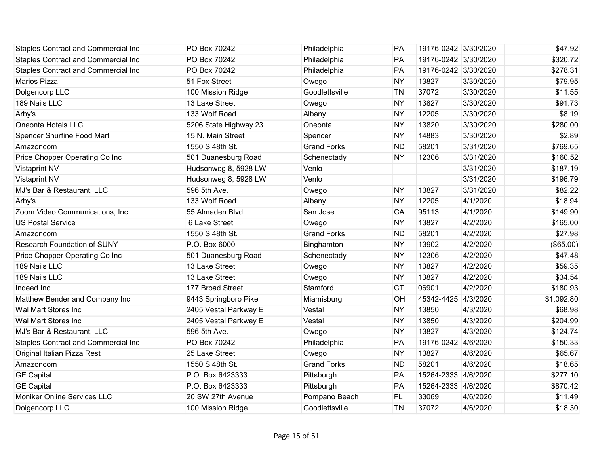| Staples Contract and Commercial Inc        | PO Box 70242          | Philadelphia       | <b>PA</b> | 19176-0242 3/30/2020 |           | \$47.92    |
|--------------------------------------------|-----------------------|--------------------|-----------|----------------------|-----------|------------|
| <b>Staples Contract and Commercial Inc</b> | PO Box 70242          | Philadelphia       | <b>PA</b> | 19176-0242 3/30/2020 |           | \$320.72   |
| Staples Contract and Commercial Inc        | PO Box 70242          | Philadelphia       | PA        | 19176-0242 3/30/2020 |           | \$278.31   |
| <b>Marios Pizza</b>                        | 51 Fox Street         | Owego              | <b>NY</b> | 13827                | 3/30/2020 | \$79.95    |
| Dolgencorp LLC                             | 100 Mission Ridge     | Goodlettsville     | <b>TN</b> | 37072                | 3/30/2020 | \$11.55    |
| 189 Nails LLC                              | 13 Lake Street        | Owego              | <b>NY</b> | 13827                | 3/30/2020 | \$91.73    |
| Arby's                                     | 133 Wolf Road         | Albany             | <b>NY</b> | 12205                | 3/30/2020 | \$8.19     |
| Oneonta Hotels LLC                         | 5206 State Highway 23 | Oneonta            | <b>NY</b> | 13820                | 3/30/2020 | \$280.00   |
| <b>Spencer Shurfine Food Mart</b>          | 15 N. Main Street     | Spencer            | <b>NY</b> | 14883                | 3/30/2020 | \$2.89     |
| Amazoncom                                  | 1550 S 48th St.       | <b>Grand Forks</b> | <b>ND</b> | 58201                | 3/31/2020 | \$769.65   |
| Price Chopper Operating Co Inc             | 501 Duanesburg Road   | Schenectady        | <b>NY</b> | 12306                | 3/31/2020 | \$160.52   |
| <b>Vistaprint NV</b>                       | Hudsonweg 8, 5928 LW  | Venlo              |           |                      | 3/31/2020 | \$187.19   |
| <b>Vistaprint NV</b>                       | Hudsonweg 8, 5928 LW  | Venlo              |           |                      | 3/31/2020 | \$196.79   |
| MJ's Bar & Restaurant, LLC                 | 596 5th Ave.          | Owego              | <b>NY</b> | 13827                | 3/31/2020 | \$82.22    |
| Arby's                                     | 133 Wolf Road         | Albany             | <b>NY</b> | 12205                | 4/1/2020  | \$18.94    |
| Zoom Video Communications, Inc.            | 55 Almaden Blvd.      | San Jose           | <b>CA</b> | 95113                | 4/1/2020  | \$149.90   |
| <b>US Postal Service</b>                   | 6 Lake Street         | Owego              | <b>NY</b> | 13827                | 4/2/2020  | \$165.00   |
| Amazoncom                                  | 1550 S 48th St.       | <b>Grand Forks</b> | <b>ND</b> | 58201                | 4/2/2020  | \$27.98    |
| <b>Research Foundation of SUNY</b>         | P.O. Box 6000         | Binghamton         | <b>NY</b> | 13902                | 4/2/2020  | (\$65.00)  |
| Price Chopper Operating Co Inc             | 501 Duanesburg Road   | Schenectady        | <b>NY</b> | 12306                | 4/2/2020  | \$47.48    |
| 189 Nails LLC                              | 13 Lake Street        | Owego              | <b>NY</b> | 13827                | 4/2/2020  | \$59.35    |
| 189 Nails LLC                              | 13 Lake Street        | Owego              | <b>NY</b> | 13827                | 4/2/2020  | \$34.54    |
| Indeed Inc                                 | 177 Broad Street      | Stamford           | <b>CT</b> | 06901                | 4/2/2020  | \$180.93   |
| Matthew Bender and Company Inc             | 9443 Springboro Pike  | Miamisburg         | OH        | 45342-4425 4/3/2020  |           | \$1,092.80 |
| Wal Mart Stores Inc                        | 2405 Vestal Parkway E | Vestal             | <b>NY</b> | 13850                | 4/3/2020  | \$68.98    |
| Wal Mart Stores Inc                        | 2405 Vestal Parkway E | Vestal             | <b>NY</b> | 13850                | 4/3/2020  | \$204.99   |
| MJ's Bar & Restaurant, LLC                 | 596 5th Ave.          | Owego              | <b>NY</b> | 13827                | 4/3/2020  | \$124.74   |
| <b>Staples Contract and Commercial Inc</b> | PO Box 70242          | Philadelphia       | PA        | 19176-0242 4/6/2020  |           | \$150.33   |
| Original Italian Pizza Rest                | 25 Lake Street        | Owego              | <b>NY</b> | 13827                | 4/6/2020  | \$65.67    |
| Amazoncom                                  | 1550 S 48th St.       | <b>Grand Forks</b> | <b>ND</b> | 58201                | 4/6/2020  | \$18.65    |
| <b>GE Capital</b>                          | P.O. Box 6423333      | Pittsburgh         | PA        | 15264-2333 4/6/2020  |           | \$277.10   |
| <b>GE Capital</b>                          | P.O. Box 6423333      | Pittsburgh         | PA        | 15264-2333 4/6/2020  |           | \$870.42   |
| <b>Moniker Online Services LLC</b>         | 20 SW 27th Avenue     | Pompano Beach      | FL.       | 33069                | 4/6/2020  | \$11.49    |
| Dolgencorp LLC                             | 100 Mission Ridge     | Goodlettsville     | <b>TN</b> | 37072                | 4/6/2020  | \$18.30    |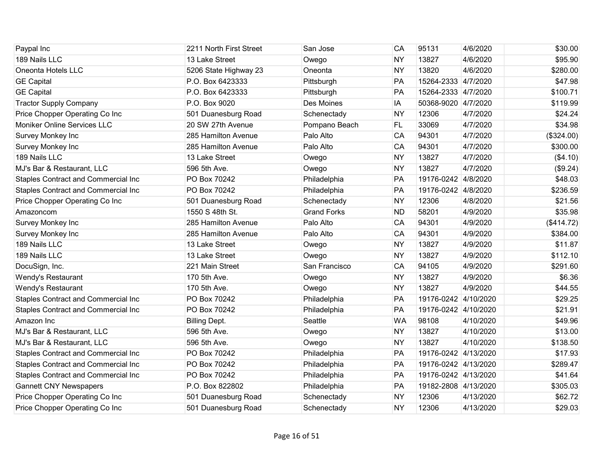| Paypal Inc                                 | 2211 North First Street | San Jose           | CA        | 95131                | 4/6/2020  | \$30.00    |
|--------------------------------------------|-------------------------|--------------------|-----------|----------------------|-----------|------------|
| 189 Nails LLC                              | 13 Lake Street          | Owego              | <b>NY</b> | 13827                | 4/6/2020  | \$95.90    |
| Oneonta Hotels LLC                         | 5206 State Highway 23   | Oneonta            | <b>NY</b> | 13820                | 4/6/2020  | \$280.00   |
| <b>GE Capital</b>                          | P.O. Box 6423333        | Pittsburgh         | PA        | 15264-2333 4/7/2020  |           | \$47.98    |
| <b>GE Capital</b>                          | P.O. Box 6423333        | Pittsburgh         | PA        | 15264-2333 4/7/2020  |           | \$100.71   |
| <b>Tractor Supply Company</b>              | P.O. Box 9020           | Des Moines         | IA        | 50368-9020 4/7/2020  |           | \$119.99   |
| Price Chopper Operating Co Inc             | 501 Duanesburg Road     | Schenectady        | <b>NY</b> | 12306                | 4/7/2020  | \$24.24    |
| Moniker Online Services LLC                | 20 SW 27th Avenue       | Pompano Beach      | FL        | 33069                | 4/7/2020  | \$34.98    |
| Survey Monkey Inc                          | 285 Hamilton Avenue     | Palo Alto          | CA        | 94301                | 4/7/2020  | (\$324.00) |
| Survey Monkey Inc                          | 285 Hamilton Avenue     | Palo Alto          | CA        | 94301                | 4/7/2020  | \$300.00   |
| 189 Nails LLC                              | 13 Lake Street          | Owego              | <b>NY</b> | 13827                | 4/7/2020  | (\$4.10)   |
| MJ's Bar & Restaurant, LLC                 | 596 5th Ave.            | Owego              | <b>NY</b> | 13827                | 4/7/2020  | (\$9.24)   |
| <b>Staples Contract and Commercial Inc</b> | PO Box 70242            | Philadelphia       | PA        | 19176-0242 4/8/2020  |           | \$48.03    |
| Staples Contract and Commercial Inc        | PO Box 70242            | Philadelphia       | PA        | 19176-0242 4/8/2020  |           | \$236.59   |
| Price Chopper Operating Co Inc             | 501 Duanesburg Road     | Schenectady        | <b>NY</b> | 12306                | 4/8/2020  | \$21.56    |
| Amazoncom                                  | 1550 S 48th St.         | <b>Grand Forks</b> | <b>ND</b> | 58201                | 4/9/2020  | \$35.98    |
| Survey Monkey Inc                          | 285 Hamilton Avenue     | Palo Alto          | CA        | 94301                | 4/9/2020  | (\$414.72) |
| Survey Monkey Inc                          | 285 Hamilton Avenue     | Palo Alto          | CA        | 94301                | 4/9/2020  | \$384.00   |
| 189 Nails LLC                              | 13 Lake Street          | Owego              | <b>NY</b> | 13827                | 4/9/2020  | \$11.87    |
| 189 Nails LLC                              | 13 Lake Street          | Owego              | <b>NY</b> | 13827                | 4/9/2020  | \$112.10   |
| DocuSign, Inc.                             | 221 Main Street         | San Francisco      | CA        | 94105                | 4/9/2020  | \$291.60   |
| Wendy's Restaurant                         | 170 5th Ave.            | Owego              | <b>NY</b> | 13827                | 4/9/2020  | \$6.36     |
| Wendy's Restaurant                         | 170 5th Ave.            | Owego              | <b>NY</b> | 13827                | 4/9/2020  | \$44.55    |
| <b>Staples Contract and Commercial Inc</b> | PO Box 70242            | Philadelphia       | PA        | 19176-0242 4/10/2020 |           | \$29.25    |
| <b>Staples Contract and Commercial Inc</b> | PO Box 70242            | Philadelphia       | PA        | 19176-0242 4/10/2020 |           | \$21.91    |
| Amazon Inc                                 | <b>Billing Dept.</b>    | Seattle            | <b>WA</b> | 98108                | 4/10/2020 | \$49.96    |
| MJ's Bar & Restaurant, LLC                 | 596 5th Ave.            | Owego              | <b>NY</b> | 13827                | 4/10/2020 | \$13.00    |
| MJ's Bar & Restaurant, LLC                 | 596 5th Ave.            | Owego              | <b>NY</b> | 13827                | 4/10/2020 | \$138.50   |
| <b>Staples Contract and Commercial Inc</b> | PO Box 70242            | Philadelphia       | PA        | 19176-0242 4/13/2020 |           | \$17.93    |
| Staples Contract and Commercial Inc        | PO Box 70242            | Philadelphia       | PA        | 19176-0242 4/13/2020 |           | \$289.47   |
| Staples Contract and Commercial Inc        | PO Box 70242            | Philadelphia       | PA        | 19176-0242 4/13/2020 |           | \$41.64    |
| <b>Gannett CNY Newspapers</b>              | P.O. Box 822802         | Philadelphia       | PA        | 19182-2808 4/13/2020 |           | \$305.03   |
| Price Chopper Operating Co Inc             | 501 Duanesburg Road     | Schenectady        | <b>NY</b> | 12306                | 4/13/2020 | \$62.72    |
| Price Chopper Operating Co Inc             | 501 Duanesburg Road     | Schenectady        | <b>NY</b> | 12306                | 4/13/2020 | \$29.03    |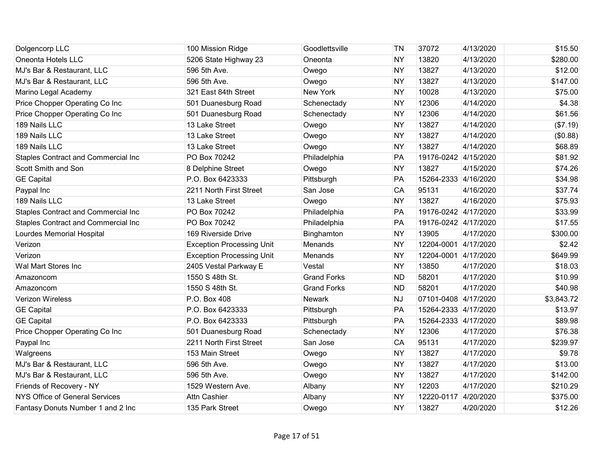| Dolgencorp LLC                             | 100 Mission Ridge                | Goodlettsville     | ΤN        | 37072                | 4/13/2020 | \$15.50    |
|--------------------------------------------|----------------------------------|--------------------|-----------|----------------------|-----------|------------|
| Oneonta Hotels LLC                         | 5206 State Highway 23            | Oneonta            | <b>NY</b> | 13820                | 4/13/2020 | \$280.00   |
| MJ's Bar & Restaurant, LLC                 | 596 5th Ave.                     | Owego              | <b>NY</b> | 13827                | 4/13/2020 | \$12.00    |
| MJ's Bar & Restaurant, LLC                 | 596 5th Ave.                     | Owego              | <b>NY</b> | 13827                | 4/13/2020 | \$147.00   |
| Marino Legal Academy                       | 321 East 84th Street             | New York           | <b>NY</b> | 10028                | 4/13/2020 | \$75.00    |
| Price Chopper Operating Co Inc             | 501 Duanesburg Road              | Schenectady        | <b>NY</b> | 12306                | 4/14/2020 | \$4.38     |
| Price Chopper Operating Co Inc             | 501 Duanesburg Road              | Schenectady        | <b>NY</b> | 12306                | 4/14/2020 | \$61.56    |
| 189 Nails LLC                              | 13 Lake Street                   | Owego              | <b>NY</b> | 13827                | 4/14/2020 | (\$7.19)   |
| 189 Nails LLC                              | 13 Lake Street                   | Owego              | <b>NY</b> | 13827                | 4/14/2020 | (\$0.88)   |
| 189 Nails LLC                              | 13 Lake Street                   | Owego              | <b>NY</b> | 13827                | 4/14/2020 | \$68.89    |
| <b>Staples Contract and Commercial Inc</b> | PO Box 70242                     | Philadelphia       | PA        | 19176-0242 4/15/2020 |           | \$81.92    |
| Scott Smith and Son                        | 8 Delphine Street                | Owego              | <b>NY</b> | 13827                | 4/15/2020 | \$74.26    |
| <b>GE Capital</b>                          | P.O. Box 6423333                 | Pittsburgh         | PA        | 15264-2333 4/16/2020 |           | \$34.98    |
| Paypal Inc                                 | 2211 North First Street          | San Jose           | CA        | 95131                | 4/16/2020 | \$37.74    |
| 189 Nails LLC                              | 13 Lake Street                   | Owego              | <b>NY</b> | 13827                | 4/16/2020 | \$75.93    |
| Staples Contract and Commercial Inc        | PO Box 70242                     | Philadelphia       | PA        | 19176-0242 4/17/2020 |           | \$33.99    |
| Staples Contract and Commercial Inc        | PO Box 70242                     | Philadelphia       | PA        | 19176-0242 4/17/2020 |           | \$17.55    |
| Lourdes Memorial Hospital                  | 169 Riverside Drive              | Binghamton         | <b>NY</b> | 13905                | 4/17/2020 | \$300.00   |
| Verizon                                    | <b>Exception Processing Unit</b> | Menands            | <b>NY</b> | 12204-0001 4/17/2020 |           | \$2.42     |
| Verizon                                    | <b>Exception Processing Unit</b> | Menands            | <b>NY</b> | 12204-0001 4/17/2020 |           | \$649.99   |
| Wal Mart Stores Inc                        | 2405 Vestal Parkway E            | Vestal             | <b>NY</b> | 13850                | 4/17/2020 | \$18.03    |
| Amazoncom                                  | 1550 S 48th St.                  | <b>Grand Forks</b> | <b>ND</b> | 58201                | 4/17/2020 | \$10.99    |
| Amazoncom                                  | 1550 S 48th St.                  | <b>Grand Forks</b> | <b>ND</b> | 58201                | 4/17/2020 | \$40.98    |
| <b>Verizon Wireless</b>                    | P.O. Box 408                     | <b>Newark</b>      | <b>NJ</b> | 07101-0408 4/17/2020 |           | \$3,843.72 |
| <b>GE Capital</b>                          | P.O. Box 6423333                 | Pittsburgh         | PA        | 15264-2333 4/17/2020 |           | \$13.97    |
| <b>GE Capital</b>                          | P.O. Box 6423333                 | Pittsburgh         | PA        | 15264-2333 4/17/2020 |           | \$89.98    |
| Price Chopper Operating Co Inc             | 501 Duanesburg Road              | Schenectady        | <b>NY</b> | 12306                | 4/17/2020 | \$76.38    |
| Paypal Inc                                 | 2211 North First Street          | San Jose           | CA        | 95131                | 4/17/2020 | \$239.97   |
| Walgreens                                  | 153 Main Street                  | Owego              | <b>NY</b> | 13827                | 4/17/2020 | \$9.78     |
| MJ's Bar & Restaurant, LLC                 | 596 5th Ave.                     | Owego              | <b>NY</b> | 13827                | 4/17/2020 | \$13.00    |
| MJ's Bar & Restaurant, LLC                 | 596 5th Ave.                     | Owego              | <b>NY</b> | 13827                | 4/17/2020 | \$142.00   |
| Friends of Recovery - NY                   | 1529 Western Ave.                | Albany             | <b>NY</b> | 12203                | 4/17/2020 | \$210.29   |
| <b>NYS Office of General Services</b>      | <b>Attn Cashier</b>              | Albany             | <b>NY</b> | 12220-0117           | 4/20/2020 | \$375.00   |
| Fantasy Donuts Number 1 and 2 Inc          | 135 Park Street                  | Owego              | <b>NY</b> | 13827                | 4/20/2020 | \$12.26    |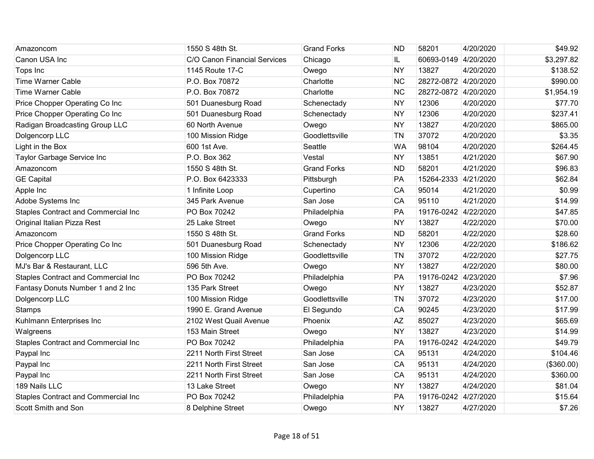| Amazoncom                                  | 1550 S 48th St.              | <b>Grand Forks</b> | <b>ND</b> | 58201                | 4/20/2020 | \$49.92    |
|--------------------------------------------|------------------------------|--------------------|-----------|----------------------|-----------|------------|
| Canon USA Inc                              | C/O Canon Financial Services | Chicago            | IL.       | 60693-0149 4/20/2020 |           | \$3,297.82 |
| Tops Inc                                   | 1145 Route 17-C              | Owego              | <b>NY</b> | 13827                | 4/20/2020 | \$138.52   |
| <b>Time Warner Cable</b>                   | P.O. Box 70872               | Charlotte          | <b>NC</b> | 28272-0872 4/20/2020 |           | \$990.00   |
| <b>Time Warner Cable</b>                   | P.O. Box 70872               | Charlotte          | <b>NC</b> | 28272-0872 4/20/2020 |           | \$1,954.19 |
| Price Chopper Operating Co Inc             | 501 Duanesburg Road          | Schenectady        | <b>NY</b> | 12306                | 4/20/2020 | \$77.70    |
| Price Chopper Operating Co Inc             | 501 Duanesburg Road          | Schenectady        | <b>NY</b> | 12306                | 4/20/2020 | \$237.41   |
| Radigan Broadcasting Group LLC             | 60 North Avenue              | Owego              | <b>NY</b> | 13827                | 4/20/2020 | \$865.00   |
| Dolgencorp LLC                             | 100 Mission Ridge            | Goodlettsville     | <b>TN</b> | 37072                | 4/20/2020 | \$3.35     |
| Light in the Box                           | 600 1st Ave.                 | Seattle            | <b>WA</b> | 98104                | 4/20/2020 | \$264.45   |
| Taylor Garbage Service Inc                 | P.O. Box 362                 | Vestal             | <b>NY</b> | 13851                | 4/21/2020 | \$67.90    |
| Amazoncom                                  | 1550 S 48th St.              | <b>Grand Forks</b> | <b>ND</b> | 58201                | 4/21/2020 | \$96.83    |
| <b>GE Capital</b>                          | P.O. Box 6423333             | Pittsburgh         | PA        | 15264-2333 4/21/2020 |           | \$62.84    |
| Apple Inc                                  | 1 Infinite Loop              | Cupertino          | CA        | 95014                | 4/21/2020 | \$0.99     |
| Adobe Systems Inc                          | 345 Park Avenue              | San Jose           | CA        | 95110                | 4/21/2020 | \$14.99    |
| Staples Contract and Commercial Inc        | PO Box 70242                 | Philadelphia       | PA        | 19176-0242 4/22/2020 |           | \$47.85    |
| Original Italian Pizza Rest                | 25 Lake Street               | Owego              | <b>NY</b> | 13827                | 4/22/2020 | \$70.00    |
| Amazoncom                                  | 1550 S 48th St.              | <b>Grand Forks</b> | <b>ND</b> | 58201                | 4/22/2020 | \$28.60    |
| Price Chopper Operating Co Inc             | 501 Duanesburg Road          | Schenectady        | <b>NY</b> | 12306                | 4/22/2020 | \$186.62   |
| Dolgencorp LLC                             | 100 Mission Ridge            | Goodlettsville     | <b>TN</b> | 37072                | 4/22/2020 | \$27.75    |
| MJ's Bar & Restaurant, LLC                 | 596 5th Ave.                 | Owego              | <b>NY</b> | 13827                | 4/22/2020 | \$80.00    |
| Staples Contract and Commercial Inc        | PO Box 70242                 | Philadelphia       | PA        | 19176-0242 4/23/2020 |           | \$7.96     |
| Fantasy Donuts Number 1 and 2 Inc          | 135 Park Street              | Owego              | <b>NY</b> | 13827                | 4/23/2020 | \$52.87    |
| Dolgencorp LLC                             | 100 Mission Ridge            | Goodlettsville     | <b>TN</b> | 37072                | 4/23/2020 | \$17.00    |
| <b>Stamps</b>                              | 1990 E. Grand Avenue         | El Segundo         | CA        | 90245                | 4/23/2020 | \$17.99    |
| Kuhlmann Enterprises Inc                   | 2102 West Quail Avenue       | Phoenix            | <b>AZ</b> | 85027                | 4/23/2020 | \$65.69    |
| Walgreens                                  | 153 Main Street              | Owego              | <b>NY</b> | 13827                | 4/23/2020 | \$14.99    |
| <b>Staples Contract and Commercial Inc</b> | PO Box 70242                 | Philadelphia       | PA        | 19176-0242 4/24/2020 |           | \$49.79    |
| Paypal Inc                                 | 2211 North First Street      | San Jose           | CA        | 95131                | 4/24/2020 | \$104.46   |
| Paypal Inc                                 | 2211 North First Street      | San Jose           | CA        | 95131                | 4/24/2020 | (\$360.00) |
| Paypal Inc                                 | 2211 North First Street      | San Jose           | CA        | 95131                | 4/24/2020 | \$360.00   |
| 189 Nails LLC                              | 13 Lake Street               | Owego              | <b>NY</b> | 13827                | 4/24/2020 | \$81.04    |
| <b>Staples Contract and Commercial Inc</b> | PO Box 70242                 | Philadelphia       | PA        | 19176-0242 4/27/2020 |           | \$15.64    |
| Scott Smith and Son                        | 8 Delphine Street            | Owego              | <b>NY</b> | 13827                | 4/27/2020 | \$7.26     |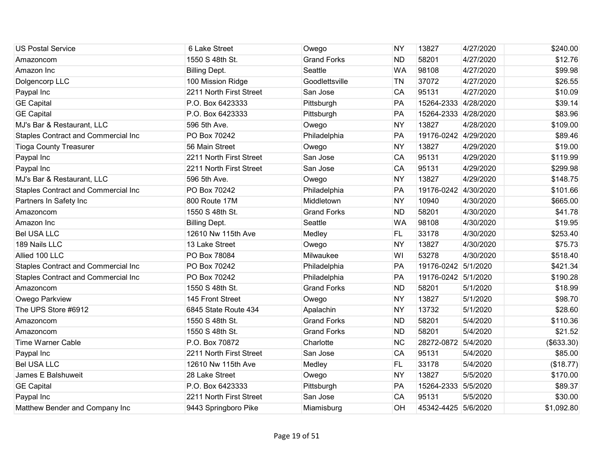| <b>US Postal Service</b>                   | 6 Lake Street           | Owego              | <b>NY</b> | 13827                | 4/27/2020 | \$240.00    |
|--------------------------------------------|-------------------------|--------------------|-----------|----------------------|-----------|-------------|
| Amazoncom                                  | 1550 S 48th St.         | <b>Grand Forks</b> | <b>ND</b> | 58201                | 4/27/2020 | \$12.76     |
| Amazon Inc                                 | <b>Billing Dept.</b>    | Seattle            | <b>WA</b> | 98108                | 4/27/2020 | \$99.98     |
| Dolgencorp LLC                             | 100 Mission Ridge       | Goodlettsville     | <b>TN</b> | 37072                | 4/27/2020 | \$26.55     |
| Paypal Inc                                 | 2211 North First Street | San Jose           | CA        | 95131                | 4/27/2020 | \$10.09     |
| <b>GE</b> Capital                          | P.O. Box 6423333        | Pittsburgh         | PA        | 15264-2333 4/28/2020 |           | \$39.14     |
| <b>GE Capital</b>                          | P.O. Box 6423333        | Pittsburgh         | PA        | 15264-2333 4/28/2020 |           | \$83.96     |
| MJ's Bar & Restaurant, LLC                 | 596 5th Ave.            | Owego              | <b>NY</b> | 13827                | 4/28/2020 | \$109.00    |
| Staples Contract and Commercial Inc        | PO Box 70242            | Philadelphia       | PA        | 19176-0242 4/29/2020 |           | \$89.46     |
| <b>Tioga County Treasurer</b>              | 56 Main Street          | Owego              | <b>NY</b> | 13827                | 4/29/2020 | \$19.00     |
| Paypal Inc                                 | 2211 North First Street | San Jose           | CA        | 95131                | 4/29/2020 | \$119.99    |
| Paypal Inc                                 | 2211 North First Street | San Jose           | CA        | 95131                | 4/29/2020 | \$299.98    |
| MJ's Bar & Restaurant, LLC                 | 596 5th Ave.            | Owego              | <b>NY</b> | 13827                | 4/29/2020 | \$148.75    |
| <b>Staples Contract and Commercial Inc</b> | PO Box 70242            | Philadelphia       | PA        | 19176-0242 4/30/2020 |           | \$101.66    |
| Partners In Safety Inc                     | 800 Route 17M           | Middletown         | <b>NY</b> | 10940                | 4/30/2020 | \$665.00    |
| Amazoncom                                  | 1550 S 48th St.         | <b>Grand Forks</b> | <b>ND</b> | 58201                | 4/30/2020 | \$41.78     |
| Amazon Inc                                 | <b>Billing Dept.</b>    | Seattle            | <b>WA</b> | 98108                | 4/30/2020 | \$19.95     |
| <b>Bel USA LLC</b>                         | 12610 Nw 115th Ave      | Medley             | FL.       | 33178                | 4/30/2020 | \$253.40    |
| 189 Nails LLC                              | 13 Lake Street          | Owego              | <b>NY</b> | 13827                | 4/30/2020 | \$75.73     |
| Allied 100 LLC                             | PO Box 78084            | Milwaukee          | WI        | 53278                | 4/30/2020 | \$518.40    |
| Staples Contract and Commercial Inc        | PO Box 70242            | Philadelphia       | PA        | 19176-0242 5/1/2020  |           | \$421.34    |
| Staples Contract and Commercial Inc        | PO Box 70242            | Philadelphia       | PA        | 19176-0242 5/1/2020  |           | \$190.28    |
| Amazoncom                                  | 1550 S 48th St.         | <b>Grand Forks</b> | <b>ND</b> | 58201                | 5/1/2020  | \$18.99     |
| Owego Parkview                             | 145 Front Street        | Owego              | <b>NY</b> | 13827                | 5/1/2020  | \$98.70     |
| The UPS Store #6912                        | 6845 State Route 434    | Apalachin          | <b>NY</b> | 13732                | 5/1/2020  | \$28.60     |
| Amazoncom                                  | 1550 S 48th St.         | <b>Grand Forks</b> | <b>ND</b> | 58201                | 5/4/2020  | \$110.36    |
| Amazoncom                                  | 1550 S 48th St.         | <b>Grand Forks</b> | <b>ND</b> | 58201                | 5/4/2020  | \$21.52     |
| <b>Time Warner Cable</b>                   | P.O. Box 70872          | Charlotte          | <b>NC</b> | 28272-0872           | 5/4/2020  | ( \$633.30) |
| Paypal Inc                                 | 2211 North First Street | San Jose           | CA        | 95131                | 5/4/2020  | \$85.00     |
| <b>Bel USA LLC</b>                         | 12610 Nw 115th Ave      | Medley             | FL.       | 33178                | 5/4/2020  | (\$18.77)   |
| James E Balshuweit                         | 28 Lake Street          | Owego              | <b>NY</b> | 13827                | 5/5/2020  | \$170.00    |
| <b>GE Capital</b>                          | P.O. Box 6423333        | Pittsburgh         | PA        | 15264-2333           | 5/5/2020  | \$89.37     |
| Paypal Inc                                 | 2211 North First Street | San Jose           | CA        | 95131                | 5/5/2020  | \$30.00     |
| Matthew Bender and Company Inc             | 9443 Springboro Pike    | Miamisburg         | OH        | 45342-4425 5/6/2020  |           | \$1,092.80  |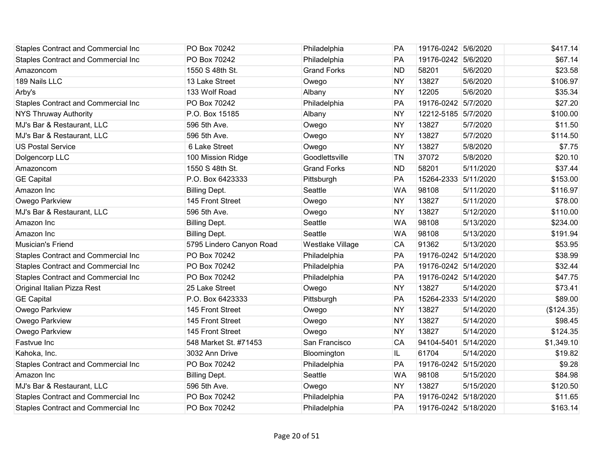| <b>Staples Contract and Commercial Inc</b> | PO Box 70242             | Philadelphia       | PA        | 19176-0242 5/6/2020  |           | \$417.14   |
|--------------------------------------------|--------------------------|--------------------|-----------|----------------------|-----------|------------|
| <b>Staples Contract and Commercial Inc</b> | PO Box 70242             | Philadelphia       | PA        | 19176-0242 5/6/2020  |           | \$67.14    |
| Amazoncom                                  | 1550 S 48th St.          | <b>Grand Forks</b> | <b>ND</b> | 58201                | 5/6/2020  | \$23.58    |
| 189 Nails LLC                              | 13 Lake Street           | Owego              | <b>NY</b> | 13827                | 5/6/2020  | \$106.97   |
| Arby's                                     | 133 Wolf Road            | Albany             | <b>NY</b> | 12205                | 5/6/2020  | \$35.34    |
| <b>Staples Contract and Commercial Inc</b> | PO Box 70242             | Philadelphia       | PA        | 19176-0242 5/7/2020  |           | \$27.20    |
| <b>NYS Thruway Authority</b>               | P.O. Box 15185           | Albany             | <b>NY</b> | 12212-5185 5/7/2020  |           | \$100.00   |
| MJ's Bar & Restaurant, LLC                 | 596 5th Ave.             | Owego              | <b>NY</b> | 13827                | 5/7/2020  | \$11.50    |
| MJ's Bar & Restaurant, LLC                 | 596 5th Ave.             | Owego              | <b>NY</b> | 13827                | 5/7/2020  | \$114.50   |
| <b>US Postal Service</b>                   | 6 Lake Street            | Owego              | <b>NY</b> | 13827                | 5/8/2020  | \$7.75     |
| Dolgencorp LLC                             | 100 Mission Ridge        | Goodlettsville     | <b>TN</b> | 37072                | 5/8/2020  | \$20.10    |
| Amazoncom                                  | 1550 S 48th St.          | <b>Grand Forks</b> | <b>ND</b> | 58201                | 5/11/2020 | \$37.44    |
| <b>GE Capital</b>                          | P.O. Box 6423333         | Pittsburgh         | PA        | 15264-2333 5/11/2020 |           | \$153.00   |
| Amazon Inc                                 | <b>Billing Dept.</b>     | Seattle            | <b>WA</b> | 98108                | 5/11/2020 | \$116.97   |
| Owego Parkview                             | 145 Front Street         | Owego              | <b>NY</b> | 13827                | 5/11/2020 | \$78.00    |
| MJ's Bar & Restaurant, LLC                 | 596 5th Ave.             | Owego              | <b>NY</b> | 13827                | 5/12/2020 | \$110.00   |
| Amazon Inc                                 | <b>Billing Dept.</b>     | Seattle            | <b>WA</b> | 98108                | 5/13/2020 | \$234.00   |
| Amazon Inc                                 | <b>Billing Dept.</b>     | Seattle            | <b>WA</b> | 98108                | 5/13/2020 | \$191.94   |
| Musician's Friend                          | 5795 Lindero Canyon Road | Westlake Village   | CA        | 91362                | 5/13/2020 | \$53.95    |
| <b>Staples Contract and Commercial Inc</b> | PO Box 70242             | Philadelphia       | PA        | 19176-0242 5/14/2020 |           | \$38.99    |
| Staples Contract and Commercial Inc        | PO Box 70242             | Philadelphia       | PA        | 19176-0242 5/14/2020 |           | \$32.44    |
| <b>Staples Contract and Commercial Inc</b> | PO Box 70242             | Philadelphia       | PA        | 19176-0242 5/14/2020 |           | \$47.75    |
| Original Italian Pizza Rest                | 25 Lake Street           | Owego              | <b>NY</b> | 13827                | 5/14/2020 | \$73.41    |
| <b>GE Capital</b>                          | P.O. Box 6423333         | Pittsburgh         | PA        | 15264-2333 5/14/2020 |           | \$89.00    |
| Owego Parkview                             | 145 Front Street         | Owego              | <b>NY</b> | 13827                | 5/14/2020 | (\$124.35) |
| Owego Parkview                             | 145 Front Street         | Owego              | <b>NY</b> | 13827                | 5/14/2020 | \$98.45    |
| Owego Parkview                             | 145 Front Street         | Owego              | <b>NY</b> | 13827                | 5/14/2020 | \$124.35   |
| Fastvue Inc                                | 548 Market St. #71453    | San Francisco      | CA        | 94104-5401           | 5/14/2020 | \$1,349.10 |
| Kahoka, Inc.                               | 3032 Ann Drive           | Bloomington        | IL        | 61704                | 5/14/2020 | \$19.82    |
| <b>Staples Contract and Commercial Inc</b> | PO Box 70242             | Philadelphia       | PA        | 19176-0242 5/15/2020 |           | \$9.28     |
| Amazon Inc                                 | <b>Billing Dept.</b>     | Seattle            | <b>WA</b> | 98108                | 5/15/2020 | \$84.98    |
| MJ's Bar & Restaurant, LLC                 | 596 5th Ave.             | Owego              | <b>NY</b> | 13827                | 5/15/2020 | \$120.50   |
| <b>Staples Contract and Commercial Inc</b> | PO Box 70242             | Philadelphia       | PA        | 19176-0242 5/18/2020 |           | \$11.65    |
| <b>Staples Contract and Commercial Inc</b> | PO Box 70242             | Philadelphia       | PA        | 19176-0242 5/18/2020 |           | \$163.14   |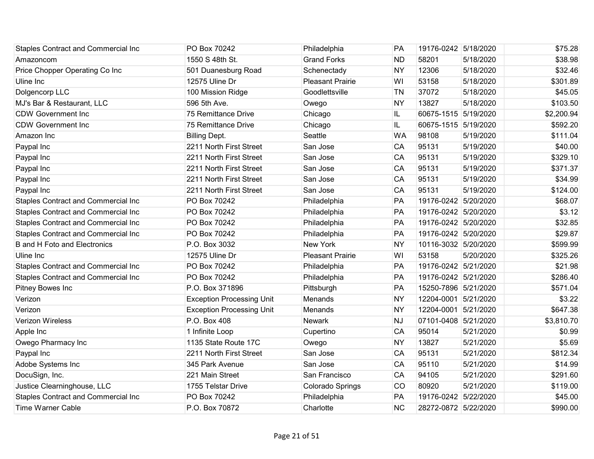| <b>Staples Contract and Commercial Inc</b> | PO Box 70242                     | Philadelphia            | PA        | 19176-0242 5/18/2020 |           | \$75.28    |
|--------------------------------------------|----------------------------------|-------------------------|-----------|----------------------|-----------|------------|
| Amazoncom                                  | 1550 S 48th St.                  | <b>Grand Forks</b>      | ND        | 58201                | 5/18/2020 | \$38.98    |
| Price Chopper Operating Co Inc             | 501 Duanesburg Road              | Schenectady             | <b>NY</b> | 12306                | 5/18/2020 | \$32.46    |
| Uline Inc                                  | 12575 Uline Dr                   | Pleasant Prairie        | WI        | 53158                | 5/18/2020 | \$301.89   |
| Dolgencorp LLC                             | 100 Mission Ridge                | Goodlettsville          | <b>TN</b> | 37072                | 5/18/2020 | \$45.05    |
| MJ's Bar & Restaurant, LLC                 | 596 5th Ave.                     | Owego                   | <b>NY</b> | 13827                | 5/18/2020 | \$103.50   |
| <b>CDW Government Inc.</b>                 | 75 Remittance Drive              | Chicago                 | IL.       | 60675-1515 5/19/2020 |           | \$2,200.94 |
| <b>CDW Government Inc</b>                  | 75 Remittance Drive              | Chicago                 | IL        | 60675-1515 5/19/2020 |           | \$592.20   |
| Amazon Inc                                 | <b>Billing Dept.</b>             | Seattle                 | <b>WA</b> | 98108                | 5/19/2020 | \$111.04   |
| Paypal Inc                                 | 2211 North First Street          | San Jose                | CA        | 95131                | 5/19/2020 | \$40.00    |
| Paypal Inc                                 | 2211 North First Street          | San Jose                | CA        | 95131                | 5/19/2020 | \$329.10   |
| Paypal Inc                                 | 2211 North First Street          | San Jose                | CA        | 95131                | 5/19/2020 | \$371.37   |
| Paypal Inc                                 | 2211 North First Street          | San Jose                | CA        | 95131                | 5/19/2020 | \$34.99    |
| Paypal Inc                                 | 2211 North First Street          | San Jose                | CA        | 95131                | 5/19/2020 | \$124.00   |
| Staples Contract and Commercial Inc        | PO Box 70242                     | Philadelphia            | PA        | 19176-0242 5/20/2020 |           | \$68.07    |
| Staples Contract and Commercial Inc        | PO Box 70242                     | Philadelphia            | PA        | 19176-0242 5/20/2020 |           | \$3.12     |
| Staples Contract and Commercial Inc        | PO Box 70242                     | Philadelphia            | PA        | 19176-0242 5/20/2020 |           | \$32.85    |
| Staples Contract and Commercial Inc        | PO Box 70242                     | Philadelphia            | PA        | 19176-0242 5/20/2020 |           | \$29.87    |
| <b>B</b> and H Foto and Electronics        | P.O. Box 3032                    | <b>New York</b>         | <b>NY</b> | 10116-3032 5/20/2020 |           | \$599.99   |
| Uline Inc                                  | 12575 Uline Dr                   | <b>Pleasant Prairie</b> | WI        | 53158                | 5/20/2020 | \$325.26   |
| Staples Contract and Commercial Inc        | PO Box 70242                     | Philadelphia            | PA        | 19176-0242 5/21/2020 |           | \$21.98    |
| Staples Contract and Commercial Inc        | PO Box 70242                     | Philadelphia            | PA        | 19176-0242 5/21/2020 |           | \$286.40   |
| Pitney Bowes Inc                           | P.O. Box 371896                  | Pittsburgh              | PA        | 15250-7896 5/21/2020 |           | \$571.04   |
| Verizon                                    | <b>Exception Processing Unit</b> | Menands                 | <b>NY</b> | 12204-0001 5/21/2020 |           | \$3.22     |
| Verizon                                    | <b>Exception Processing Unit</b> | Menands                 | <b>NY</b> | 12204-0001 5/21/2020 |           | \$647.38   |
| Verizon Wireless                           | P.O. Box 408                     | Newark                  | <b>NJ</b> | 07101-0408 5/21/2020 |           | \$3,810.70 |
| Apple Inc                                  | 1 Infinite Loop                  | Cupertino               | CA        | 95014                | 5/21/2020 | \$0.99     |
| Owego Pharmacy Inc                         | 1135 State Route 17C             | Owego                   | <b>NY</b> | 13827                | 5/21/2020 | \$5.69     |
| Paypal Inc                                 | 2211 North First Street          | San Jose                | CA        | 95131                | 5/21/2020 | \$812.34   |
| Adobe Systems Inc                          | 345 Park Avenue                  | San Jose                | CA        | 95110                | 5/21/2020 | \$14.99    |
| DocuSign, Inc.                             | 221 Main Street                  | San Francisco           | CA        | 94105                | 5/21/2020 | \$291.60   |
| Justice Clearninghouse, LLC                | 1755 Telstar Drive               | Colorado Springs        | CO        | 80920                | 5/21/2020 | \$119.00   |
| Staples Contract and Commercial Inc        | PO Box 70242                     | Philadelphia            | PA        | 19176-0242 5/22/2020 |           | \$45.00    |
| <b>Time Warner Cable</b>                   | P.O. Box 70872                   | Charlotte               | <b>NC</b> | 28272-0872 5/22/2020 |           | \$990.00   |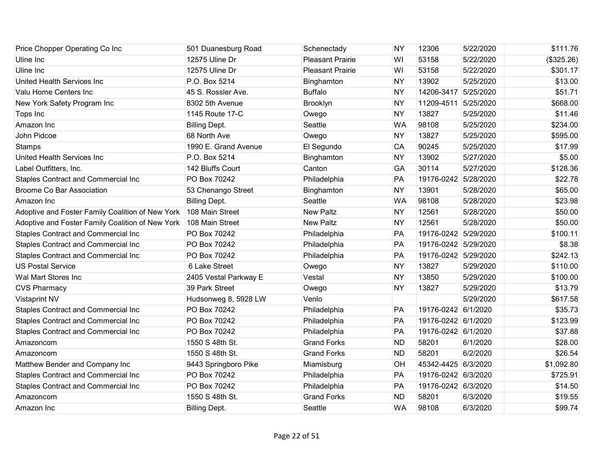| Price Chopper Operating Co Inc                   | 501 Duanesburg Road   | Schenectady             | <b>NY</b> | 12306                | 5/22/2020 | \$111.76   |
|--------------------------------------------------|-----------------------|-------------------------|-----------|----------------------|-----------|------------|
| Uline Inc                                        | 12575 Uline Dr        | <b>Pleasant Prairie</b> | WI        | 53158                | 5/22/2020 | (\$325.26) |
| Uline Inc                                        | 12575 Uline Dr        | <b>Pleasant Prairie</b> | WI        | 53158                | 5/22/2020 | \$301.17   |
| United Health Services Inc                       | P.O. Box 5214         | Binghamton              | <b>NY</b> | 13902                | 5/25/2020 | \$13.00    |
| Valu Home Centers Inc                            | 45 S. Rossler Ave.    | <b>Buffalo</b>          | <b>NY</b> | 14206-3417 5/25/2020 |           | \$51.71    |
| New York Safety Program Inc                      | 8302 5th Avenue       | Brooklyn                | <b>NY</b> | 11209-4511 5/25/2020 |           | \$668.00   |
| Tops Inc                                         | 1145 Route 17-C       | Owego                   | <b>NY</b> | 13827                | 5/25/2020 | \$11.46    |
| Amazon Inc                                       | <b>Billing Dept.</b>  | Seattle                 | <b>WA</b> | 98108                | 5/25/2020 | \$234.00   |
| John Pidcoe                                      | 68 North Ave          | Owego                   | <b>NY</b> | 13827                | 5/25/2020 | \$595.00   |
| <b>Stamps</b>                                    | 1990 E. Grand Avenue  | El Segundo              | CA        | 90245                | 5/25/2020 | \$17.99    |
| United Health Services Inc                       | P.O. Box 5214         | Binghamton              | <b>NY</b> | 13902                | 5/27/2020 | \$5.00     |
| Label Outfitters, Inc.                           | 142 Bluffs Court      | Canton                  | GA        | 30114                | 5/27/2020 | \$128.36   |
| Staples Contract and Commercial Inc              | PO Box 70242          | Philadelphia            | PA        | 19176-0242 5/28/2020 |           | \$22.78    |
| <b>Broome Co Bar Association</b>                 | 53 Chenango Street    | Binghamton              | <b>NY</b> | 13901                | 5/28/2020 | \$65.00    |
| Amazon Inc                                       | <b>Billing Dept.</b>  | Seattle                 | <b>WA</b> | 98108                | 5/28/2020 | \$23.98    |
| Adoptive and Foster Family Coalition of New York | 108 Main Street       | <b>New Paltz</b>        | <b>NY</b> | 12561                | 5/28/2020 | \$50.00    |
| Adoptive and Foster Family Coalition of New York | 108 Main Street       | <b>New Paltz</b>        | <b>NY</b> | 12561                | 5/28/2020 | \$50.00    |
| Staples Contract and Commercial Inc              | PO Box 70242          | Philadelphia            | PA        | 19176-0242 5/29/2020 |           | \$100.11   |
| Staples Contract and Commercial Inc              | PO Box 70242          | Philadelphia            | PA        | 19176-0242 5/29/2020 |           | \$8.38     |
| Staples Contract and Commercial Inc              | PO Box 70242          | Philadelphia            | PA        | 19176-0242 5/29/2020 |           | \$242.13   |
| <b>US Postal Service</b>                         | 6 Lake Street         | Owego                   | <b>NY</b> | 13827                | 5/29/2020 | \$110.00   |
| Wal Mart Stores Inc                              | 2405 Vestal Parkway E | Vestal                  | <b>NY</b> | 13850                | 5/29/2020 | \$100.00   |
| <b>CVS Pharmacy</b>                              | 39 Park Street        | Owego                   | <b>NY</b> | 13827                | 5/29/2020 | \$13.79    |
| <b>Vistaprint NV</b>                             | Hudsonweg 8, 5928 LW  | Venlo                   |           |                      | 5/29/2020 | \$617.58   |
| Staples Contract and Commercial Inc              | PO Box 70242          | Philadelphia            | PA        | 19176-0242 6/1/2020  |           | \$35.73    |
| Staples Contract and Commercial Inc              | PO Box 70242          | Philadelphia            | PA        | 19176-0242 6/1/2020  |           | \$123.99   |
| Staples Contract and Commercial Inc              | PO Box 70242          | Philadelphia            | PA        | 19176-0242 6/1/2020  |           | \$37.88    |
| Amazoncom                                        | 1550 S 48th St.       | <b>Grand Forks</b>      | <b>ND</b> | 58201                | 6/1/2020  | \$28.00    |
| Amazoncom                                        | 1550 S 48th St.       | <b>Grand Forks</b>      | <b>ND</b> | 58201                | 6/2/2020  | \$26.54    |
| Matthew Bender and Company Inc                   | 9443 Springboro Pike  | Miamisburg              | OH        | 45342-4425 6/3/2020  |           | \$1,092.80 |
| Staples Contract and Commercial Inc              | PO Box 70242          | Philadelphia            | PA        | 19176-0242 6/3/2020  |           | \$725.91   |
| <b>Staples Contract and Commercial Inc</b>       | PO Box 70242          | Philadelphia            | PA        | 19176-0242 6/3/2020  |           | \$14.50    |
| Amazoncom                                        | 1550 S 48th St.       | <b>Grand Forks</b>      | <b>ND</b> | 58201                | 6/3/2020  | \$19.55    |
| Amazon Inc                                       | <b>Billing Dept.</b>  | Seattle                 | <b>WA</b> | 98108                | 6/3/2020  | \$99.74    |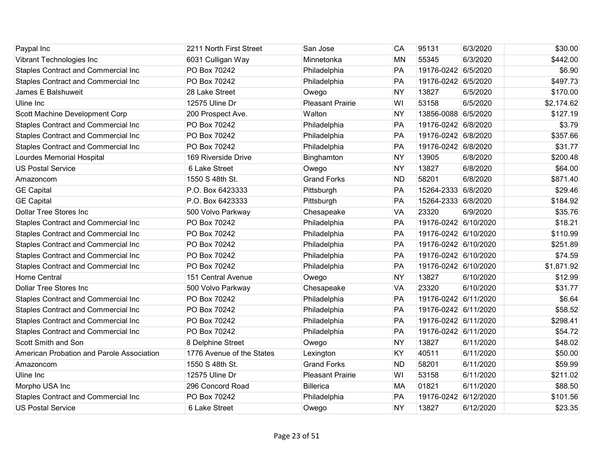| Paypal Inc                                 | 2211 North First Street   | San Jose                | CA        | 95131                | 6/3/2020  | \$30.00    |
|--------------------------------------------|---------------------------|-------------------------|-----------|----------------------|-----------|------------|
| Vibrant Technologies Inc                   | 6031 Culligan Way         | Minnetonka              | <b>MN</b> | 55345                | 6/3/2020  | \$442.00   |
| Staples Contract and Commercial Inc        | PO Box 70242              | Philadelphia            | PA        | 19176-0242 6/5/2020  |           | \$6.90     |
| <b>Staples Contract and Commercial Inc</b> | PO Box 70242              | Philadelphia            | PA        | 19176-0242 6/5/2020  |           | \$497.73   |
| James E Balshuweit                         | 28 Lake Street            | Owego                   | <b>NY</b> | 13827                | 6/5/2020  | \$170.00   |
| Uline Inc                                  | 12575 Uline Dr            | <b>Pleasant Prairie</b> | WI        | 53158                | 6/5/2020  | \$2,174.62 |
| Scott Machine Development Corp             | 200 Prospect Ave.         | Walton                  | <b>NY</b> | 13856-0088 6/5/2020  |           | \$127.19   |
| Staples Contract and Commercial Inc        | PO Box 70242              | Philadelphia            | PA        | 19176-0242 6/8/2020  |           | \$3.79     |
| <b>Staples Contract and Commercial Inc</b> | PO Box 70242              | Philadelphia            | PA        | 19176-0242 6/8/2020  |           | \$357.66   |
| <b>Staples Contract and Commercial Inc</b> | PO Box 70242              | Philadelphia            | PA        | 19176-0242 6/8/2020  |           | \$31.77    |
| Lourdes Memorial Hospital                  | 169 Riverside Drive       | Binghamton              | <b>NY</b> | 13905                | 6/8/2020  | \$200.48   |
| <b>US Postal Service</b>                   | 6 Lake Street             | Owego                   | <b>NY</b> | 13827                | 6/8/2020  | \$64.00    |
| Amazoncom                                  | 1550 S 48th St.           | <b>Grand Forks</b>      | <b>ND</b> | 58201                | 6/8/2020  | \$871.40   |
| <b>GE Capital</b>                          | P.O. Box 6423333          | Pittsburgh              | PA        | 15264-2333 6/8/2020  |           | \$29.46    |
| <b>GE Capital</b>                          | P.O. Box 6423333          | Pittsburgh              | PA        | 15264-2333 6/8/2020  |           | \$184.92   |
| <b>Dollar Tree Stores Inc</b>              | 500 Volvo Parkway         | Chesapeake              | <b>VA</b> | 23320                | 6/9/2020  | \$35.76    |
| Staples Contract and Commercial Inc        | PO Box 70242              | Philadelphia            | PA        | 19176-0242 6/10/2020 |           | \$18.21    |
| Staples Contract and Commercial Inc        | PO Box 70242              | Philadelphia            | PA        | 19176-0242 6/10/2020 |           | \$110.99   |
| <b>Staples Contract and Commercial Inc</b> | PO Box 70242              | Philadelphia            | PA        | 19176-0242 6/10/2020 |           | \$251.89   |
| <b>Staples Contract and Commercial Inc</b> | PO Box 70242              | Philadelphia            | PA        | 19176-0242 6/10/2020 |           | \$74.59    |
| Staples Contract and Commercial Inc        | PO Box 70242              | Philadelphia            | PA        | 19176-0242 6/10/2020 |           | \$1,871.92 |
| <b>Home Central</b>                        | 151 Central Avenue        | Owego                   | <b>NY</b> | 13827                | 6/10/2020 | \$12.99    |
| <b>Dollar Tree Stores Inc</b>              | 500 Volvo Parkway         | Chesapeake              | <b>VA</b> | 23320                | 6/10/2020 | \$31.77    |
| <b>Staples Contract and Commercial Inc</b> | PO Box 70242              | Philadelphia            | PA        | 19176-0242 6/11/2020 |           | \$6.64     |
| <b>Staples Contract and Commercial Inc</b> | PO Box 70242              | Philadelphia            | PA        | 19176-0242 6/11/2020 |           | \$58.52    |
| Staples Contract and Commercial Inc        | PO Box 70242              | Philadelphia            | PA        | 19176-0242 6/11/2020 |           | \$298.41   |
| Staples Contract and Commercial Inc        | PO Box 70242              | Philadelphia            | PA        | 19176-0242 6/11/2020 |           | \$54.72    |
| Scott Smith and Son                        | 8 Delphine Street         | Owego                   | <b>NY</b> | 13827                | 6/11/2020 | \$48.02    |
| American Probation and Parole Association  | 1776 Avenue of the States | Lexington               | KY        | 40511                | 6/11/2020 | \$50.00    |
| Amazoncom                                  | 1550 S 48th St.           | <b>Grand Forks</b>      | <b>ND</b> | 58201                | 6/11/2020 | \$59.99    |
| Uline Inc                                  | 12575 Uline Dr            | <b>Pleasant Prairie</b> | WI        | 53158                | 6/11/2020 | \$211.02   |
| Morpho USA Inc                             | 296 Concord Road          | <b>Billerica</b>        | MA        | 01821                | 6/11/2020 | \$88.50    |
| <b>Staples Contract and Commercial Inc</b> | PO Box 70242              | Philadelphia            | PA        | 19176-0242 6/12/2020 |           | \$101.56   |
| <b>US Postal Service</b>                   | 6 Lake Street             | Owego                   | <b>NY</b> | 13827                | 6/12/2020 | \$23.35    |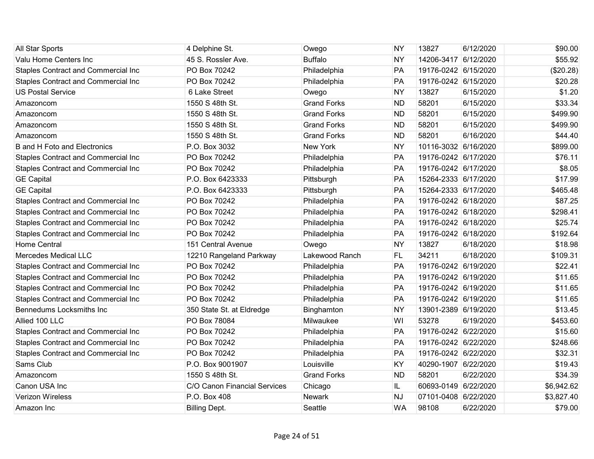| All Star Sports                            | 4 Delphine St.               | Owego              | <b>NY</b> | 13827                | 6/12/2020 | \$90.00    |
|--------------------------------------------|------------------------------|--------------------|-----------|----------------------|-----------|------------|
| Valu Home Centers Inc                      | 45 S. Rossler Ave.           | <b>Buffalo</b>     | <b>NY</b> | 14206-3417 6/12/2020 |           | \$55.92    |
| <b>Staples Contract and Commercial Inc</b> | PO Box 70242                 | Philadelphia       | PA        | 19176-0242 6/15/2020 |           | (\$20.28)  |
| <b>Staples Contract and Commercial Inc</b> | PO Box 70242                 | Philadelphia       | PA        | 19176-0242 6/15/2020 |           | \$20.28    |
| <b>US Postal Service</b>                   | 6 Lake Street                | Owego              | <b>NY</b> | 13827                | 6/15/2020 | \$1.20     |
| Amazoncom                                  | 1550 S 48th St.              | <b>Grand Forks</b> | <b>ND</b> | 58201                | 6/15/2020 | \$33.34    |
| Amazoncom                                  | 1550 S 48th St.              | <b>Grand Forks</b> | <b>ND</b> | 58201                | 6/15/2020 | \$499.90   |
| Amazoncom                                  | 1550 S 48th St.              | <b>Grand Forks</b> | <b>ND</b> | 58201                | 6/15/2020 | \$499.90   |
| Amazoncom                                  | 1550 S 48th St.              | <b>Grand Forks</b> | <b>ND</b> | 58201                | 6/16/2020 | \$44.40    |
| <b>B</b> and H Foto and Electronics        | P.O. Box 3032                | <b>New York</b>    | <b>NY</b> | 10116-3032 6/16/2020 |           | \$899.00   |
| Staples Contract and Commercial Inc        | PO Box 70242                 | Philadelphia       | PA        | 19176-0242 6/17/2020 |           | \$76.11    |
| Staples Contract and Commercial Inc        | PO Box 70242                 | Philadelphia       | PA        | 19176-0242 6/17/2020 |           | \$8.05     |
| <b>GE Capital</b>                          | P.O. Box 6423333             | Pittsburgh         | PA        | 15264-2333 6/17/2020 |           | \$17.99    |
| <b>GE Capital</b>                          | P.O. Box 6423333             | Pittsburgh         | PA        | 15264-2333 6/17/2020 |           | \$465.48   |
| <b>Staples Contract and Commercial Inc</b> | PO Box 70242                 | Philadelphia       | PA        | 19176-0242 6/18/2020 |           | \$87.25    |
| Staples Contract and Commercial Inc        | PO Box 70242                 | Philadelphia       | PA        | 19176-0242 6/18/2020 |           | \$298.41   |
| Staples Contract and Commercial Inc        | PO Box 70242                 | Philadelphia       | PA        | 19176-0242 6/18/2020 |           | \$25.74    |
| Staples Contract and Commercial Inc        | PO Box 70242                 | Philadelphia       | PA        | 19176-0242 6/18/2020 |           | \$192.64   |
| <b>Home Central</b>                        | 151 Central Avenue           | Owego              | <b>NY</b> | 13827                | 6/18/2020 | \$18.98    |
| <b>Mercedes Medical LLC</b>                | 12210 Rangeland Parkway      | Lakewood Ranch     | FL.       | 34211                | 6/18/2020 | \$109.31   |
| Staples Contract and Commercial Inc        | PO Box 70242                 | Philadelphia       | PA        | 19176-0242 6/19/2020 |           | \$22.41    |
| Staples Contract and Commercial Inc        | PO Box 70242                 | Philadelphia       | PA        | 19176-0242 6/19/2020 |           | \$11.65    |
| Staples Contract and Commercial Inc        | PO Box 70242                 | Philadelphia       | PA        | 19176-0242 6/19/2020 |           | \$11.65    |
| <b>Staples Contract and Commercial Inc</b> | PO Box 70242                 | Philadelphia       | PA        | 19176-0242 6/19/2020 |           | \$11.65    |
| Bennedums Locksmiths Inc                   | 350 State St. at Eldredge    | Binghamton         | <b>NY</b> | 13901-2389 6/19/2020 |           | \$13.45    |
| Allied 100 LLC                             | PO Box 78084                 | Milwaukee          | WI        | 53278                | 6/19/2020 | \$453.60   |
| Staples Contract and Commercial Inc        | PO Box 70242                 | Philadelphia       | PA        | 19176-0242 6/22/2020 |           | \$15.60    |
| Staples Contract and Commercial Inc        | PO Box 70242                 | Philadelphia       | PA        | 19176-0242 6/22/2020 |           | \$248.66   |
| Staples Contract and Commercial Inc        | PO Box 70242                 | Philadelphia       | PA        | 19176-0242 6/22/2020 |           | \$32.31    |
| Sams Club                                  | P.O. Box 9001907             | Louisville         | KY        | 40290-1907 6/22/2020 |           | \$19.43    |
| Amazoncom                                  | 1550 S 48th St.              | <b>Grand Forks</b> | <b>ND</b> | 58201                | 6/22/2020 | \$34.39    |
| Canon USA Inc                              | C/O Canon Financial Services | Chicago            | IL.       | 60693-0149 6/22/2020 |           | \$6,942.62 |
| Verizon Wireless                           | P.O. Box 408                 | <b>Newark</b>      | <b>NJ</b> | 07101-0408 6/22/2020 |           | \$3,827.40 |
| Amazon Inc                                 | <b>Billing Dept.</b>         | Seattle            | <b>WA</b> | 98108                | 6/22/2020 | \$79.00    |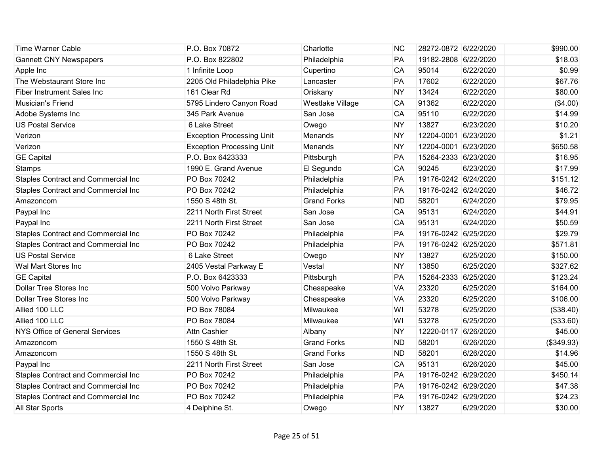| <b>Time Warner Cable</b>                   | P.O. Box 70872                   | Charlotte          | <b>NC</b> | 28272-0872 6/22/2020 |           | \$990.00   |
|--------------------------------------------|----------------------------------|--------------------|-----------|----------------------|-----------|------------|
| <b>Gannett CNY Newspapers</b>              | P.O. Box 822802                  | Philadelphia       | PA        | 19182-2808 6/22/2020 |           | \$18.03    |
| Apple Inc                                  | 1 Infinite Loop                  | Cupertino          | CA        | 95014                | 6/22/2020 | \$0.99     |
| The Webstaurant Store Inc                  | 2205 Old Philadelphia Pike       | Lancaster          | PA        | 17602                | 6/22/2020 | \$67.76    |
| <b>Fiber Instrument Sales Inc</b>          | 161 Clear Rd                     | Oriskany           | <b>NY</b> | 13424                | 6/22/2020 | \$80.00    |
| Musician's Friend                          | 5795 Lindero Canyon Road         | Westlake Village   | CA        | 91362                | 6/22/2020 | (\$4.00)   |
| Adobe Systems Inc                          | 345 Park Avenue                  | San Jose           | CA        | 95110                | 6/22/2020 | \$14.99    |
| <b>US Postal Service</b>                   | 6 Lake Street                    | Owego              | <b>NY</b> | 13827                | 6/23/2020 | \$10.20    |
| Verizon                                    | <b>Exception Processing Unit</b> | Menands            | <b>NY</b> | 12204-0001 6/23/2020 |           | \$1.21     |
| Verizon                                    | <b>Exception Processing Unit</b> | Menands            | <b>NY</b> | 12204-0001 6/23/2020 |           | \$650.58   |
| <b>GE Capital</b>                          | P.O. Box 6423333                 | Pittsburgh         | PA        | 15264-2333 6/23/2020 |           | \$16.95    |
| <b>Stamps</b>                              | 1990 E. Grand Avenue             | El Segundo         | CA        | 90245                | 6/23/2020 | \$17.99    |
| Staples Contract and Commercial Inc        | PO Box 70242                     | Philadelphia       | PA        | 19176-0242 6/24/2020 |           | \$151.12   |
| Staples Contract and Commercial Inc        | PO Box 70242                     | Philadelphia       | PA        | 19176-0242 6/24/2020 |           | \$46.72    |
| Amazoncom                                  | 1550 S 48th St.                  | <b>Grand Forks</b> | <b>ND</b> | 58201                | 6/24/2020 | \$79.95    |
| Paypal Inc                                 | 2211 North First Street          | San Jose           | CA        | 95131                | 6/24/2020 | \$44.91    |
| Paypal Inc                                 | 2211 North First Street          | San Jose           | CA        | 95131                | 6/24/2020 | \$50.59    |
| Staples Contract and Commercial Inc        | PO Box 70242                     | Philadelphia       | PA        | 19176-0242 6/25/2020 |           | \$29.79    |
| Staples Contract and Commercial Inc        | PO Box 70242                     | Philadelphia       | PA        | 19176-0242 6/25/2020 |           | \$571.81   |
| <b>US Postal Service</b>                   | 6 Lake Street                    | Owego              | <b>NY</b> | 13827                | 6/25/2020 | \$150.00   |
| Wal Mart Stores Inc                        | 2405 Vestal Parkway E            | Vestal             | <b>NY</b> | 13850                | 6/25/2020 | \$327.62   |
| <b>GE Capital</b>                          | P.O. Box 6423333                 | Pittsburgh         | PA        | 15264-2333 6/25/2020 |           | \$123.24   |
| <b>Dollar Tree Stores Inc</b>              | 500 Volvo Parkway                | Chesapeake         | <b>VA</b> | 23320                | 6/25/2020 | \$164.00   |
| Dollar Tree Stores Inc                     | 500 Volvo Parkway                | Chesapeake         | <b>VA</b> | 23320                | 6/25/2020 | \$106.00   |
| Allied 100 LLC                             | PO Box 78084                     | Milwaukee          | WI        | 53278                | 6/25/2020 | (\$38.40)  |
| Allied 100 LLC                             | PO Box 78084                     | Milwaukee          | WI        | 53278                | 6/25/2020 | (\$33.60)  |
| NYS Office of General Services             | <b>Attn Cashier</b>              | Albany             | <b>NY</b> | 12220-0117           | 6/26/2020 | \$45.00    |
| Amazoncom                                  | 1550 S 48th St.                  | <b>Grand Forks</b> | <b>ND</b> | 58201                | 6/26/2020 | (\$349.93) |
| Amazoncom                                  | 1550 S 48th St.                  | <b>Grand Forks</b> | <b>ND</b> | 58201                | 6/26/2020 | \$14.96    |
| Paypal Inc                                 | 2211 North First Street          | San Jose           | CA        | 95131                | 6/26/2020 | \$45.00    |
| Staples Contract and Commercial Inc        | PO Box 70242                     | Philadelphia       | PA        | 19176-0242 6/29/2020 |           | \$450.14   |
| <b>Staples Contract and Commercial Inc</b> | PO Box 70242                     | Philadelphia       | PA        | 19176-0242 6/29/2020 |           | \$47.38    |
| Staples Contract and Commercial Inc        | PO Box 70242                     | Philadelphia       | PA        | 19176-0242 6/29/2020 |           | \$24.23    |
| All Star Sports                            | 4 Delphine St.                   | Owego              | <b>NY</b> | 13827                | 6/29/2020 | \$30.00    |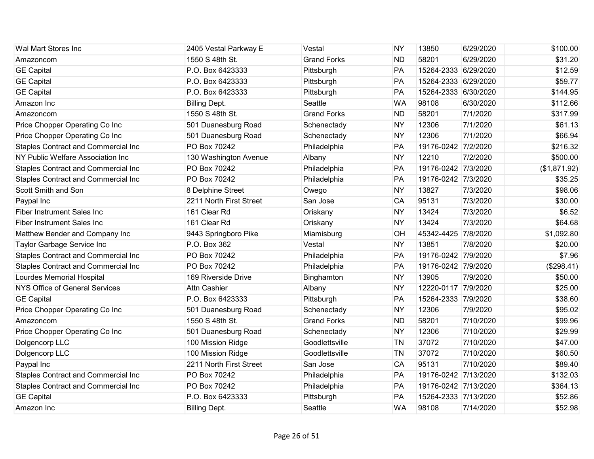| Wal Mart Stores Inc                        | 2405 Vestal Parkway E   | Vestal             | <b>NY</b> | 13850                | 6/29/2020 | \$100.00     |
|--------------------------------------------|-------------------------|--------------------|-----------|----------------------|-----------|--------------|
| Amazoncom                                  | 1550 S 48th St.         | <b>Grand Forks</b> | <b>ND</b> | 58201                | 6/29/2020 | \$31.20      |
| <b>GE Capital</b>                          | P.O. Box 6423333        | Pittsburgh         | PA        | 15264-2333 6/29/2020 |           | \$12.59      |
| <b>GE Capital</b>                          | P.O. Box 6423333        | Pittsburgh         | PA        | 15264-2333 6/29/2020 |           | \$59.77      |
| <b>GE Capital</b>                          | P.O. Box 6423333        | Pittsburgh         | PA        | 15264-2333 6/30/2020 |           | \$144.95     |
| Amazon Inc                                 | <b>Billing Dept.</b>    | Seattle            | <b>WA</b> | 98108                | 6/30/2020 | \$112.66     |
| Amazoncom                                  | 1550 S 48th St.         | <b>Grand Forks</b> | <b>ND</b> | 58201                | 7/1/2020  | \$317.99     |
| Price Chopper Operating Co Inc             | 501 Duanesburg Road     | Schenectady        | <b>NY</b> | 12306                | 7/1/2020  | \$61.13      |
| Price Chopper Operating Co Inc             | 501 Duanesburg Road     | Schenectady        | <b>NY</b> | 12306                | 7/1/2020  | \$66.94      |
| <b>Staples Contract and Commercial Inc</b> | PO Box 70242            | Philadelphia       | PA        | 19176-0242 7/2/2020  |           | \$216.32     |
| NY Public Welfare Association Inc          | 130 Washington Avenue   | Albany             | <b>NY</b> | 12210                | 7/2/2020  | \$500.00     |
| <b>Staples Contract and Commercial Inc</b> | PO Box 70242            | Philadelphia       | PA        | 19176-0242 7/3/2020  |           | (\$1,871.92) |
| Staples Contract and Commercial Inc        | PO Box 70242            | Philadelphia       | PA        | 19176-0242 7/3/2020  |           | \$35.25      |
| Scott Smith and Son                        | 8 Delphine Street       | Owego              | <b>NY</b> | 13827                | 7/3/2020  | \$98.06      |
| Paypal Inc                                 | 2211 North First Street | San Jose           | CA        | 95131                | 7/3/2020  | \$30.00      |
| <b>Fiber Instrument Sales Inc.</b>         | 161 Clear Rd            | Oriskany           | <b>NY</b> | 13424                | 7/3/2020  | \$6.52       |
| <b>Fiber Instrument Sales Inc</b>          | 161 Clear Rd            | Oriskany           | <b>NY</b> | 13424                | 7/3/2020  | \$64.68      |
| Matthew Bender and Company Inc             | 9443 Springboro Pike    | Miamisburg         | OH        | 45342-4425           | 7/8/2020  | \$1,092.80   |
| Taylor Garbage Service Inc                 | P.O. Box 362            | Vestal             | <b>NY</b> | 13851                | 7/8/2020  | \$20.00      |
| <b>Staples Contract and Commercial Inc</b> | PO Box 70242            | Philadelphia       | PA        | 19176-0242 7/9/2020  |           | \$7.96       |
| Staples Contract and Commercial Inc        | PO Box 70242            | Philadelphia       | PA        | 19176-0242 7/9/2020  |           | (\$298.41)   |
| Lourdes Memorial Hospital                  | 169 Riverside Drive     | Binghamton         | <b>NY</b> | 13905                | 7/9/2020  | \$50.00      |
| NYS Office of General Services             | <b>Attn Cashier</b>     | Albany             | <b>NY</b> | 12220-0117 7/9/2020  |           | \$25.00      |
| <b>GE Capital</b>                          | P.O. Box 6423333        | Pittsburgh         | PA        | 15264-2333 7/9/2020  |           | \$38.60      |
| Price Chopper Operating Co Inc             | 501 Duanesburg Road     | Schenectady        | <b>NY</b> | 12306                | 7/9/2020  | \$95.02      |
| Amazoncom                                  | 1550 S 48th St.         | <b>Grand Forks</b> | <b>ND</b> | 58201                | 7/10/2020 | \$99.96      |
| Price Chopper Operating Co Inc             | 501 Duanesburg Road     | Schenectady        | <b>NY</b> | 12306                | 7/10/2020 | \$29.99      |
| Dolgencorp LLC                             | 100 Mission Ridge       | Goodlettsville     | <b>TN</b> | 37072                | 7/10/2020 | \$47.00      |
| Dolgencorp LLC                             | 100 Mission Ridge       | Goodlettsville     | <b>TN</b> | 37072                | 7/10/2020 | \$60.50      |
| Paypal Inc                                 | 2211 North First Street | San Jose           | CA        | 95131                | 7/10/2020 | \$89.40      |
| <b>Staples Contract and Commercial Inc</b> | PO Box 70242            | Philadelphia       | PA        | 19176-0242 7/13/2020 |           | \$132.03     |
| <b>Staples Contract and Commercial Inc</b> | PO Box 70242            | Philadelphia       | PA        | 19176-0242 7/13/2020 |           | \$364.13     |
| <b>GE Capital</b>                          | P.O. Box 6423333        | Pittsburgh         | PA        | 15264-2333 7/13/2020 |           | \$52.86      |
| Amazon Inc                                 | <b>Billing Dept.</b>    | Seattle            | <b>WA</b> | 98108                | 7/14/2020 | \$52.98      |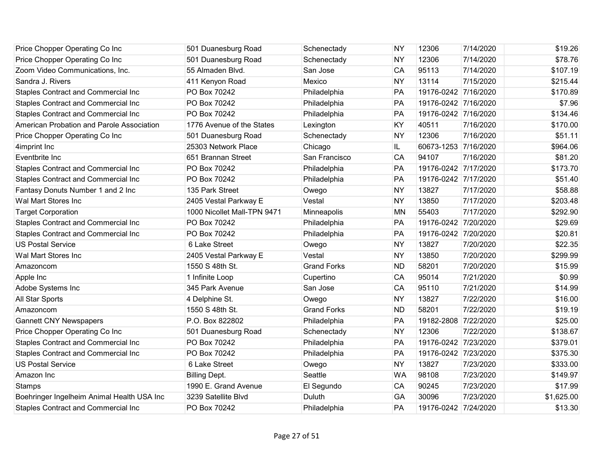| Price Chopper Operating Co Inc             | 501 Duanesburg Road         | Schenectady        | <b>NY</b> | 12306                | 7/14/2020 | \$19.26    |
|--------------------------------------------|-----------------------------|--------------------|-----------|----------------------|-----------|------------|
| Price Chopper Operating Co Inc             | 501 Duanesburg Road         | Schenectady        | <b>NY</b> | 12306                | 7/14/2020 | \$78.76    |
| Zoom Video Communications, Inc.            | 55 Almaden Blvd.            | San Jose           | CA        | 95113                | 7/14/2020 | \$107.19   |
| Sandra J. Rivers                           | 411 Kenyon Road             | Mexico             | <b>NY</b> | 13114                | 7/15/2020 | \$215.44   |
| Staples Contract and Commercial Inc        | PO Box 70242                | Philadelphia       | PA        | 19176-0242 7/16/2020 |           | \$170.89   |
| Staples Contract and Commercial Inc        | PO Box 70242                | Philadelphia       | PA        | 19176-0242 7/16/2020 |           | \$7.96     |
| <b>Staples Contract and Commercial Inc</b> | PO Box 70242                | Philadelphia       | PA        | 19176-0242 7/16/2020 |           | \$134.46   |
| American Probation and Parole Association  | 1776 Avenue of the States   | Lexington          | KY        | 40511                | 7/16/2020 | \$170.00   |
| Price Chopper Operating Co Inc             | 501 Duanesburg Road         | Schenectady        | <b>NY</b> | 12306                | 7/16/2020 | \$51.11    |
| 4imprint Inc                               | 25303 Network Place         | Chicago            | IL        | 60673-1253 7/16/2020 |           | \$964.06   |
| Eventbrite Inc                             | 651 Brannan Street          | San Francisco      | CA        | 94107                | 7/16/2020 | \$81.20    |
| <b>Staples Contract and Commercial Inc</b> | PO Box 70242                | Philadelphia       | PA        | 19176-0242 7/17/2020 |           | \$173.70   |
| Staples Contract and Commercial Inc        | PO Box 70242                | Philadelphia       | PA        | 19176-0242 7/17/2020 |           | \$51.40    |
| Fantasy Donuts Number 1 and 2 Inc          | 135 Park Street             | Owego              | <b>NY</b> | 13827                | 7/17/2020 | \$58.88    |
| Wal Mart Stores Inc                        | 2405 Vestal Parkway E       | Vestal             | <b>NY</b> | 13850                | 7/17/2020 | \$203.48   |
| <b>Target Corporation</b>                  | 1000 Nicollet Mall-TPN 9471 | Minneapolis        | <b>MN</b> | 55403                | 7/17/2020 | \$292.90   |
| Staples Contract and Commercial Inc        | PO Box 70242                | Philadelphia       | PA        | 19176-0242 7/20/2020 |           | \$29.69    |
| Staples Contract and Commercial Inc        | PO Box 70242                | Philadelphia       | PA        | 19176-0242 7/20/2020 |           | \$20.81    |
| <b>US Postal Service</b>                   | 6 Lake Street               | Owego              | <b>NY</b> | 13827                | 7/20/2020 | \$22.35    |
| Wal Mart Stores Inc                        | 2405 Vestal Parkway E       | Vestal             | <b>NY</b> | 13850                | 7/20/2020 | \$299.99   |
| Amazoncom                                  | 1550 S 48th St.             | <b>Grand Forks</b> | <b>ND</b> | 58201                | 7/20/2020 | \$15.99    |
| Apple Inc                                  | 1 Infinite Loop             | Cupertino          | CA        | 95014                | 7/21/2020 | \$0.99     |
| Adobe Systems Inc                          | 345 Park Avenue             | San Jose           | CA        | 95110                | 7/21/2020 | \$14.99    |
| All Star Sports                            | 4 Delphine St.              | Owego              | <b>NY</b> | 13827                | 7/22/2020 | \$16.00    |
| Amazoncom                                  | 1550 S 48th St.             | <b>Grand Forks</b> | <b>ND</b> | 58201                | 7/22/2020 | \$19.19    |
| <b>Gannett CNY Newspapers</b>              | P.O. Box 822802             | Philadelphia       | PA        | 19182-2808 7/22/2020 |           | \$25.00    |
| Price Chopper Operating Co Inc             | 501 Duanesburg Road         | Schenectady        | <b>NY</b> | 12306                | 7/22/2020 | \$138.67   |
| Staples Contract and Commercial Inc        | PO Box 70242                | Philadelphia       | PA        | 19176-0242 7/23/2020 |           | \$379.01   |
| Staples Contract and Commercial Inc        | PO Box 70242                | Philadelphia       | PA        | 19176-0242 7/23/2020 |           | \$375.30   |
| <b>US Postal Service</b>                   | 6 Lake Street               | Owego              | <b>NY</b> | 13827                | 7/23/2020 | \$333.00   |
| Amazon Inc                                 | <b>Billing Dept.</b>        | Seattle            | <b>WA</b> | 98108                | 7/23/2020 | \$149.97   |
| <b>Stamps</b>                              | 1990 E. Grand Avenue        | El Segundo         | CA        | 90245                | 7/23/2020 | \$17.99    |
| Boehringer Ingelheim Animal Health USA Inc | 3239 Satellite Blvd         | Duluth             | GA        | 30096                | 7/23/2020 | \$1,625.00 |
| <b>Staples Contract and Commercial Inc</b> | PO Box 70242                | Philadelphia       | PA        | 19176-0242 7/24/2020 |           | \$13.30    |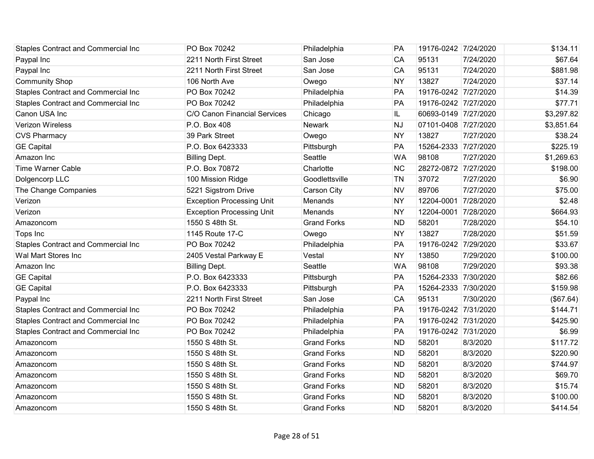| <b>Staples Contract and Commercial Inc</b> | PO Box 70242                     | Philadelphia       | PA        | 19176-0242 7/24/2020 |           | \$134.11   |
|--------------------------------------------|----------------------------------|--------------------|-----------|----------------------|-----------|------------|
| Paypal Inc                                 | 2211 North First Street          | San Jose           | CA        | 95131                | 7/24/2020 | \$67.64    |
| Paypal Inc                                 | 2211 North First Street          | San Jose           | CA        | 95131                | 7/24/2020 | \$881.98   |
| <b>Community Shop</b>                      | 106 North Ave                    | Owego              | <b>NY</b> | 13827                | 7/24/2020 | \$37.14    |
| Staples Contract and Commercial Inc        | PO Box 70242                     | Philadelphia       | PA        | 19176-0242 7/27/2020 |           | \$14.39    |
| Staples Contract and Commercial Inc        | PO Box 70242                     | Philadelphia       | PA        | 19176-0242 7/27/2020 |           | \$77.71    |
| Canon USA Inc                              | C/O Canon Financial Services     | Chicago            | IL.       | 60693-0149 7/27/2020 |           | \$3,297.82 |
| <b>Verizon Wireless</b>                    | P.O. Box 408                     | <b>Newark</b>      | <b>NJ</b> | 07101-0408 7/27/2020 |           | \$3,851.64 |
| <b>CVS Pharmacy</b>                        | 39 Park Street                   | Owego              | <b>NY</b> | 13827                | 7/27/2020 | \$38.24    |
| <b>GE Capital</b>                          | P.O. Box 6423333                 | Pittsburgh         | PA        | 15264-2333 7/27/2020 |           | \$225.19   |
| Amazon Inc                                 | <b>Billing Dept.</b>             | Seattle            | <b>WA</b> | 98108                | 7/27/2020 | \$1,269.63 |
| <b>Time Warner Cable</b>                   | P.O. Box 70872                   | Charlotte          | <b>NC</b> | 28272-0872 7/27/2020 |           | \$198.00   |
| Dolgencorp LLC                             | 100 Mission Ridge                | Goodlettsville     | <b>TN</b> | 37072                | 7/27/2020 | \$6.90     |
| The Change Companies                       | 5221 Sigstrom Drive              | Carson City        | <b>NV</b> | 89706                | 7/27/2020 | \$75.00    |
| Verizon                                    | <b>Exception Processing Unit</b> | Menands            | <b>NY</b> | 12204-0001 7/28/2020 |           | \$2.48     |
| Verizon                                    | <b>Exception Processing Unit</b> | Menands            | <b>NY</b> | 12204-0001 7/28/2020 |           | \$664.93   |
| Amazoncom                                  | 1550 S 48th St.                  | <b>Grand Forks</b> | <b>ND</b> | 58201                | 7/28/2020 | \$54.10    |
| Tops Inc                                   | 1145 Route 17-C                  | Owego              | <b>NY</b> | 13827                | 7/28/2020 | \$51.59    |
| <b>Staples Contract and Commercial Inc</b> | PO Box 70242                     | Philadelphia       | PA        | 19176-0242 7/29/2020 |           | \$33.67    |
| Wal Mart Stores Inc                        | 2405 Vestal Parkway E            | Vestal             | <b>NY</b> | 13850                | 7/29/2020 | \$100.00   |
| Amazon Inc                                 | <b>Billing Dept.</b>             | Seattle            | <b>WA</b> | 98108                | 7/29/2020 | \$93.38    |
| <b>GE Capital</b>                          | P.O. Box 6423333                 | Pittsburgh         | PA        | 15264-2333 7/30/2020 |           | \$82.66    |
| <b>GE Capital</b>                          | P.O. Box 6423333                 | Pittsburgh         | PA        | 15264-2333 7/30/2020 |           | \$159.98   |
| Paypal Inc                                 | 2211 North First Street          | San Jose           | CA        | 95131                | 7/30/2020 | (\$67.64)  |
| Staples Contract and Commercial Inc        | PO Box 70242                     | Philadelphia       | PA        | 19176-0242 7/31/2020 |           | \$144.71   |
| Staples Contract and Commercial Inc        | PO Box 70242                     | Philadelphia       | PA        | 19176-0242 7/31/2020 |           | \$425.90   |
| Staples Contract and Commercial Inc        | PO Box 70242                     | Philadelphia       | PA        | 19176-0242 7/31/2020 |           | \$6.99     |
| Amazoncom                                  | 1550 S 48th St.                  | <b>Grand Forks</b> | <b>ND</b> | 58201                | 8/3/2020  | \$117.72   |
| Amazoncom                                  | 1550 S 48th St.                  | <b>Grand Forks</b> | <b>ND</b> | 58201                | 8/3/2020  | \$220.90   |
| Amazoncom                                  | 1550 S 48th St.                  | <b>Grand Forks</b> | <b>ND</b> | 58201                | 8/3/2020  | \$744.97   |
| Amazoncom                                  | 1550 S 48th St.                  | <b>Grand Forks</b> | <b>ND</b> | 58201                | 8/3/2020  | \$69.70    |
| Amazoncom                                  | 1550 S 48th St.                  | <b>Grand Forks</b> | <b>ND</b> | 58201                | 8/3/2020  | \$15.74    |
| Amazoncom                                  | 1550 S 48th St.                  | <b>Grand Forks</b> | <b>ND</b> | 58201                | 8/3/2020  | \$100.00   |
| Amazoncom                                  | 1550 S 48th St.                  | <b>Grand Forks</b> | <b>ND</b> | 58201                | 8/3/2020  | \$414.54   |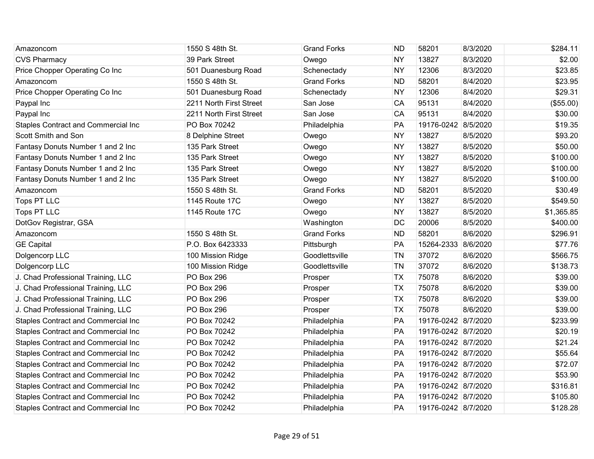| Amazoncom                                  | 1550 S 48th St.         | <b>Grand Forks</b> | <b>ND</b> | 58201               | 8/3/2020 | \$284.11   |
|--------------------------------------------|-------------------------|--------------------|-----------|---------------------|----------|------------|
| <b>CVS Pharmacy</b>                        | 39 Park Street          | Owego              | <b>NY</b> | 13827               | 8/3/2020 | \$2.00     |
| Price Chopper Operating Co Inc             | 501 Duanesburg Road     | Schenectady        | <b>NY</b> | 12306               | 8/3/2020 | \$23.85    |
| Amazoncom                                  | 1550 S 48th St.         | <b>Grand Forks</b> | <b>ND</b> | 58201               | 8/4/2020 | \$23.95    |
| Price Chopper Operating Co Inc             | 501 Duanesburg Road     | Schenectady        | <b>NY</b> | 12306               | 8/4/2020 | \$29.31    |
| Paypal Inc                                 | 2211 North First Street | San Jose           | CA        | 95131               | 8/4/2020 | (\$55.00)  |
| Paypal Inc                                 | 2211 North First Street | San Jose           | CA        | 95131               | 8/4/2020 | \$30.00    |
| Staples Contract and Commercial Inc        | PO Box 70242            | Philadelphia       | PA        | 19176-0242 8/5/2020 |          | \$19.35    |
| Scott Smith and Son                        | 8 Delphine Street       | Owego              | <b>NY</b> | 13827               | 8/5/2020 | \$93.20    |
| Fantasy Donuts Number 1 and 2 Inc          | 135 Park Street         | Owego              | <b>NY</b> | 13827               | 8/5/2020 | \$50.00    |
| Fantasy Donuts Number 1 and 2 Inc          | 135 Park Street         | Owego              | <b>NY</b> | 13827               | 8/5/2020 | \$100.00   |
| Fantasy Donuts Number 1 and 2 Inc          | 135 Park Street         | Owego              | <b>NY</b> | 13827               | 8/5/2020 | \$100.00   |
| Fantasy Donuts Number 1 and 2 Inc          | 135 Park Street         | Owego              | <b>NY</b> | 13827               | 8/5/2020 | \$100.00   |
| Amazoncom                                  | 1550 S 48th St.         | <b>Grand Forks</b> | <b>ND</b> | 58201               | 8/5/2020 | \$30.49    |
| Tops PT LLC                                | 1145 Route 17C          | Owego              | <b>NY</b> | 13827               | 8/5/2020 | \$549.50   |
| Tops PT LLC                                | 1145 Route 17C          | Owego              | <b>NY</b> | 13827               | 8/5/2020 | \$1,365.85 |
| DotGov Registrar, GSA                      |                         | Washington         | DC        | 20006               | 8/5/2020 | \$400.00   |
| Amazoncom                                  | 1550 S 48th St.         | <b>Grand Forks</b> | <b>ND</b> | 58201               | 8/6/2020 | \$296.91   |
| <b>GE Capital</b>                          | P.O. Box 6423333        | Pittsburgh         | PA        | 15264-2333 8/6/2020 |          | \$77.76    |
| Dolgencorp LLC                             | 100 Mission Ridge       | Goodlettsville     | <b>TN</b> | 37072               | 8/6/2020 | \$566.75   |
| Dolgencorp LLC                             | 100 Mission Ridge       | Goodlettsville     | <b>TN</b> | 37072               | 8/6/2020 | \$138.73   |
| J. Chad Professional Training, LLC         | PO Box 296              | Prosper            | <b>TX</b> | 75078               | 8/6/2020 | \$39.00    |
| J. Chad Professional Training, LLC         | PO Box 296              | Prosper            | <b>TX</b> | 75078               | 8/6/2020 | \$39.00    |
| J. Chad Professional Training, LLC         | PO Box 296              | Prosper            | <b>TX</b> | 75078               | 8/6/2020 | \$39.00    |
| J. Chad Professional Training, LLC         | PO Box 296              | Prosper            | <b>TX</b> | 75078               | 8/6/2020 | \$39.00    |
| Staples Contract and Commercial Inc        | PO Box 70242            | Philadelphia       | PA        | 19176-0242 8/7/2020 |          | \$233.99   |
| <b>Staples Contract and Commercial Inc</b> | PO Box 70242            | Philadelphia       | PA        | 19176-0242 8/7/2020 |          | \$20.19    |
| Staples Contract and Commercial Inc        | PO Box 70242            | Philadelphia       | PA        | 19176-0242 8/7/2020 |          | \$21.24    |
| <b>Staples Contract and Commercial Inc</b> | PO Box 70242            | Philadelphia       | PA        | 19176-0242 8/7/2020 |          | \$55.64    |
| Staples Contract and Commercial Inc        | PO Box 70242            | Philadelphia       | PA        | 19176-0242 8/7/2020 |          | \$72.07    |
| Staples Contract and Commercial Inc        | PO Box 70242            | Philadelphia       | PA        | 19176-0242 8/7/2020 |          | \$53.90    |
| Staples Contract and Commercial Inc        | PO Box 70242            | Philadelphia       | PA        | 19176-0242 8/7/2020 |          | \$316.81   |
| Staples Contract and Commercial Inc        | PO Box 70242            | Philadelphia       | PA        | 19176-0242 8/7/2020 |          | \$105.80   |
| <b>Staples Contract and Commercial Inc</b> | PO Box 70242            | Philadelphia       | PA        | 19176-0242 8/7/2020 |          | \$128.28   |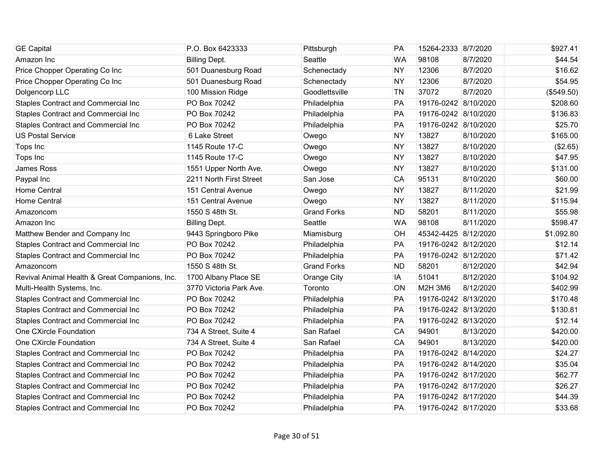| <b>GE Capital</b>                              | P.O. Box 6423333        | Pittsburgh         | <b>PA</b> | 15264-2333 8/7/2020  |           | \$927.41   |
|------------------------------------------------|-------------------------|--------------------|-----------|----------------------|-----------|------------|
| Amazon Inc                                     | <b>Billing Dept.</b>    | Seattle            | <b>WA</b> | 98108                | 8/7/2020  | \$44.54    |
| Price Chopper Operating Co Inc                 | 501 Duanesburg Road     | Schenectady        | <b>NY</b> | 12306                | 8/7/2020  | \$16.62    |
| Price Chopper Operating Co Inc                 | 501 Duanesburg Road     | Schenectady        | <b>NY</b> | 12306                | 8/7/2020  | \$54.95    |
| Dolgencorp LLC                                 | 100 Mission Ridge       | Goodlettsville     | <b>TN</b> | 37072                | 8/7/2020  | (\$549.50) |
| Staples Contract and Commercial Inc            | PO Box 70242            | Philadelphia       | PA        | 19176-0242 8/10/2020 |           | \$208.60   |
| Staples Contract and Commercial Inc            | PO Box 70242            | Philadelphia       | PA        | 19176-0242 8/10/2020 |           | \$136.83   |
| Staples Contract and Commercial Inc            | PO Box 70242            | Philadelphia       | PA        | 19176-0242 8/10/2020 |           | \$25.70    |
| <b>US Postal Service</b>                       | 6 Lake Street           | Owego              | <b>NY</b> | 13827                | 8/10/2020 | \$165.00   |
| Tops Inc                                       | 1145 Route 17-C         | Owego              | <b>NY</b> | 13827                | 8/10/2020 | (\$2.65)   |
| Tops Inc                                       | 1145 Route 17-C         | Owego              | <b>NY</b> | 13827                | 8/10/2020 | \$47.95    |
| James Ross                                     | 1551 Upper North Ave.   | Owego              | <b>NY</b> | 13827                | 8/10/2020 | \$131.00   |
| Paypal Inc                                     | 2211 North First Street | San Jose           | CA        | 95131                | 8/10/2020 | \$60.00    |
| <b>Home Central</b>                            | 151 Central Avenue      | Owego              | <b>NY</b> | 13827                | 8/11/2020 | \$21.99    |
| <b>Home Central</b>                            | 151 Central Avenue      | Owego              | <b>NY</b> | 13827                | 8/11/2020 | \$115.94   |
| Amazoncom                                      | 1550 S 48th St.         | <b>Grand Forks</b> | <b>ND</b> | 58201                | 8/11/2020 | \$55.98    |
| Amazon Inc                                     | <b>Billing Dept.</b>    | Seattle            | <b>WA</b> | 98108                | 8/11/2020 | \$598.47   |
| Matthew Bender and Company Inc                 | 9443 Springboro Pike    | Miamisburg         | OH        | 45342-4425 8/12/2020 |           | \$1,092.80 |
| Staples Contract and Commercial Inc            | PO Box 70242            | Philadelphia       | PA        | 19176-0242 8/12/2020 |           | \$12.14    |
| <b>Staples Contract and Commercial Inc</b>     | PO Box 70242            | Philadelphia       | PA        | 19176-0242 8/12/2020 |           | \$71.42    |
| Amazoncom                                      | 1550 S 48th St.         | <b>Grand Forks</b> | <b>ND</b> | 58201                | 8/12/2020 | \$42.94    |
| Revival Animal Health & Great Companions, Inc. | 1700 Albany Place SE    | Orange City        | IA        | 51041                | 8/12/2020 | \$104.92   |
| Multi-Health Systems, Inc.                     | 3770 Victoria Park Ave. | Toronto            | ON        | M2H 3M6              | 8/12/2020 | \$402.99   |
| Staples Contract and Commercial Inc            | PO Box 70242            | Philadelphia       | PA        | 19176-0242 8/13/2020 |           | \$170.48   |
| <b>Staples Contract and Commercial Inc</b>     | PO Box 70242            | Philadelphia       | PA        | 19176-0242 8/13/2020 |           | \$130.81   |
| <b>Staples Contract and Commercial Inc</b>     | PO Box 70242            | Philadelphia       | PA        | 19176-0242 8/13/2020 |           | \$12.14    |
| One CXircle Foundation                         | 734 A Street, Suite 4   | San Rafael         | CA        | 94901                | 8/13/2020 | \$420.00   |
| One CXircle Foundation                         | 734 A Street, Suite 4   | San Rafael         | CA        | 94901                | 8/13/2020 | \$420.00   |
| Staples Contract and Commercial Inc            | PO Box 70242            | Philadelphia       | PA        | 19176-0242 8/14/2020 |           | \$24.27    |
| Staples Contract and Commercial Inc            | PO Box 70242            | Philadelphia       | PA        | 19176-0242 8/14/2020 |           | \$35.04    |
| <b>Staples Contract and Commercial Inc</b>     | PO Box 70242            | Philadelphia       | PA        | 19176-0242 8/17/2020 |           | \$62.77    |
| Staples Contract and Commercial Inc            | PO Box 70242            | Philadelphia       | PA        | 19176-0242 8/17/2020 |           | \$26.27    |
| Staples Contract and Commercial Inc            | PO Box 70242            | Philadelphia       | PA        | 19176-0242 8/17/2020 |           | \$44.39    |
| <b>Staples Contract and Commercial Inc</b>     | PO Box 70242            | Philadelphia       | PA        | 19176-0242 8/17/2020 |           | \$33.68    |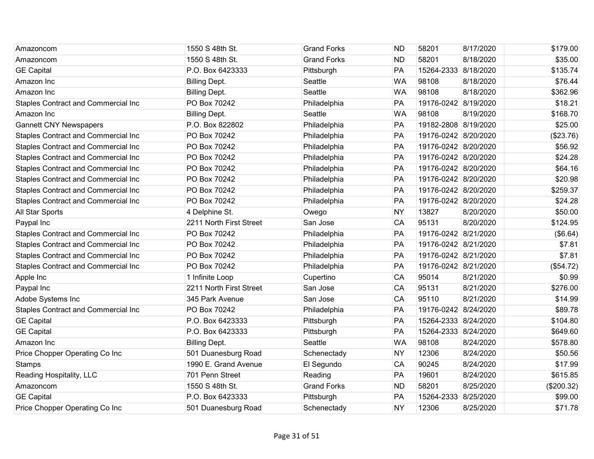| Amazoncom                                  | 1550 S 48th St.         | <b>Grand Forks</b> | <b>ND</b> | 58201                | 8/17/2020 | \$179.00   |
|--------------------------------------------|-------------------------|--------------------|-----------|----------------------|-----------|------------|
| Amazoncom                                  | 1550 S 48th St.         | <b>Grand Forks</b> | <b>ND</b> | 58201                | 8/18/2020 | \$35.00    |
| <b>GE Capital</b>                          | P.O. Box 6423333        | Pittsburgh         | PA        | 15264-2333 8/18/2020 |           | \$135.74   |
| Amazon Inc                                 | <b>Billing Dept.</b>    | Seattle            | <b>WA</b> | 98108                | 8/18/2020 | \$76.44    |
| Amazon Inc                                 | <b>Billing Dept.</b>    | Seattle            | <b>WA</b> | 98108                | 8/18/2020 | \$362.96   |
| Staples Contract and Commercial Inc        | PO Box 70242            | Philadelphia       | PA        | 19176-0242 8/19/2020 |           | \$18.21    |
| Amazon Inc                                 | <b>Billing Dept.</b>    | Seattle            | <b>WA</b> | 98108                | 8/19/2020 | \$168.70   |
| <b>Gannett CNY Newspapers</b>              | P.O. Box 822802         | Philadelphia       | PA        | 19182-2808 8/19/2020 |           | \$25.00    |
| Staples Contract and Commercial Inc        | PO Box 70242            | Philadelphia       | PA        | 19176-0242 8/20/2020 |           | (\$23.76)  |
| <b>Staples Contract and Commercial Inc</b> | PO Box 70242            | Philadelphia       | PA        | 19176-0242 8/20/2020 |           | \$56.92    |
| Staples Contract and Commercial Inc        | PO Box 70242            | Philadelphia       | PA        | 19176-0242 8/20/2020 |           | \$24.28    |
| Staples Contract and Commercial Inc        | PO Box 70242            | Philadelphia       | <b>PA</b> | 19176-0242 8/20/2020 |           | \$64.16    |
| Staples Contract and Commercial Inc        | PO Box 70242            | Philadelphia       | PA        | 19176-0242 8/20/2020 |           | \$20.98    |
| Staples Contract and Commercial Inc        | PO Box 70242            | Philadelphia       | PA        | 19176-0242 8/20/2020 |           | \$259.37   |
| <b>Staples Contract and Commercial Inc</b> | PO Box 70242            | Philadelphia       | PA        | 19176-0242 8/20/2020 |           | \$24.28    |
| All Star Sports                            | 4 Delphine St.          | Owego              | <b>NY</b> | 13827                | 8/20/2020 | \$50.00    |
| Paypal Inc                                 | 2211 North First Street | San Jose           | CA        | 95131                | 8/20/2020 | \$124.95   |
| Staples Contract and Commercial Inc        | PO Box 70242            | Philadelphia       | PA        | 19176-0242 8/21/2020 |           | (\$6.64)   |
| <b>Staples Contract and Commercial Inc</b> | PO Box 70242            | Philadelphia       | PA        | 19176-0242 8/21/2020 |           | \$7.81     |
| Staples Contract and Commercial Inc        | PO Box 70242            | Philadelphia       | PA        | 19176-0242 8/21/2020 |           | \$7.81     |
| Staples Contract and Commercial Inc        | PO Box 70242            | Philadelphia       | PA        | 19176-0242 8/21/2020 |           | (\$54.72)  |
| Apple Inc                                  | 1 Infinite Loop         | Cupertino          | CA        | 95014                | 8/21/2020 | \$0.99     |
| Paypal Inc                                 | 2211 North First Street | San Jose           | CA        | 95131                | 8/21/2020 | \$276.00   |
| Adobe Systems Inc                          | 345 Park Avenue         | San Jose           | CA        | 95110                | 8/21/2020 | \$14.99    |
| <b>Staples Contract and Commercial Inc</b> | PO Box 70242            | Philadelphia       | PA        | 19176-0242 8/24/2020 |           | \$89.78    |
| <b>GE Capital</b>                          | P.O. Box 6423333        | Pittsburgh         | PA        | 15264-2333 8/24/2020 |           | \$104.80   |
| <b>GE Capital</b>                          | P.O. Box 6423333        | Pittsburgh         | PA        | 15264-2333 8/24/2020 |           | \$649.60   |
| Amazon Inc                                 | <b>Billing Dept.</b>    | Seattle            | <b>WA</b> | 98108                | 8/24/2020 | \$578.80   |
| Price Chopper Operating Co Inc             | 501 Duanesburg Road     | Schenectady        | <b>NY</b> | 12306                | 8/24/2020 | \$50.56    |
| <b>Stamps</b>                              | 1990 E. Grand Avenue    | El Segundo         | CA        | 90245                | 8/24/2020 | \$17.99    |
| Reading Hospitality, LLC                   | 701 Penn Street         | Reading            | PA        | 19601                | 8/24/2020 | \$615.85   |
| Amazoncom                                  | 1550 S 48th St.         | <b>Grand Forks</b> | <b>ND</b> | 58201                | 8/25/2020 | (\$200.32) |
| <b>GE Capital</b>                          | P.O. Box 6423333        | Pittsburgh         | PA        | 15264-2333 8/25/2020 |           | \$99.00    |
| Price Chopper Operating Co Inc             | 501 Duanesburg Road     | Schenectady        | <b>NY</b> | 12306                | 8/25/2020 | \$71.78    |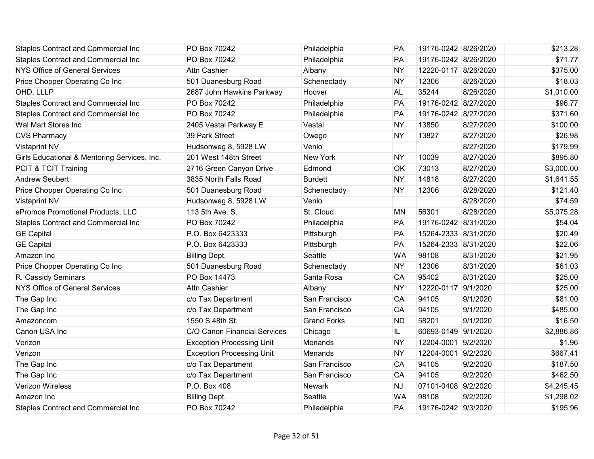| <b>Staples Contract and Commercial Inc</b>   | PO Box 70242                     | Philadelphia       | PA        | 19176-0242 8/26/2020 |           | \$213.28   |
|----------------------------------------------|----------------------------------|--------------------|-----------|----------------------|-----------|------------|
| <b>Staples Contract and Commercial Inc</b>   | PO Box 70242                     | Philadelphia       | PA        | 19176-0242 8/26/2020 |           | \$71.77    |
| NYS Office of General Services               | <b>Attn Cashier</b>              | Albany             | <b>NY</b> | 12220-0117 8/26/2020 |           | \$375.00   |
| Price Chopper Operating Co Inc               | 501 Duanesburg Road              | Schenectady        | <b>NY</b> | 12306                | 8/26/2020 | \$18.03    |
| OHD, LLLP                                    | 2687 John Hawkins Parkway        | Hoover             | <b>AL</b> | 35244                | 8/26/2020 | \$1,010.00 |
| Staples Contract and Commercial Inc          | PO Box 70242                     | Philadelphia       | PA        | 19176-0242 8/27/2020 |           | \$96.77    |
| Staples Contract and Commercial Inc          | PO Box 70242                     | Philadelphia       | PA        | 19176-0242 8/27/2020 |           | \$371.60   |
| Wal Mart Stores Inc                          | 2405 Vestal Parkway E            | Vestal             | <b>NY</b> | 13850                | 8/27/2020 | \$100.00   |
| <b>CVS Pharmacy</b>                          | 39 Park Street                   | Owego              | <b>NY</b> | 13827                | 8/27/2020 | \$26.98    |
| <b>Vistaprint NV</b>                         | Hudsonweg 8, 5928 LW             | Venlo              |           |                      | 8/27/2020 | \$179.99   |
| Girls Educational & Mentoring Services, Inc. | 201 West 148th Street            | New York           | <b>NY</b> | 10039                | 8/27/2020 | \$895.80   |
| PCIT & TCIT Training                         | 2716 Green Canyon Drive          | Edmond             | <b>OK</b> | 73013                | 8/27/2020 | \$3,000.00 |
| <b>Andrew Seubert</b>                        | 3835 North Falls Road            | <b>Burdett</b>     | <b>NY</b> | 14818                | 8/27/2020 | \$1,641.55 |
| Price Chopper Operating Co Inc               | 501 Duanesburg Road              | Schenectady        | <b>NY</b> | 12306                | 8/28/2020 | \$121.40   |
| <b>Vistaprint NV</b>                         | Hudsonweg 8, 5928 LW             | Venlo              |           |                      | 8/28/2020 | \$74.59    |
| ePromos Promotional Products, LLC            | 113 5th Ave. S.                  | St. Cloud          | <b>MN</b> | 56301                | 8/28/2020 | \$5,075.28 |
| <b>Staples Contract and Commercial Inc</b>   | PO Box 70242                     | Philadelphia       | PA        | 19176-0242 8/31/2020 |           | \$54.04    |
| <b>GE Capital</b>                            | P.O. Box 6423333                 | Pittsburgh         | PA        | 15264-2333 8/31/2020 |           | \$20.49    |
| <b>GE Capital</b>                            | P.O. Box 6423333                 | Pittsburgh         | PA        | 15264-2333 8/31/2020 |           | \$22.06    |
| Amazon Inc                                   | <b>Billing Dept.</b>             | Seattle            | <b>WA</b> | 98108                | 8/31/2020 | \$21.95    |
| Price Chopper Operating Co Inc               | 501 Duanesburg Road              | Schenectady        | <b>NY</b> | 12306                | 8/31/2020 | \$61.03    |
| R. Cassidy Seminars                          | PO Box 14473                     | Santa Rosa         | CA        | 95402                | 8/31/2020 | \$25.00    |
| NYS Office of General Services               | <b>Attn Cashier</b>              | Albany             | <b>NY</b> | 12220-0117 9/1/2020  |           | \$25.00    |
| The Gap Inc                                  | c/o Tax Department               | San Francisco      | CA        | 94105                | 9/1/2020  | \$81.00    |
| The Gap Inc                                  | c/o Tax Department               | San Francisco      | CA        | 94105                | 9/1/2020  | \$485.00   |
| Amazoncom                                    | 1550 S 48th St.                  | <b>Grand Forks</b> | <b>ND</b> | 58201                | 9/1/2020  | \$16.50    |
| Canon USA Inc                                | C/O Canon Financial Services     | Chicago            | IL.       | 60693-0149 9/1/2020  |           | \$2,886.86 |
| Verizon                                      | <b>Exception Processing Unit</b> | Menands            | <b>NY</b> | 12204-0001 9/2/2020  |           | \$1.96     |
| Verizon                                      | <b>Exception Processing Unit</b> | Menands            | <b>NY</b> | 12204-0001 9/2/2020  |           | \$667.41   |
| The Gap Inc                                  | c/o Tax Department               | San Francisco      | CA        | 94105                | 9/2/2020  | \$187.50   |
| The Gap Inc                                  | c/o Tax Department               | San Francisco      | CA        | 94105                | 9/2/2020  | \$462.50   |
| <b>Verizon Wireless</b>                      | P.O. Box 408                     | <b>Newark</b>      | <b>NJ</b> | 07101-0408 9/2/2020  |           | \$4,245.45 |
| Amazon Inc                                   | <b>Billing Dept.</b>             | Seattle            | <b>WA</b> | 98108                | 9/2/2020  | \$1,298.02 |
| <b>Staples Contract and Commercial Inc</b>   | PO Box 70242                     | Philadelphia       | PA        | 19176-0242 9/3/2020  |           | \$195.96   |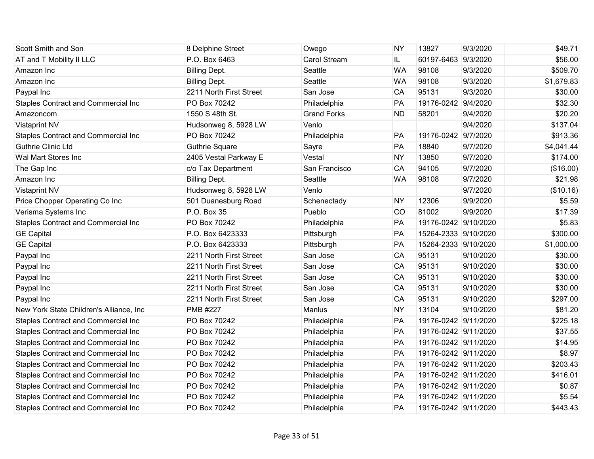| Scott Smith and Son                        | 8 Delphine Street       | Owego              | <b>NY</b> | 13827                | 9/3/2020  | \$49.71    |
|--------------------------------------------|-------------------------|--------------------|-----------|----------------------|-----------|------------|
| AT and T Mobility II LLC                   | P.O. Box 6463           | Carol Stream       | IL.       | 60197-6463 9/3/2020  |           | \$56.00    |
| Amazon Inc                                 | <b>Billing Dept.</b>    | Seattle            | <b>WA</b> | 98108                | 9/3/2020  | \$509.70   |
| Amazon Inc                                 | <b>Billing Dept.</b>    | Seattle            | <b>WA</b> | 98108                | 9/3/2020  | \$1,679.83 |
| Paypal Inc                                 | 2211 North First Street | San Jose           | CA        | 95131                | 9/3/2020  | \$30.00    |
| Staples Contract and Commercial Inc        | PO Box 70242            | Philadelphia       | PA        | 19176-0242 9/4/2020  |           | \$32.30    |
| Amazoncom                                  | 1550 S 48th St.         | <b>Grand Forks</b> | <b>ND</b> | 58201                | 9/4/2020  | \$20.20    |
| <b>Vistaprint NV</b>                       | Hudsonweg 8, 5928 LW    | Venlo              |           |                      | 9/4/2020  | \$137.04   |
| <b>Staples Contract and Commercial Inc</b> | PO Box 70242            | Philadelphia       | PA        | 19176-0242 9/7/2020  |           | \$913.36   |
| <b>Guthrie Clinic Ltd</b>                  | <b>Guthrie Square</b>   | Sayre              | PA        | 18840                | 9/7/2020  | \$4,041.44 |
| Wal Mart Stores Inc                        | 2405 Vestal Parkway E   | Vestal             | <b>NY</b> | 13850                | 9/7/2020  | \$174.00   |
| The Gap Inc                                | c/o Tax Department      | San Francisco      | CA        | 94105                | 9/7/2020  | (\$16.00)  |
| Amazon Inc                                 | <b>Billing Dept.</b>    | Seattle            | <b>WA</b> | 98108                | 9/7/2020  | \$21.98    |
| <b>Vistaprint NV</b>                       | Hudsonweg 8, 5928 LW    | Venlo              |           |                      | 9/7/2020  | (\$10.16)  |
| Price Chopper Operating Co Inc             | 501 Duanesburg Road     | Schenectady        | <b>NY</b> | 12306                | 9/9/2020  | \$5.59     |
| Verisma Systems Inc                        | P.O. Box 35             | Pueblo             | <b>CO</b> | 81002                | 9/9/2020  | \$17.39    |
| Staples Contract and Commercial Inc        | PO Box 70242            | Philadelphia       | PA        | 19176-0242 9/10/2020 |           | \$5.83     |
| <b>GE Capital</b>                          | P.O. Box 6423333        | Pittsburgh         | PA        | 15264-2333 9/10/2020 |           | \$300.00   |
| <b>GE Capital</b>                          | P.O. Box 6423333        | Pittsburgh         | PA        | 15264-2333 9/10/2020 |           | \$1,000.00 |
| Paypal Inc                                 | 2211 North First Street | San Jose           | CA        | 95131                | 9/10/2020 | \$30.00    |
| Paypal Inc                                 | 2211 North First Street | San Jose           | CA        | 95131                | 9/10/2020 | \$30.00    |
| Paypal Inc                                 | 2211 North First Street | San Jose           | CA        | 95131                | 9/10/2020 | \$30.00    |
| Paypal Inc                                 | 2211 North First Street | San Jose           | CA        | 95131                | 9/10/2020 | \$30.00    |
| Paypal Inc                                 | 2211 North First Street | San Jose           | CA        | 95131                | 9/10/2020 | \$297.00   |
| New York State Children's Alliance, Inc    | <b>PMB #227</b>         | Manlus             | <b>NY</b> | 13104                | 9/10/2020 | \$81.20    |
| Staples Contract and Commercial Inc        | PO Box 70242            | Philadelphia       | PA        | 19176-0242 9/11/2020 |           | \$225.18   |
| <b>Staples Contract and Commercial Inc</b> | PO Box 70242            | Philadelphia       | PA        | 19176-0242 9/11/2020 |           | \$37.55    |
| Staples Contract and Commercial Inc        | PO Box 70242            | Philadelphia       | PA        | 19176-0242 9/11/2020 |           | \$14.95    |
| <b>Staples Contract and Commercial Inc</b> | PO Box 70242            | Philadelphia       | PA        | 19176-0242 9/11/2020 |           | \$8.97     |
| Staples Contract and Commercial Inc        | PO Box 70242            | Philadelphia       | PA        | 19176-0242 9/11/2020 |           | \$203.43   |
| Staples Contract and Commercial Inc        | PO Box 70242            | Philadelphia       | PA        | 19176-0242 9/11/2020 |           | \$416.01   |
| Staples Contract and Commercial Inc        | PO Box 70242            | Philadelphia       | PA        | 19176-0242 9/11/2020 |           | \$0.87     |
| Staples Contract and Commercial Inc        | PO Box 70242            | Philadelphia       | PA        | 19176-0242 9/11/2020 |           | \$5.54     |
| <b>Staples Contract and Commercial Inc</b> | PO Box 70242            | Philadelphia       | PA        | 19176-0242 9/11/2020 |           | \$443.43   |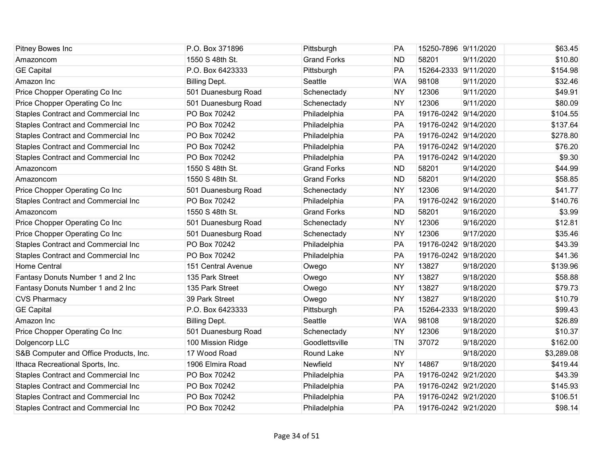| Pitney Bowes Inc                           | P.O. Box 371896      | Pittsburgh         | PA        | 15250-7896 9/11/2020 |           | \$63.45    |
|--------------------------------------------|----------------------|--------------------|-----------|----------------------|-----------|------------|
| Amazoncom                                  | 1550 S 48th St.      | <b>Grand Forks</b> | <b>ND</b> | 58201                | 9/11/2020 | \$10.80    |
| <b>GE Capital</b>                          | P.O. Box 6423333     | Pittsburgh         | PA        | 15264-2333 9/11/2020 |           | \$154.98   |
| Amazon Inc                                 | <b>Billing Dept.</b> | Seattle            | <b>WA</b> | 98108                | 9/11/2020 | \$32.46    |
| Price Chopper Operating Co Inc             | 501 Duanesburg Road  | Schenectady        | <b>NY</b> | 12306                | 9/11/2020 | \$49.91    |
| Price Chopper Operating Co Inc             | 501 Duanesburg Road  | Schenectady        | <b>NY</b> | 12306                | 9/11/2020 | \$80.09    |
| Staples Contract and Commercial Inc        | PO Box 70242         | Philadelphia       | PA        | 19176-0242 9/14/2020 |           | \$104.55   |
| <b>Staples Contract and Commercial Inc</b> | PO Box 70242         | Philadelphia       | PA        | 19176-0242 9/14/2020 |           | \$137.64   |
| Staples Contract and Commercial Inc        | PO Box 70242         | Philadelphia       | PA        | 19176-0242 9/14/2020 |           | \$278.80   |
| <b>Staples Contract and Commercial Inc</b> | PO Box 70242         | Philadelphia       | PA        | 19176-0242 9/14/2020 |           | \$76.20    |
| Staples Contract and Commercial Inc        | PO Box 70242         | Philadelphia       | PA        | 19176-0242 9/14/2020 |           | \$9.30     |
| Amazoncom                                  | 1550 S 48th St.      | <b>Grand Forks</b> | <b>ND</b> | 58201                | 9/14/2020 | \$44.99    |
| Amazoncom                                  | 1550 S 48th St.      | <b>Grand Forks</b> | <b>ND</b> | 58201                | 9/14/2020 | \$58.85    |
| Price Chopper Operating Co Inc             | 501 Duanesburg Road  | Schenectady        | <b>NY</b> | 12306                | 9/14/2020 | \$41.77    |
| <b>Staples Contract and Commercial Inc</b> | PO Box 70242         | Philadelphia       | PA        | 19176-0242 9/16/2020 |           | \$140.76   |
| Amazoncom                                  | 1550 S 48th St.      | <b>Grand Forks</b> | <b>ND</b> | 58201                | 9/16/2020 | \$3.99     |
| Price Chopper Operating Co Inc             | 501 Duanesburg Road  | Schenectady        | <b>NY</b> | 12306                | 9/16/2020 | \$12.81    |
| Price Chopper Operating Co Inc             | 501 Duanesburg Road  | Schenectady        | <b>NY</b> | 12306                | 9/17/2020 | \$35.46    |
| Staples Contract and Commercial Inc        | PO Box 70242         | Philadelphia       | PA        | 19176-0242 9/18/2020 |           | \$43.39    |
| <b>Staples Contract and Commercial Inc</b> | PO Box 70242         | Philadelphia       | PA        | 19176-0242 9/18/2020 |           | \$41.36    |
| <b>Home Central</b>                        | 151 Central Avenue   | Owego              | <b>NY</b> | 13827                | 9/18/2020 | \$139.96   |
| Fantasy Donuts Number 1 and 2 Inc          | 135 Park Street      | Owego              | <b>NY</b> | 13827                | 9/18/2020 | \$58.88    |
| Fantasy Donuts Number 1 and 2 Inc          | 135 Park Street      | Owego              | <b>NY</b> | 13827                | 9/18/2020 | \$79.73    |
| <b>CVS Pharmacy</b>                        | 39 Park Street       | Owego              | <b>NY</b> | 13827                | 9/18/2020 | \$10.79    |
| <b>GE Capital</b>                          | P.O. Box 6423333     | Pittsburgh         | PA        | 15264-2333 9/18/2020 |           | \$99.43    |
| Amazon Inc                                 | <b>Billing Dept.</b> | Seattle            | <b>WA</b> | 98108                | 9/18/2020 | \$26.89    |
| Price Chopper Operating Co Inc             | 501 Duanesburg Road  | Schenectady        | <b>NY</b> | 12306                | 9/18/2020 | \$10.37    |
| Dolgencorp LLC                             | 100 Mission Ridge    | Goodlettsville     | <b>TN</b> | 37072                | 9/18/2020 | \$162.00   |
| S&B Computer and Office Products, Inc.     | 17 Wood Road         | Round Lake         | <b>NY</b> |                      | 9/18/2020 | \$3,289.08 |
| Ithaca Recreational Sports, Inc.           | 1906 Elmira Road     | Newfield           | <b>NY</b> | 14867                | 9/18/2020 | \$419.44   |
| Staples Contract and Commercial Inc        | PO Box 70242         | Philadelphia       | PA        | 19176-0242 9/21/2020 |           | \$43.39    |
| Staples Contract and Commercial Inc        | PO Box 70242         | Philadelphia       | PA        | 19176-0242 9/21/2020 |           | \$145.93   |
| <b>Staples Contract and Commercial Inc</b> | PO Box 70242         | Philadelphia       | PA        | 19176-0242 9/21/2020 |           | \$106.51   |
| <b>Staples Contract and Commercial Inc</b> | PO Box 70242         | Philadelphia       | PA        | 19176-0242 9/21/2020 |           | \$98.14    |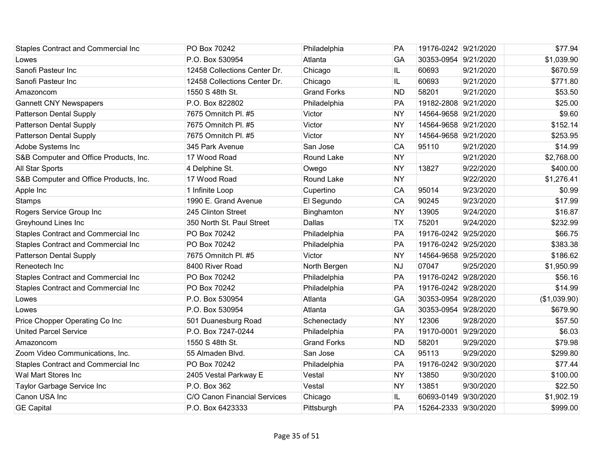| Staples Contract and Commercial Inc        | PO Box 70242                 | Philadelphia       | PA        | 19176-0242 9/21/2020 |           | \$77.94      |
|--------------------------------------------|------------------------------|--------------------|-----------|----------------------|-----------|--------------|
| Lowes                                      | P.O. Box 530954              | Atlanta            | GA        | 30353-0954 9/21/2020 |           | \$1,039.90   |
| Sanofi Pasteur Inc                         | 12458 Collections Center Dr. | Chicago            | IL.       | 60693                | 9/21/2020 | \$670.59     |
| Sanofi Pasteur Inc                         | 12458 Collections Center Dr. | Chicago            | IL        | 60693                | 9/21/2020 | \$771.80     |
| Amazoncom                                  | 1550 S 48th St.              | <b>Grand Forks</b> | <b>ND</b> | 58201                | 9/21/2020 | \$53.50      |
| <b>Gannett CNY Newspapers</b>              | P.O. Box 822802              | Philadelphia       | PA        | 19182-2808 9/21/2020 |           | \$25.00      |
| <b>Patterson Dental Supply</b>             | 7675 Omnitch Pl. #5          | Victor             | <b>NY</b> | 14564-9658 9/21/2020 |           | \$9.60       |
| Patterson Dental Supply                    | 7675 Omnitch Pl. #5          | Victor             | <b>NY</b> | 14564-9658 9/21/2020 |           | \$152.14     |
| <b>Patterson Dental Supply</b>             | 7675 Omnitch Pl. #5          | Victor             | <b>NY</b> | 14564-9658 9/21/2020 |           | \$253.95     |
| Adobe Systems Inc                          | 345 Park Avenue              | San Jose           | CA        | 95110                | 9/21/2020 | \$14.99      |
| S&B Computer and Office Products, Inc.     | 17 Wood Road                 | Round Lake         | <b>NY</b> |                      | 9/21/2020 | \$2,768.00   |
| All Star Sports                            | 4 Delphine St.               | Owego              | <b>NY</b> | 13827                | 9/22/2020 | \$400.00     |
| S&B Computer and Office Products, Inc.     | 17 Wood Road                 | Round Lake         | <b>NY</b> |                      | 9/22/2020 | \$1,276.41   |
| Apple Inc                                  | 1 Infinite Loop              | Cupertino          | CA        | 95014                | 9/23/2020 | \$0.99       |
| Stamps                                     | 1990 E. Grand Avenue         | El Segundo         | CA        | 90245                | 9/23/2020 | \$17.99      |
| Rogers Service Group Inc                   | 245 Clinton Street           | Binghamton         | <b>NY</b> | 13905                | 9/24/2020 | \$16.87      |
| Greyhound Lines Inc                        | 350 North St. Paul Street    | Dallas             | <b>TX</b> | 75201                | 9/24/2020 | \$232.99     |
| Staples Contract and Commercial Inc        | PO Box 70242                 | Philadelphia       | PA        | 19176-0242 9/25/2020 |           | \$66.75      |
| Staples Contract and Commercial Inc        | PO Box 70242                 | Philadelphia       | PA        | 19176-0242 9/25/2020 |           | \$383.38     |
| Patterson Dental Supply                    | 7675 Omnitch Pl. #5          | Victor             | <b>NY</b> | 14564-9658 9/25/2020 |           | \$186.62     |
| Reneotech Inc                              | 8400 River Road              | North Bergen       | <b>NJ</b> | 07047                | 9/25/2020 | \$1,950.99   |
| Staples Contract and Commercial Inc        | PO Box 70242                 | Philadelphia       | PA        | 19176-0242 9/28/2020 |           | \$56.16      |
| Staples Contract and Commercial Inc        | PO Box 70242                 | Philadelphia       | PA        | 19176-0242 9/28/2020 |           | \$14.99      |
| Lowes                                      | P.O. Box 530954              | Atlanta            | GA        | 30353-0954 9/28/2020 |           | (\$1,039.90) |
| Lowes                                      | P.O. Box 530954              | Atlanta            | GA        | 30353-0954 9/28/2020 |           | \$679.90     |
| Price Chopper Operating Co Inc             | 501 Duanesburg Road          | Schenectady        | <b>NY</b> | 12306                | 9/28/2020 | \$57.50      |
| <b>United Parcel Service</b>               | P.O. Box 7247-0244           | Philadelphia       | PA        | 19170-0001 9/29/2020 |           | \$6.03       |
| Amazoncom                                  | 1550 S 48th St.              | <b>Grand Forks</b> | <b>ND</b> | 58201                | 9/29/2020 | \$79.98      |
| Zoom Video Communications, Inc.            | 55 Almaden Blvd.             | San Jose           | CA        | 95113                | 9/29/2020 | \$299.80     |
| <b>Staples Contract and Commercial Inc</b> | PO Box 70242                 | Philadelphia       | PA        | 19176-0242 9/30/2020 |           | \$77.44      |
| Wal Mart Stores Inc                        | 2405 Vestal Parkway E        | Vestal             | <b>NY</b> | 13850                | 9/30/2020 | \$100.00     |
| Taylor Garbage Service Inc                 | P.O. Box 362                 | Vestal             | <b>NY</b> | 13851                | 9/30/2020 | \$22.50      |
| Canon USA Inc                              | C/O Canon Financial Services | Chicago            | IL.       | 60693-0149 9/30/2020 |           | \$1,902.19   |
| <b>GE Capital</b>                          | P.O. Box 6423333             | Pittsburgh         | PA        | 15264-2333 9/30/2020 |           | \$999.00     |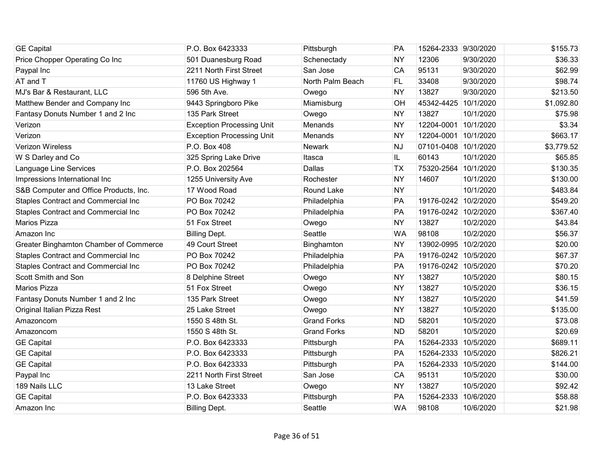| <b>GE Capital</b>                          | P.O. Box 6423333                 | Pittsburgh         | <b>PA</b> | 15264-2333 9/30/2020 |           | \$155.73   |
|--------------------------------------------|----------------------------------|--------------------|-----------|----------------------|-----------|------------|
| Price Chopper Operating Co Inc             | 501 Duanesburg Road              | Schenectady        | <b>NY</b> | 12306                | 9/30/2020 | \$36.33    |
| Paypal Inc                                 | 2211 North First Street          | San Jose           | CA        | 95131                | 9/30/2020 | \$62.99    |
| AT and T                                   | 11760 US Highway 1               | North Palm Beach   | FL.       | 33408                | 9/30/2020 | \$98.74    |
| MJ's Bar & Restaurant, LLC                 | 596 5th Ave.                     | Owego              | <b>NY</b> | 13827                | 9/30/2020 | \$213.50   |
| Matthew Bender and Company Inc             | 9443 Springboro Pike             | Miamisburg         | OH        | 45342-4425           | 10/1/2020 | \$1,092.80 |
| Fantasy Donuts Number 1 and 2 Inc          | 135 Park Street                  | Owego              | <b>NY</b> | 13827                | 10/1/2020 | \$75.98    |
| Verizon                                    | <b>Exception Processing Unit</b> | Menands            | <b>NY</b> | 12204-0001           | 10/1/2020 | \$3.34     |
| Verizon                                    | <b>Exception Processing Unit</b> | Menands            | <b>NY</b> | 12204-0001 10/1/2020 |           | \$663.17   |
| Verizon Wireless                           | P.O. Box 408                     | Newark             | <b>NJ</b> | 07101-0408 10/1/2020 |           | \$3,779.52 |
| W S Darley and Co                          | 325 Spring Lake Drive            | Itasca             | IL.       | 60143                | 10/1/2020 | \$65.85    |
| Language Line Services                     | P.O. Box 202564                  | Dallas             | <b>TX</b> | 75320-2564           | 10/1/2020 | \$130.35   |
| Impressions International Inc              | 1255 University Ave              | Rochester          | <b>NY</b> | 14607                | 10/1/2020 | \$130.00   |
| S&B Computer and Office Products, Inc.     | 17 Wood Road                     | Round Lake         | <b>NY</b> |                      | 10/1/2020 | \$483.84   |
| Staples Contract and Commercial Inc        | PO Box 70242                     | Philadelphia       | PA        | 19176-0242 10/2/2020 |           | \$549.20   |
| Staples Contract and Commercial Inc        | PO Box 70242                     | Philadelphia       | PA        | 19176-0242 10/2/2020 |           | \$367.40   |
| Marios Pizza                               | 51 Fox Street                    | Owego              | <b>NY</b> | 13827                | 10/2/2020 | \$43.84    |
| Amazon Inc                                 | <b>Billing Dept.</b>             | Seattle            | <b>WA</b> | 98108                | 10/2/2020 | \$56.37    |
| Greater Binghamton Chamber of Commerce     | 49 Court Street                  | Binghamton         | <b>NY</b> | 13902-0995 10/2/2020 |           | \$20.00    |
| <b>Staples Contract and Commercial Inc</b> | PO Box 70242                     | Philadelphia       | PA        | 19176-0242 10/5/2020 |           | \$67.37    |
| Staples Contract and Commercial Inc        | PO Box 70242                     | Philadelphia       | PA        | 19176-0242 10/5/2020 |           | \$70.20    |
| Scott Smith and Son                        | 8 Delphine Street                | Owego              | <b>NY</b> | 13827                | 10/5/2020 | \$80.15    |
| <b>Marios Pizza</b>                        | 51 Fox Street                    | Owego              | <b>NY</b> | 13827                | 10/5/2020 | \$36.15    |
| Fantasy Donuts Number 1 and 2 Inc          | 135 Park Street                  | Owego              | <b>NY</b> | 13827                | 10/5/2020 | \$41.59    |
| Original Italian Pizza Rest                | 25 Lake Street                   | Owego              | <b>NY</b> | 13827                | 10/5/2020 | \$135.00   |
| Amazoncom                                  | 1550 S 48th St.                  | <b>Grand Forks</b> | <b>ND</b> | 58201                | 10/5/2020 | \$73.08    |
| Amazoncom                                  | 1550 S 48th St.                  | <b>Grand Forks</b> | <b>ND</b> | 58201                | 10/5/2020 | \$20.69    |
| <b>GE Capital</b>                          | P.O. Box 6423333                 | Pittsburgh         | PA        | 15264-2333 10/5/2020 |           | \$689.11   |
| <b>GE Capital</b>                          | P.O. Box 6423333                 | Pittsburgh         | PA        | 15264-2333 10/5/2020 |           | \$826.21   |
| <b>GE Capital</b>                          | P.O. Box 6423333                 | Pittsburgh         | PA        | 15264-2333 10/5/2020 |           | \$144.00   |
| Paypal Inc                                 | 2211 North First Street          | San Jose           | CA        | 95131                | 10/5/2020 | \$30.00    |
| 189 Nails LLC                              | 13 Lake Street                   | Owego              | <b>NY</b> | 13827                | 10/5/2020 | \$92.42    |
| <b>GE Capital</b>                          | P.O. Box 6423333                 | Pittsburgh         | PA        | 15264-2333           | 10/6/2020 | \$58.88    |
| Amazon Inc                                 | <b>Billing Dept.</b>             | Seattle            | <b>WA</b> | 98108                | 10/6/2020 | \$21.98    |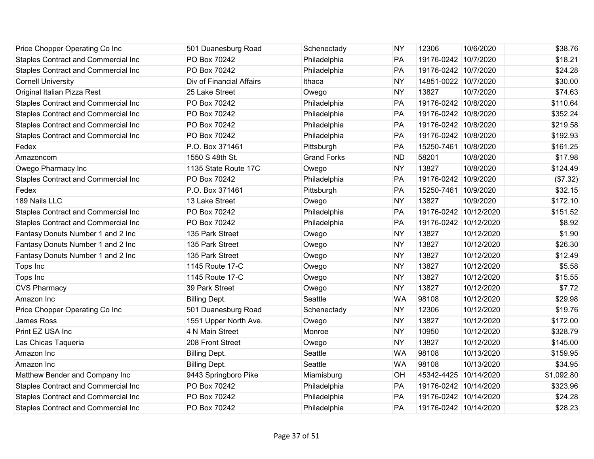| Price Chopper Operating Co Inc             | 501 Duanesburg Road      | Schenectady        | <b>NY</b> | 12306                 | 10/6/2020  | \$38.76    |
|--------------------------------------------|--------------------------|--------------------|-----------|-----------------------|------------|------------|
| Staples Contract and Commercial Inc        | PO Box 70242             | Philadelphia       | PA        | 19176-0242 10/7/2020  |            | \$18.21    |
| <b>Staples Contract and Commercial Inc</b> | PO Box 70242             | Philadelphia       | PA        | 19176-0242 10/7/2020  |            | \$24.28    |
| <b>Cornell University</b>                  | Div of Financial Affairs | Ithaca             | <b>NY</b> | 14851-0022 10/7/2020  |            | \$30.00    |
| Original Italian Pizza Rest                | 25 Lake Street           | Owego              | <b>NY</b> | 13827                 | 10/7/2020  | \$74.63    |
| Staples Contract and Commercial Inc        | PO Box 70242             | Philadelphia       | PA        | 19176-0242 10/8/2020  |            | \$110.64   |
| Staples Contract and Commercial Inc        | PO Box 70242             | Philadelphia       | PA        | 19176-0242 10/8/2020  |            | \$352.24   |
| <b>Staples Contract and Commercial Inc</b> | PO Box 70242             | Philadelphia       | PA        | 19176-0242 10/8/2020  |            | \$219.58   |
| Staples Contract and Commercial Inc        | PO Box 70242             | Philadelphia       | PA        | 19176-0242 10/8/2020  |            | \$192.93   |
| Fedex                                      | P.O. Box 371461          | Pittsburgh         | PA        | 15250-7461 10/8/2020  |            | \$161.25   |
| Amazoncom                                  | 1550 S 48th St.          | <b>Grand Forks</b> | <b>ND</b> | 58201                 | 10/8/2020  | \$17.98    |
| Owego Pharmacy Inc                         | 1135 State Route 17C     | Owego              | <b>NY</b> | 13827                 | 10/8/2020  | \$124.49   |
| <b>Staples Contract and Commercial Inc</b> | PO Box 70242             | Philadelphia       | PA        | 19176-0242 10/9/2020  |            | (\$7.32)   |
| Fedex                                      | P.O. Box 371461          | Pittsburgh         | PA        | 15250-7461 10/9/2020  |            | \$32.15    |
| 189 Nails LLC                              | 13 Lake Street           | Owego              | <b>NY</b> | 13827                 | 10/9/2020  | \$172.10   |
| Staples Contract and Commercial Inc        | PO Box 70242             | Philadelphia       | PA        | 19176-0242 10/12/2020 |            | \$151.52   |
| Staples Contract and Commercial Inc        | PO Box 70242             | Philadelphia       | PA        | 19176-0242 10/12/2020 |            | \$8.92     |
| Fantasy Donuts Number 1 and 2 Inc          | 135 Park Street          | Owego              | <b>NY</b> | 13827                 | 10/12/2020 | \$1.90     |
| Fantasy Donuts Number 1 and 2 Inc          | 135 Park Street          | Owego              | <b>NY</b> | 13827                 | 10/12/2020 | \$26.30    |
| Fantasy Donuts Number 1 and 2 Inc          | 135 Park Street          | Owego              | <b>NY</b> | 13827                 | 10/12/2020 | \$12.49    |
| Tops Inc                                   | 1145 Route 17-C          | Owego              | <b>NY</b> | 13827                 | 10/12/2020 | \$5.58     |
| Tops Inc                                   | 1145 Route 17-C          | Owego              | <b>NY</b> | 13827                 | 10/12/2020 | \$15.55    |
| <b>CVS Pharmacy</b>                        | 39 Park Street           | Owego              | <b>NY</b> | 13827                 | 10/12/2020 | \$7.72     |
| Amazon Inc                                 | <b>Billing Dept.</b>     | Seattle            | <b>WA</b> | 98108                 | 10/12/2020 | \$29.98    |
| Price Chopper Operating Co Inc             | 501 Duanesburg Road      | Schenectady        | <b>NY</b> | 12306                 | 10/12/2020 | \$19.76    |
| <b>James Ross</b>                          | 1551 Upper North Ave.    | Owego              | <b>NY</b> | 13827                 | 10/12/2020 | \$172.00   |
| Print EZ USA Inc                           | 4 N Main Street          | Monroe             | <b>NY</b> | 10950                 | 10/12/2020 | \$328.79   |
| Las Chicas Taqueria                        | 208 Front Street         | Owego              | <b>NY</b> | 13827                 | 10/12/2020 | \$145.00   |
| Amazon Inc                                 | <b>Billing Dept.</b>     | Seattle            | <b>WA</b> | 98108                 | 10/13/2020 | \$159.95   |
| Amazon Inc                                 | <b>Billing Dept.</b>     | Seattle            | <b>WA</b> | 98108                 | 10/13/2020 | \$34.95    |
| Matthew Bender and Company Inc             | 9443 Springboro Pike     | Miamisburg         | OH        | 45342-4425 10/14/2020 |            | \$1,092.80 |
| <b>Staples Contract and Commercial Inc</b> | PO Box 70242             | Philadelphia       | PA        | 19176-0242 10/14/2020 |            | \$323.96   |
| Staples Contract and Commercial Inc        | PO Box 70242             | Philadelphia       | PA        | 19176-0242 10/14/2020 |            | \$24.28    |
| Staples Contract and Commercial Inc        | PO Box 70242             | Philadelphia       | PA        | 19176-0242 10/14/2020 |            | \$28.23    |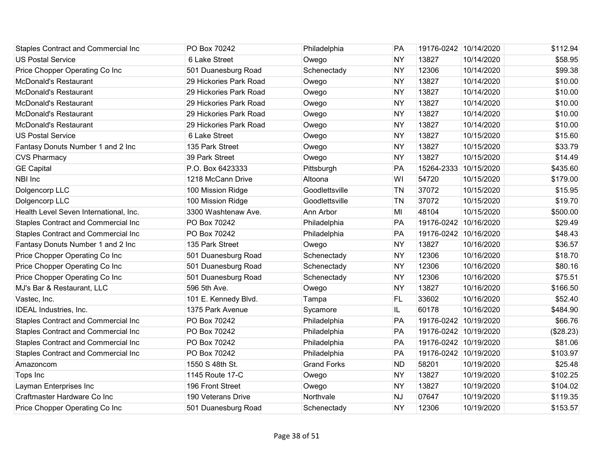| <b>Staples Contract and Commercial Inc</b> | PO Box 70242           | Philadelphia       | PA        | 19176-0242 10/14/2020 |            | \$112.94  |
|--------------------------------------------|------------------------|--------------------|-----------|-----------------------|------------|-----------|
| <b>US Postal Service</b>                   | 6 Lake Street          | Owego              | <b>NY</b> | 13827                 | 10/14/2020 | \$58.95   |
| Price Chopper Operating Co Inc             | 501 Duanesburg Road    | Schenectady        | <b>NY</b> | 12306                 | 10/14/2020 | \$99.38   |
| <b>McDonald's Restaurant</b>               | 29 Hickories Park Road | Owego              | <b>NY</b> | 13827                 | 10/14/2020 | \$10.00   |
| McDonald's Restaurant                      | 29 Hickories Park Road | Owego              | <b>NY</b> | 13827                 | 10/14/2020 | \$10.00   |
| McDonald's Restaurant                      | 29 Hickories Park Road | Owego              | <b>NY</b> | 13827                 | 10/14/2020 | \$10.00   |
| McDonald's Restaurant                      | 29 Hickories Park Road | Owego              | <b>NY</b> | 13827                 | 10/14/2020 | \$10.00   |
| McDonald's Restaurant                      | 29 Hickories Park Road | Owego              | <b>NY</b> | 13827                 | 10/14/2020 | \$10.00   |
| <b>US Postal Service</b>                   | 6 Lake Street          | Owego              | <b>NY</b> | 13827                 | 10/15/2020 | \$15.60   |
| Fantasy Donuts Number 1 and 2 Inc          | 135 Park Street        | Owego              | <b>NY</b> | 13827                 | 10/15/2020 | \$33.79   |
| <b>CVS Pharmacy</b>                        | 39 Park Street         | Owego              | <b>NY</b> | 13827                 | 10/15/2020 | \$14.49   |
| <b>GE Capital</b>                          | P.O. Box 6423333       | Pittsburgh         | PA        | 15264-2333            | 10/15/2020 | \$435.60  |
| NBI Inc                                    | 1218 McCann Drive      | Altoona            | WI        | 54720                 | 10/15/2020 | \$179.00  |
| Dolgencorp LLC                             | 100 Mission Ridge      | Goodlettsville     | <b>TN</b> | 37072                 | 10/15/2020 | \$15.95   |
| Dolgencorp LLC                             | 100 Mission Ridge      | Goodlettsville     | <b>TN</b> | 37072                 | 10/15/2020 | \$19.70   |
| Health Level Seven International, Inc.     | 3300 Washtenaw Ave.    | Ann Arbor          | MI        | 48104                 | 10/15/2020 | \$500.00  |
| Staples Contract and Commercial Inc        | PO Box 70242           | Philadelphia       | PA        | 19176-0242 10/16/2020 |            | \$29.49   |
| Staples Contract and Commercial Inc        | PO Box 70242           | Philadelphia       | PA        | 19176-0242 10/16/2020 |            | \$48.43   |
| Fantasy Donuts Number 1 and 2 Inc          | 135 Park Street        | Owego              | <b>NY</b> | 13827                 | 10/16/2020 | \$36.57   |
| Price Chopper Operating Co Inc             | 501 Duanesburg Road    | Schenectady        | <b>NY</b> | 12306                 | 10/16/2020 | \$18.70   |
| Price Chopper Operating Co Inc             | 501 Duanesburg Road    | Schenectady        | <b>NY</b> | 12306                 | 10/16/2020 | \$80.16   |
| Price Chopper Operating Co Inc             | 501 Duanesburg Road    | Schenectady        | <b>NY</b> | 12306                 | 10/16/2020 | \$75.51   |
| MJ's Bar & Restaurant, LLC                 | 596 5th Ave.           | Owego              | <b>NY</b> | 13827                 | 10/16/2020 | \$166.50  |
| Vastec, Inc.                               | 101 E. Kennedy Blvd.   | Tampa              | <b>FL</b> | 33602                 | 10/16/2020 | \$52.40   |
| <b>IDEAL Industries, Inc.</b>              | 1375 Park Avenue       | Sycamore           | IL        | 60178                 | 10/16/2020 | \$484.90  |
| Staples Contract and Commercial Inc        | PO Box 70242           | Philadelphia       | PA        | 19176-0242 10/19/2020 |            | \$66.76   |
| Staples Contract and Commercial Inc        | PO Box 70242           | Philadelphia       | PA        | 19176-0242 10/19/2020 |            | (\$28.23) |
| Staples Contract and Commercial Inc        | PO Box 70242           | Philadelphia       | PA        | 19176-0242 10/19/2020 |            | \$81.06   |
| Staples Contract and Commercial Inc        | PO Box 70242           | Philadelphia       | PA        | 19176-0242 10/19/2020 |            | \$103.97  |
| Amazoncom                                  | 1550 S 48th St.        | <b>Grand Forks</b> | <b>ND</b> | 58201                 | 10/19/2020 | \$25.48   |
| Tops Inc                                   | 1145 Route 17-C        | Owego              | <b>NY</b> | 13827                 | 10/19/2020 | \$102.25  |
| Layman Enterprises Inc                     | 196 Front Street       | Owego              | <b>NY</b> | 13827                 | 10/19/2020 | \$104.02  |
| Craftmaster Hardware Co Inc                | 190 Veterans Drive     | Northvale          | <b>NJ</b> | 07647                 | 10/19/2020 | \$119.35  |
| Price Chopper Operating Co Inc             | 501 Duanesburg Road    | Schenectady        | <b>NY</b> | 12306                 | 10/19/2020 | \$153.57  |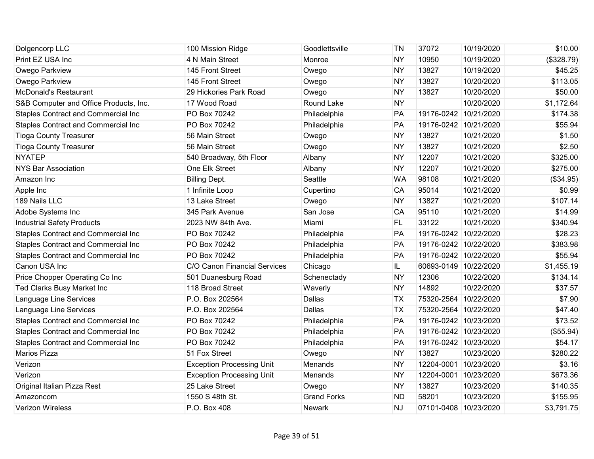| Dolgencorp LLC                             | 100 Mission Ridge                | Goodlettsville     | <b>TN</b> | 37072                 | 10/19/2020 | \$10.00    |
|--------------------------------------------|----------------------------------|--------------------|-----------|-----------------------|------------|------------|
| Print EZ USA Inc                           | 4 N Main Street                  | Monroe             | <b>NY</b> | 10950                 | 10/19/2020 | (\$328.79) |
| Owego Parkview                             | 145 Front Street                 | Owego              | <b>NY</b> | 13827                 | 10/19/2020 | \$45.25    |
| Owego Parkview                             | 145 Front Street                 | Owego              | <b>NY</b> | 13827                 | 10/20/2020 | \$113.05   |
| <b>McDonald's Restaurant</b>               | 29 Hickories Park Road           | Owego              | <b>NY</b> | 13827                 | 10/20/2020 | \$50.00    |
| S&B Computer and Office Products, Inc.     | 17 Wood Road                     | Round Lake         | <b>NY</b> |                       | 10/20/2020 | \$1,172.64 |
| Staples Contract and Commercial Inc        | PO Box 70242                     | Philadelphia       | PA        | 19176-0242 10/21/2020 |            | \$174.38   |
| <b>Staples Contract and Commercial Inc</b> | PO Box 70242                     | Philadelphia       | PA        | 19176-0242 10/21/2020 |            | \$55.94    |
| <b>Tioga County Treasurer</b>              | 56 Main Street                   | Owego              | <b>NY</b> | 13827                 | 10/21/2020 | \$1.50     |
| <b>Tioga County Treasurer</b>              | 56 Main Street                   | Owego              | <b>NY</b> | 13827                 | 10/21/2020 | \$2.50     |
| <b>NYATEP</b>                              | 540 Broadway, 5th Floor          | Albany             | <b>NY</b> | 12207                 | 10/21/2020 | \$325.00   |
| <b>NYS Bar Association</b>                 | One Elk Street                   | Albany             | <b>NY</b> | 12207                 | 10/21/2020 | \$275.00   |
| Amazon Inc                                 | <b>Billing Dept.</b>             | Seattle            | <b>WA</b> | 98108                 | 10/21/2020 | (\$34.95)  |
| Apple Inc                                  | 1 Infinite Loop                  | Cupertino          | CA        | 95014                 | 10/21/2020 | \$0.99     |
| 189 Nails LLC                              | 13 Lake Street                   | Owego              | <b>NY</b> | 13827                 | 10/21/2020 | \$107.14   |
| Adobe Systems Inc                          | 345 Park Avenue                  | San Jose           | CA        | 95110                 | 10/21/2020 | \$14.99    |
| <b>Industrial Safety Products</b>          | 2023 NW 84th Ave.                | Miami              | FL        | 33122                 | 10/21/2020 | \$340.94   |
| <b>Staples Contract and Commercial Inc</b> | PO Box 70242                     | Philadelphia       | PA        | 19176-0242 10/22/2020 |            | \$28.23    |
| Staples Contract and Commercial Inc        | PO Box 70242                     | Philadelphia       | PA        | 19176-0242 10/22/2020 |            | \$383.98   |
| <b>Staples Contract and Commercial Inc</b> | PO Box 70242                     | Philadelphia       | PA        | 19176-0242 10/22/2020 |            | \$55.94    |
| Canon USA Inc                              | C/O Canon Financial Services     | Chicago            | IL.       | 60693-0149 10/22/2020 |            | \$1,455.19 |
| Price Chopper Operating Co Inc             | 501 Duanesburg Road              | Schenectady        | <b>NY</b> | 12306                 | 10/22/2020 | \$134.14   |
| Ted Clarks Busy Market Inc                 | 118 Broad Street                 | Waverly            | <b>NY</b> | 14892                 | 10/22/2020 | \$37.57    |
| Language Line Services                     | P.O. Box 202564                  | <b>Dallas</b>      | <b>TX</b> | 75320-2564 10/22/2020 |            | \$7.90     |
| Language Line Services                     | P.O. Box 202564                  | <b>Dallas</b>      | <b>TX</b> | 75320-2564 10/22/2020 |            | \$47.40    |
| <b>Staples Contract and Commercial Inc</b> | PO Box 70242                     | Philadelphia       | PA        | 19176-0242 10/23/2020 |            | \$73.52    |
| Staples Contract and Commercial Inc        | PO Box 70242                     | Philadelphia       | PA        | 19176-0242 10/23/2020 |            | (\$55.94)  |
| Staples Contract and Commercial Inc        | PO Box 70242                     | Philadelphia       | PA        | 19176-0242 10/23/2020 |            | \$54.17    |
| Marios Pizza                               | 51 Fox Street                    | Owego              | <b>NY</b> | 13827                 | 10/23/2020 | \$280.22   |
| Verizon                                    | <b>Exception Processing Unit</b> | <b>Menands</b>     | <b>NY</b> | 12204-0001 10/23/2020 |            | \$3.16     |
| Verizon                                    | <b>Exception Processing Unit</b> | Menands            | <b>NY</b> | 12204-0001 10/23/2020 |            | \$673.36   |
| Original Italian Pizza Rest                | 25 Lake Street                   | Owego              | <b>NY</b> | 13827                 | 10/23/2020 | \$140.35   |
| Amazoncom                                  | 1550 S 48th St.                  | <b>Grand Forks</b> | <b>ND</b> | 58201                 | 10/23/2020 | \$155.95   |
| Verizon Wireless                           | P.O. Box 408                     | <b>Newark</b>      | <b>NJ</b> | 07101-0408 10/23/2020 |            | \$3,791.75 |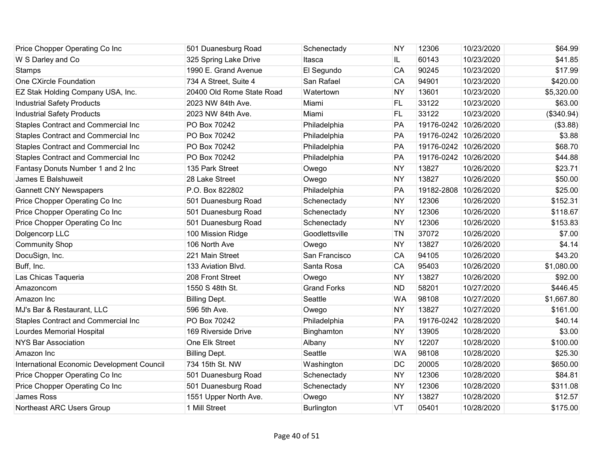| Price Chopper Operating Co Inc             | 501 Duanesburg Road       | Schenectady        | <b>NY</b> | 12306                 | 10/23/2020 | \$64.99    |
|--------------------------------------------|---------------------------|--------------------|-----------|-----------------------|------------|------------|
| W S Darley and Co                          | 325 Spring Lake Drive     | Itasca             | IL.       | 60143                 | 10/23/2020 | \$41.85    |
| Stamps                                     | 1990 E. Grand Avenue      | El Segundo         | CA        | 90245                 | 10/23/2020 | \$17.99    |
| One CXircle Foundation                     | 734 A Street, Suite 4     | San Rafael         | CA        | 94901                 | 10/23/2020 | \$420.00   |
| EZ Stak Holding Company USA, Inc.          | 20400 Old Rome State Road | Watertown          | <b>NY</b> | 13601                 | 10/23/2020 | \$5,320.00 |
| <b>Industrial Safety Products</b>          | 2023 NW 84th Ave.         | Miami              | FL        | 33122                 | 10/23/2020 | \$63.00    |
| <b>Industrial Safety Products</b>          | 2023 NW 84th Ave.         | Miami              | FL        | 33122                 | 10/23/2020 | (\$340.94) |
| <b>Staples Contract and Commercial Inc</b> | PO Box 70242              | Philadelphia       | PA        | 19176-0242 10/26/2020 |            | (\$3.88)   |
| <b>Staples Contract and Commercial Inc</b> | PO Box 70242              | Philadelphia       | PA        | 19176-0242 10/26/2020 |            | \$3.88     |
| <b>Staples Contract and Commercial Inc</b> | PO Box 70242              | Philadelphia       | PA        | 19176-0242 10/26/2020 |            | \$68.70    |
| Staples Contract and Commercial Inc        | PO Box 70242              | Philadelphia       | PA        | 19176-0242 10/26/2020 |            | \$44.88    |
| Fantasy Donuts Number 1 and 2 Inc          | 135 Park Street           | Owego              | <b>NY</b> | 13827                 | 10/26/2020 | \$23.71    |
| James E Balshuweit                         | 28 Lake Street            | Owego              | <b>NY</b> | 13827                 | 10/26/2020 | \$50.00    |
| <b>Gannett CNY Newspapers</b>              | P.O. Box 822802           | Philadelphia       | PA        | 19182-2808 10/26/2020 |            | \$25.00    |
| Price Chopper Operating Co Inc             | 501 Duanesburg Road       | Schenectady        | <b>NY</b> | 12306                 | 10/26/2020 | \$152.31   |
| Price Chopper Operating Co Inc             | 501 Duanesburg Road       | Schenectady        | <b>NY</b> | 12306                 | 10/26/2020 | \$118.67   |
| Price Chopper Operating Co Inc             | 501 Duanesburg Road       | Schenectady        | <b>NY</b> | 12306                 | 10/26/2020 | \$153.83   |
| Dolgencorp LLC                             | 100 Mission Ridge         | Goodlettsville     | <b>TN</b> | 37072                 | 10/26/2020 | \$7.00     |
| <b>Community Shop</b>                      | 106 North Ave             | Owego              | <b>NY</b> | 13827                 | 10/26/2020 | \$4.14     |
| DocuSign, Inc.                             | 221 Main Street           | San Francisco      | CA        | 94105                 | 10/26/2020 | \$43.20    |
| Buff, Inc.                                 | 133 Aviation Blvd.        | Santa Rosa         | CA        | 95403                 | 10/26/2020 | \$1,080.00 |
| Las Chicas Taqueria                        | 208 Front Street          | Owego              | <b>NY</b> | 13827                 | 10/26/2020 | \$92.00    |
| Amazoncom                                  | 1550 S 48th St.           | <b>Grand Forks</b> | <b>ND</b> | 58201                 | 10/27/2020 | \$446.45   |
| Amazon Inc                                 | <b>Billing Dept.</b>      | Seattle            | <b>WA</b> | 98108                 | 10/27/2020 | \$1,667.80 |
| MJ's Bar & Restaurant, LLC                 | 596 5th Ave.              | Owego              | <b>NY</b> | 13827                 | 10/27/2020 | \$161.00   |
| <b>Staples Contract and Commercial Inc</b> | PO Box 70242              | Philadelphia       | PA        | 19176-0242            | 10/28/2020 | \$40.14    |
| Lourdes Memorial Hospital                  | 169 Riverside Drive       | Binghamton         | <b>NY</b> | 13905                 | 10/28/2020 | \$3.00     |
| <b>NYS Bar Association</b>                 | One Elk Street            | Albany             | <b>NY</b> | 12207                 | 10/28/2020 | \$100.00   |
| Amazon Inc                                 | <b>Billing Dept.</b>      | Seattle            | <b>WA</b> | 98108                 | 10/28/2020 | \$25.30    |
| International Economic Development Council | 734 15th St. NW           | Washington         | DC        | 20005                 | 10/28/2020 | \$650.00   |
| Price Chopper Operating Co Inc             | 501 Duanesburg Road       | Schenectady        | <b>NY</b> | 12306                 | 10/28/2020 | \$84.81    |
| Price Chopper Operating Co Inc             | 501 Duanesburg Road       | Schenectady        | <b>NY</b> | 12306                 | 10/28/2020 | \$311.08   |
| James Ross                                 | 1551 Upper North Ave.     | Owego              | <b>NY</b> | 13827                 | 10/28/2020 | \$12.57    |
| Northeast ARC Users Group                  | 1 Mill Street             | Burlington         | VT        | 05401                 | 10/28/2020 | \$175.00   |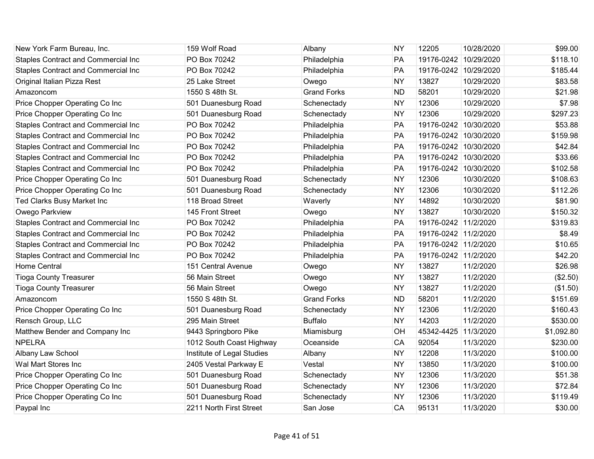| New York Farm Bureau, Inc.                 | 159 Wolf Road              | Albany             | <b>NY</b> | 12205                 | 10/28/2020 | \$99.00    |
|--------------------------------------------|----------------------------|--------------------|-----------|-----------------------|------------|------------|
| <b>Staples Contract and Commercial Inc</b> | PO Box 70242               | Philadelphia       | PA        | 19176-0242 10/29/2020 |            | \$118.10   |
| Staples Contract and Commercial Inc        | PO Box 70242               | Philadelphia       | PA        | 19176-0242 10/29/2020 |            | \$185.44   |
| Original Italian Pizza Rest                | 25 Lake Street             | Owego              | <b>NY</b> | 13827                 | 10/29/2020 | \$83.58    |
| Amazoncom                                  | 1550 S 48th St.            | <b>Grand Forks</b> | <b>ND</b> | 58201                 | 10/29/2020 | \$21.98    |
| Price Chopper Operating Co Inc             | 501 Duanesburg Road        | Schenectady        | <b>NY</b> | 12306                 | 10/29/2020 | \$7.98     |
| Price Chopper Operating Co Inc             | 501 Duanesburg Road        | Schenectady        | <b>NY</b> | 12306                 | 10/29/2020 | \$297.23   |
| Staples Contract and Commercial Inc        | PO Box 70242               | Philadelphia       | PA        | 19176-0242 10/30/2020 |            | \$53.88    |
| Staples Contract and Commercial Inc        | PO Box 70242               | Philadelphia       | PA        | 19176-0242 10/30/2020 |            | \$159.98   |
| <b>Staples Contract and Commercial Inc</b> | PO Box 70242               | Philadelphia       | PA        | 19176-0242 10/30/2020 |            | \$42.84    |
| Staples Contract and Commercial Inc        | PO Box 70242               | Philadelphia       | PA        | 19176-0242 10/30/2020 |            | \$33.66    |
| Staples Contract and Commercial Inc        | PO Box 70242               | Philadelphia       | PA        | 19176-0242 10/30/2020 |            | \$102.58   |
| Price Chopper Operating Co Inc             | 501 Duanesburg Road        | Schenectady        | <b>NY</b> | 12306                 | 10/30/2020 | \$108.63   |
| Price Chopper Operating Co Inc             | 501 Duanesburg Road        | Schenectady        | <b>NY</b> | 12306                 | 10/30/2020 | \$112.26   |
| Ted Clarks Busy Market Inc                 | 118 Broad Street           | Waverly            | <b>NY</b> | 14892                 | 10/30/2020 | \$81.90    |
| Owego Parkview                             | 145 Front Street           | Owego              | <b>NY</b> | 13827                 | 10/30/2020 | \$150.32   |
| Staples Contract and Commercial Inc        | PO Box 70242               | Philadelphia       | PA        | 19176-0242 11/2/2020  |            | \$319.83   |
| Staples Contract and Commercial Inc        | PO Box 70242               | Philadelphia       | PA        | 19176-0242 11/2/2020  |            | \$8.49     |
| Staples Contract and Commercial Inc        | PO Box 70242               | Philadelphia       | PA        | 19176-0242 11/2/2020  |            | \$10.65    |
| Staples Contract and Commercial Inc        | PO Box 70242               | Philadelphia       | PA        | 19176-0242 11/2/2020  |            | \$42.20    |
| <b>Home Central</b>                        | 151 Central Avenue         | Owego              | <b>NY</b> | 13827                 | 11/2/2020  | \$26.98    |
| <b>Tioga County Treasurer</b>              | 56 Main Street             | Owego              | <b>NY</b> | 13827                 | 11/2/2020  | (\$2.50)   |
| <b>Tioga County Treasurer</b>              | 56 Main Street             | Owego              | <b>NY</b> | 13827                 | 11/2/2020  | (\$1.50)   |
| Amazoncom                                  | 1550 S 48th St.            | <b>Grand Forks</b> | <b>ND</b> | 58201                 | 11/2/2020  | \$151.69   |
| Price Chopper Operating Co Inc             | 501 Duanesburg Road        | Schenectady        | <b>NY</b> | 12306                 | 11/2/2020  | \$160.43   |
| Rensch Group, LLC                          | 295 Main Street            | <b>Buffalo</b>     | <b>NY</b> | 14203                 | 11/2/2020  | \$530.00   |
| Matthew Bender and Company Inc             | 9443 Springboro Pike       | Miamisburg         | OH        | 45342-4425            | 11/3/2020  | \$1,092.80 |
| <b>NPELRA</b>                              | 1012 South Coast Highway   | Oceanside          | CA        | 92054                 | 11/3/2020  | \$230.00   |
| Albany Law School                          | Institute of Legal Studies | Albany             | <b>NY</b> | 12208                 | 11/3/2020  | \$100.00   |
| Wal Mart Stores Inc                        | 2405 Vestal Parkway E      | Vestal             | <b>NY</b> | 13850                 | 11/3/2020  | \$100.00   |
| Price Chopper Operating Co Inc             | 501 Duanesburg Road        | Schenectady        | <b>NY</b> | 12306                 | 11/3/2020  | \$51.38    |
| Price Chopper Operating Co Inc             | 501 Duanesburg Road        | Schenectady        | <b>NY</b> | 12306                 | 11/3/2020  | \$72.84    |
| Price Chopper Operating Co Inc             | 501 Duanesburg Road        | Schenectady        | <b>NY</b> | 12306                 | 11/3/2020  | \$119.49   |
| Paypal Inc                                 | 2211 North First Street    | San Jose           | CA        | 95131                 | 11/3/2020  | \$30.00    |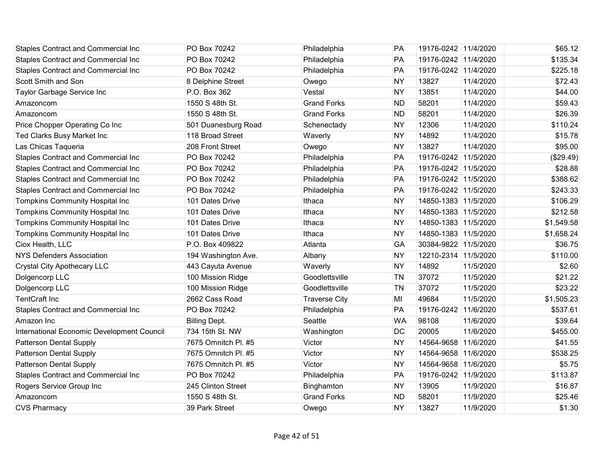| <b>Staples Contract and Commercial Inc</b> | PO Box 70242         | Philadelphia         | PA        | 19176-0242 11/4/2020 |           | \$65.12    |
|--------------------------------------------|----------------------|----------------------|-----------|----------------------|-----------|------------|
| Staples Contract and Commercial Inc        | PO Box 70242         | Philadelphia         | PA        | 19176-0242 11/4/2020 |           | \$135.34   |
| Staples Contract and Commercial Inc        | PO Box 70242         | Philadelphia         | PA        | 19176-0242 11/4/2020 |           | \$225.18   |
| Scott Smith and Son                        | 8 Delphine Street    | Owego                | <b>NY</b> | 13827                | 11/4/2020 | \$72.43    |
| Taylor Garbage Service Inc                 | P.O. Box 362         | Vestal               | <b>NY</b> | 13851                | 11/4/2020 | \$44.00    |
| Amazoncom                                  | 1550 S 48th St.      | <b>Grand Forks</b>   | <b>ND</b> | 58201                | 11/4/2020 | \$59.43    |
| Amazoncom                                  | 1550 S 48th St.      | <b>Grand Forks</b>   | <b>ND</b> | 58201                | 11/4/2020 | \$26.39    |
| Price Chopper Operating Co Inc             | 501 Duanesburg Road  | Schenectady          | <b>NY</b> | 12306                | 11/4/2020 | \$110.24   |
| Ted Clarks Busy Market Inc                 | 118 Broad Street     | Waverly              | <b>NY</b> | 14892                | 11/4/2020 | \$15.78    |
| Las Chicas Taqueria                        | 208 Front Street     | Owego                | <b>NY</b> | 13827                | 11/4/2020 | \$95.00    |
| Staples Contract and Commercial Inc        | PO Box 70242         | Philadelphia         | PA        | 19176-0242 11/5/2020 |           | (\$29.49)  |
| Staples Contract and Commercial Inc        | PO Box 70242         | Philadelphia         | PA        | 19176-0242 11/5/2020 |           | \$28.88    |
| Staples Contract and Commercial Inc        | PO Box 70242         | Philadelphia         | PA        | 19176-0242 11/5/2020 |           | \$388.62   |
| <b>Staples Contract and Commercial Inc</b> | PO Box 70242         | Philadelphia         | PA        | 19176-0242 11/5/2020 |           | \$243.33   |
| <b>Tompkins Community Hospital Inc</b>     | 101 Dates Drive      | Ithaca               | <b>NY</b> | 14850-1383 11/5/2020 |           | \$106.29   |
| <b>Tompkins Community Hospital Inc</b>     | 101 Dates Drive      | Ithaca               | <b>NY</b> | 14850-1383 11/5/2020 |           | \$212.58   |
| <b>Tompkins Community Hospital Inc</b>     | 101 Dates Drive      | Ithaca               | <b>NY</b> | 14850-1383 11/5/2020 |           | \$1,549.58 |
| <b>Tompkins Community Hospital Inc</b>     | 101 Dates Drive      | Ithaca               | <b>NY</b> | 14850-1383 11/5/2020 |           | \$1,658.24 |
| Ciox Health, LLC                           | P.O. Box 409822      | Atlanta              | GA        | 30384-9822 11/5/2020 |           | \$36.75    |
| <b>NYS Defenders Association</b>           | 194 Washington Ave.  | Albany               | <b>NY</b> | 12210-2314 11/5/2020 |           | \$110.00   |
| <b>Crystal City Apothecary LLC</b>         | 443 Cayuta Avenue    | Waverly              | <b>NY</b> | 14892                | 11/5/2020 | \$2.60     |
| Dolgencorp LLC                             | 100 Mission Ridge    | Goodlettsville       | <b>TN</b> | 37072                | 11/5/2020 | \$21.22    |
| Dolgencorp LLC                             | 100 Mission Ridge    | Goodlettsville       | <b>TN</b> | 37072                | 11/5/2020 | \$23.22    |
| <b>TentCraft Inc</b>                       | 2662 Cass Road       | <b>Traverse City</b> | MI        | 49684                | 11/5/2020 | \$1,505.23 |
| Staples Contract and Commercial Inc        | PO Box 70242         | Philadelphia         | PA        | 19176-0242 11/6/2020 |           | \$537.61   |
| Amazon Inc                                 | <b>Billing Dept.</b> | Seattle              | <b>WA</b> | 98108                | 11/6/2020 | \$39.64    |
| International Economic Development Council | 734 15th St. NW      | Washington           | DC        | 20005                | 11/6/2020 | \$455.00   |
| Patterson Dental Supply                    | 7675 Omnitch Pl. #5  | Victor               | <b>NY</b> | 14564-9658 11/6/2020 |           | \$41.55    |
| <b>Patterson Dental Supply</b>             | 7675 Omnitch Pl. #5  | Victor               | <b>NY</b> | 14564-9658 11/6/2020 |           | \$538.25   |
| <b>Patterson Dental Supply</b>             | 7675 Omnitch Pl. #5  | Victor               | <b>NY</b> | 14564-9658 11/6/2020 |           | \$5.75     |
| Staples Contract and Commercial Inc        | PO Box 70242         | Philadelphia         | PA        | 19176-0242 11/9/2020 |           | \$113.87   |
| Rogers Service Group Inc                   | 245 Clinton Street   | Binghamton           | <b>NY</b> | 13905                | 11/9/2020 | \$16.87    |
| Amazoncom                                  | 1550 S 48th St.      | <b>Grand Forks</b>   | <b>ND</b> | 58201                | 11/9/2020 | \$25.46    |
| <b>CVS Pharmacy</b>                        | 39 Park Street       | Owego                | <b>NY</b> | 13827                | 11/9/2020 | \$1.30     |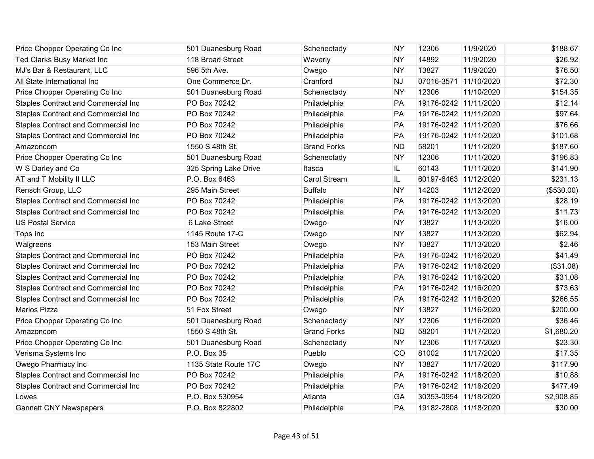| Price Chopper Operating Co Inc      | 501 Duanesburg Road   | Schenectady         | <b>NY</b> | 12306                 | 11/9/2020  | \$188.67   |
|-------------------------------------|-----------------------|---------------------|-----------|-----------------------|------------|------------|
| Ted Clarks Busy Market Inc          | 118 Broad Street      | Waverly             | <b>NY</b> | 14892                 | 11/9/2020  | \$26.92    |
| MJ's Bar & Restaurant, LLC          | 596 5th Ave.          | Owego               | <b>NY</b> | 13827                 | 11/9/2020  | \$76.50    |
| All State International Inc         | One Commerce Dr.      | Cranford            | <b>NJ</b> | 07016-3571 11/10/2020 |            | \$72.30    |
| Price Chopper Operating Co Inc      | 501 Duanesburg Road   | Schenectady         | <b>NY</b> | 12306                 | 11/10/2020 | \$154.35   |
| Staples Contract and Commercial Inc | PO Box 70242          | Philadelphia        | PA        | 19176-0242 11/11/2020 |            | \$12.14    |
| Staples Contract and Commercial Inc | PO Box 70242          | Philadelphia        | PA        | 19176-0242 11/11/2020 |            | \$97.64    |
| Staples Contract and Commercial Inc | PO Box 70242          | Philadelphia        | PA        | 19176-0242 11/11/2020 |            | \$76.66    |
| Staples Contract and Commercial Inc | PO Box 70242          | Philadelphia        | PA        | 19176-0242 11/11/2020 |            | \$101.68   |
| Amazoncom                           | 1550 S 48th St.       | <b>Grand Forks</b>  | <b>ND</b> | 58201                 | 11/11/2020 | \$187.60   |
| Price Chopper Operating Co Inc      | 501 Duanesburg Road   | Schenectady         | <b>NY</b> | 12306                 | 11/11/2020 | \$196.83   |
| W S Darley and Co                   | 325 Spring Lake Drive | Itasca              | IL.       | 60143                 | 11/11/2020 | \$141.90   |
| AT and T Mobility II LLC            | P.O. Box 6463         | <b>Carol Stream</b> | IL        | 60197-6463 11/12/2020 |            | \$231.13   |
| Rensch Group, LLC                   | 295 Main Street       | <b>Buffalo</b>      | <b>NY</b> | 14203                 | 11/12/2020 | (\$530.00) |
| Staples Contract and Commercial Inc | PO Box 70242          | Philadelphia        | PA        | 19176-0242 11/13/2020 |            | \$28.19    |
| Staples Contract and Commercial Inc | PO Box 70242          | Philadelphia        | PA        | 19176-0242 11/13/2020 |            | \$11.73    |
| <b>US Postal Service</b>            | 6 Lake Street         | Owego               | <b>NY</b> | 13827                 | 11/13/2020 | \$16.00    |
| Tops Inc                            | 1145 Route 17-C       | Owego               | <b>NY</b> | 13827                 | 11/13/2020 | \$62.94    |
| Walgreens                           | 153 Main Street       | Owego               | <b>NY</b> | 13827                 | 11/13/2020 | \$2.46     |
| Staples Contract and Commercial Inc | PO Box 70242          | Philadelphia        | PA        | 19176-0242 11/16/2020 |            | \$41.49    |
| Staples Contract and Commercial Inc | PO Box 70242          | Philadelphia        | PA        | 19176-0242 11/16/2020 |            | (\$31.08)  |
| Staples Contract and Commercial Inc | PO Box 70242          | Philadelphia        | PA        | 19176-0242 11/16/2020 |            | \$31.08    |
| Staples Contract and Commercial Inc | PO Box 70242          | Philadelphia        | PA        | 19176-0242 11/16/2020 |            | \$73.63    |
| Staples Contract and Commercial Inc | PO Box 70242          | Philadelphia        | PA        | 19176-0242 11/16/2020 |            | \$266.55   |
| Marios Pizza                        | 51 Fox Street         | Owego               | <b>NY</b> | 13827                 | 11/16/2020 | \$200.00   |
| Price Chopper Operating Co Inc      | 501 Duanesburg Road   | Schenectady         | <b>NY</b> | 12306                 | 11/16/2020 | \$36.46    |
| Amazoncom                           | 1550 S 48th St.       | <b>Grand Forks</b>  | <b>ND</b> | 58201                 | 11/17/2020 | \$1,680.20 |
| Price Chopper Operating Co Inc      | 501 Duanesburg Road   | Schenectady         | <b>NY</b> | 12306                 | 11/17/2020 | \$23.30    |
| Verisma Systems Inc                 | P.O. Box 35           | Pueblo              | CO        | 81002                 | 11/17/2020 | \$17.35    |
| Owego Pharmacy Inc                  | 1135 State Route 17C  | Owego               | <b>NY</b> | 13827                 | 11/17/2020 | \$117.90   |
| Staples Contract and Commercial Inc | PO Box 70242          | Philadelphia        | PA        | 19176-0242 11/18/2020 |            | \$10.88    |
| Staples Contract and Commercial Inc | PO Box 70242          | Philadelphia        | PA        | 19176-0242 11/18/2020 |            | \$477.49   |
| Lowes                               | P.O. Box 530954       | Atlanta             | GA        | 30353-0954 11/18/2020 |            | \$2,908.85 |
| <b>Gannett CNY Newspapers</b>       | P.O. Box 822802       | Philadelphia        | PA        | 19182-2808 11/18/2020 |            | \$30.00    |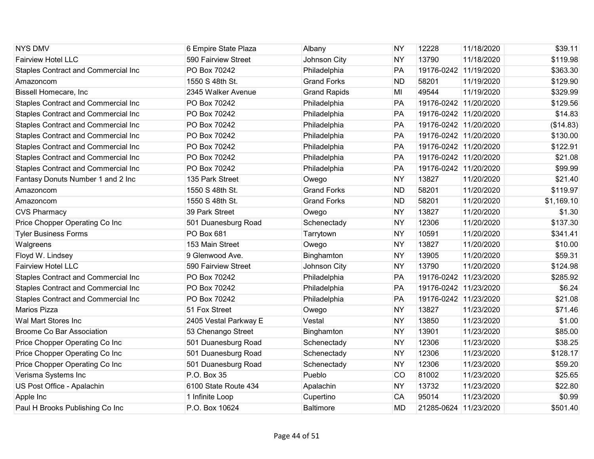| <b>NYS DMV</b>                             | 6 Empire State Plaza  | Albany              | <b>NY</b> | 12228                 | 11/18/2020 | \$39.11    |
|--------------------------------------------|-----------------------|---------------------|-----------|-----------------------|------------|------------|
| <b>Fairview Hotel LLC</b>                  | 590 Fairview Street   | Johnson City        | <b>NY</b> | 13790                 | 11/18/2020 | \$119.98   |
| Staples Contract and Commercial Inc        | PO Box 70242          | Philadelphia        | PA        | 19176-0242 11/19/2020 |            | \$363.30   |
| Amazoncom                                  | 1550 S 48th St.       | <b>Grand Forks</b>  | <b>ND</b> | 58201                 | 11/19/2020 | \$129.90   |
| Bissell Homecare, Inc                      | 2345 Walker Avenue    | <b>Grand Rapids</b> | MI        | 49544                 | 11/19/2020 | \$329.99   |
| Staples Contract and Commercial Inc        | PO Box 70242          | Philadelphia        | PA        | 19176-0242 11/20/2020 |            | \$129.56   |
| Staples Contract and Commercial Inc        | PO Box 70242          | Philadelphia        | PA        | 19176-0242 11/20/2020 |            | \$14.83    |
| Staples Contract and Commercial Inc        | PO Box 70242          | Philadelphia        | PA        | 19176-0242 11/20/2020 |            | (\$14.83)  |
| Staples Contract and Commercial Inc        | PO Box 70242          | Philadelphia        | PA        | 19176-0242 11/20/2020 |            | \$130.00   |
| <b>Staples Contract and Commercial Inc</b> | PO Box 70242          | Philadelphia        | PA        | 19176-0242 11/20/2020 |            | \$122.91   |
| Staples Contract and Commercial Inc        | PO Box 70242          | Philadelphia        | PA        | 19176-0242 11/20/2020 |            | \$21.08    |
| Staples Contract and Commercial Inc        | PO Box 70242          | Philadelphia        | PA        | 19176-0242 11/20/2020 |            | \$99.99    |
| Fantasy Donuts Number 1 and 2 Inc          | 135 Park Street       | Owego               | <b>NY</b> | 13827                 | 11/20/2020 | \$21.40    |
| Amazoncom                                  | 1550 S 48th St.       | <b>Grand Forks</b>  | <b>ND</b> | 58201                 | 11/20/2020 | \$119.97   |
| Amazoncom                                  | 1550 S 48th St.       | <b>Grand Forks</b>  | <b>ND</b> | 58201                 | 11/20/2020 | \$1,169.10 |
| <b>CVS Pharmacy</b>                        | 39 Park Street        | Owego               | <b>NY</b> | 13827                 | 11/20/2020 | \$1.30     |
| Price Chopper Operating Co Inc             | 501 Duanesburg Road   | Schenectady         | <b>NY</b> | 12306                 | 11/20/2020 | \$137.30   |
| <b>Tyler Business Forms</b>                | PO Box 681            | Tarrytown           | <b>NY</b> | 10591                 | 11/20/2020 | \$341.41   |
| Walgreens                                  | 153 Main Street       | Owego               | <b>NY</b> | 13827                 | 11/20/2020 | \$10.00    |
| Floyd W. Lindsey                           | 9 Glenwood Ave.       | Binghamton          | <b>NY</b> | 13905                 | 11/20/2020 | \$59.31    |
| <b>Fairview Hotel LLC</b>                  | 590 Fairview Street   | Johnson City        | <b>NY</b> | 13790                 | 11/20/2020 | \$124.98   |
| Staples Contract and Commercial Inc        | PO Box 70242          | Philadelphia        | PA        | 19176-0242 11/23/2020 |            | \$285.92   |
| Staples Contract and Commercial Inc        | PO Box 70242          | Philadelphia        | PA        | 19176-0242 11/23/2020 |            | \$6.24     |
| <b>Staples Contract and Commercial Inc</b> | PO Box 70242          | Philadelphia        | PA        | 19176-0242 11/23/2020 |            | \$21.08    |
| Marios Pizza                               | 51 Fox Street         | Owego               | <b>NY</b> | 13827                 | 11/23/2020 | \$71.46    |
| Wal Mart Stores Inc                        | 2405 Vestal Parkway E | Vestal              | <b>NY</b> | 13850                 | 11/23/2020 | \$1.00     |
| <b>Broome Co Bar Association</b>           | 53 Chenango Street    | Binghamton          | <b>NY</b> | 13901                 | 11/23/2020 | \$85.00    |
| Price Chopper Operating Co Inc             | 501 Duanesburg Road   | Schenectady         | <b>NY</b> | 12306                 | 11/23/2020 | \$38.25    |
| Price Chopper Operating Co Inc             | 501 Duanesburg Road   | Schenectady         | <b>NY</b> | 12306                 | 11/23/2020 | \$128.17   |
| Price Chopper Operating Co Inc             | 501 Duanesburg Road   | Schenectady         | <b>NY</b> | 12306                 | 11/23/2020 | \$59.20    |
| Verisma Systems Inc                        | P.O. Box 35           | Pueblo              | CO        | 81002                 | 11/23/2020 | \$25.65    |
| US Post Office - Apalachin                 | 6100 State Route 434  | Apalachin           | <b>NY</b> | 13732                 | 11/23/2020 | \$22.80    |
| Apple Inc                                  | 1 Infinite Loop       | Cupertino           | CA        | 95014                 | 11/23/2020 | \$0.99     |
| Paul H Brooks Publishing Co Inc            | P.O. Box 10624        | <b>Baltimore</b>    | <b>MD</b> | 21285-0624 11/23/2020 |            | \$501.40   |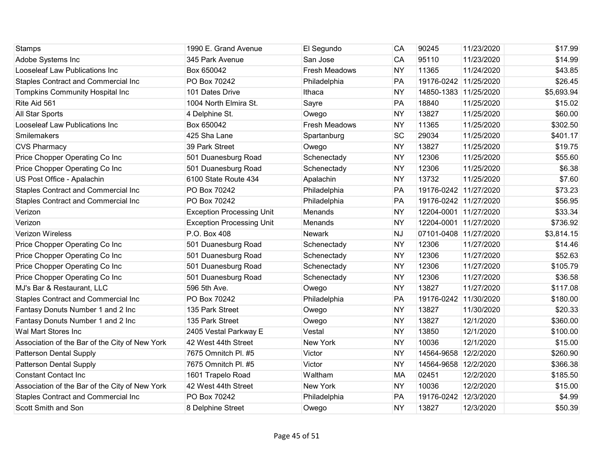| Stamps                                         | 1990 E. Grand Avenue             | El Segundo           | CA        | 90245                 | 11/23/2020 | \$17.99    |
|------------------------------------------------|----------------------------------|----------------------|-----------|-----------------------|------------|------------|
| Adobe Systems Inc                              | 345 Park Avenue                  | San Jose             | CA        | 95110                 | 11/23/2020 | \$14.99    |
| Looseleaf Law Publications Inc                 | Box 650042                       | <b>Fresh Meadows</b> | <b>NY</b> | 11365                 | 11/24/2020 | \$43.85    |
| <b>Staples Contract and Commercial Inc</b>     | PO Box 70242                     | Philadelphia         | PA        | 19176-0242 11/25/2020 |            | \$26.45    |
| Tompkins Community Hospital Inc                | 101 Dates Drive                  | Ithaca               | <b>NY</b> | 14850-1383 11/25/2020 |            | \$5,693.94 |
| Rite Aid 561                                   | 1004 North Elmira St.            | Sayre                | PA        | 18840                 | 11/25/2020 | \$15.02    |
| All Star Sports                                | 4 Delphine St.                   | Owego                | <b>NY</b> | 13827                 | 11/25/2020 | \$60.00    |
| Looseleaf Law Publications Inc                 | Box 650042                       | <b>Fresh Meadows</b> | <b>NY</b> | 11365                 | 11/25/2020 | \$302.50   |
| Smilemakers                                    | 425 Sha Lane                     | Spartanburg          | SC        | 29034                 | 11/25/2020 | \$401.17   |
| <b>CVS Pharmacy</b>                            | 39 Park Street                   | Owego                | <b>NY</b> | 13827                 | 11/25/2020 | \$19.75    |
| Price Chopper Operating Co Inc                 | 501 Duanesburg Road              | Schenectady          | <b>NY</b> | 12306                 | 11/25/2020 | \$55.60    |
| Price Chopper Operating Co Inc                 | 501 Duanesburg Road              | Schenectady          | <b>NY</b> | 12306                 | 11/25/2020 | \$6.38     |
| US Post Office - Apalachin                     | 6100 State Route 434             | Apalachin            | <b>NY</b> | 13732                 | 11/25/2020 | \$7.60     |
| Staples Contract and Commercial Inc            | PO Box 70242                     | Philadelphia         | PA        | 19176-0242 11/27/2020 |            | \$73.23    |
| Staples Contract and Commercial Inc            | PO Box 70242                     | Philadelphia         | PA        | 19176-0242 11/27/2020 |            | \$56.95    |
| Verizon                                        | <b>Exception Processing Unit</b> | Menands              | <b>NY</b> | 12204-0001 11/27/2020 |            | \$33.34    |
| Verizon                                        | <b>Exception Processing Unit</b> | Menands              | <b>NY</b> | 12204-0001 11/27/2020 |            | \$736.92   |
| <b>Verizon Wireless</b>                        | P.O. Box 408                     | <b>Newark</b>        | <b>NJ</b> | 07101-0408 11/27/2020 |            | \$3,814.15 |
| Price Chopper Operating Co Inc                 | 501 Duanesburg Road              | Schenectady          | <b>NY</b> | 12306                 | 11/27/2020 | \$14.46    |
| Price Chopper Operating Co Inc                 | 501 Duanesburg Road              | Schenectady          | <b>NY</b> | 12306                 | 11/27/2020 | \$52.63    |
| Price Chopper Operating Co Inc                 | 501 Duanesburg Road              | Schenectady          | <b>NY</b> | 12306                 | 11/27/2020 | \$105.79   |
| Price Chopper Operating Co Inc                 | 501 Duanesburg Road              | Schenectady          | <b>NY</b> | 12306                 | 11/27/2020 | \$36.58    |
| MJ's Bar & Restaurant, LLC                     | 596 5th Ave.                     | Owego                | <b>NY</b> | 13827                 | 11/27/2020 | \$117.08   |
| Staples Contract and Commercial Inc            | PO Box 70242                     | Philadelphia         | PA        | 19176-0242 11/30/2020 |            | \$180.00   |
| Fantasy Donuts Number 1 and 2 Inc              | 135 Park Street                  | Owego                | <b>NY</b> | 13827                 | 11/30/2020 | \$20.33    |
| Fantasy Donuts Number 1 and 2 Inc              | 135 Park Street                  | Owego                | <b>NY</b> | 13827                 | 12/1/2020  | \$360.00   |
| Wal Mart Stores Inc                            | 2405 Vestal Parkway E            | Vestal               | <b>NY</b> | 13850                 | 12/1/2020  | \$100.00   |
| Association of the Bar of the City of New York | 42 West 44th Street              | New York             | <b>NY</b> | 10036                 | 12/1/2020  | \$15.00    |
| <b>Patterson Dental Supply</b>                 | 7675 Omnitch Pl. #5              | Victor               | <b>NY</b> | 14564-9658 12/2/2020  |            | \$260.90   |
| <b>Patterson Dental Supply</b>                 | 7675 Omnitch Pl. #5              | Victor               | <b>NY</b> | 14564-9658 12/2/2020  |            | \$366.38   |
| <b>Constant Contact Inc</b>                    | 1601 Trapelo Road                | Waltham              | MA        | 02451                 | 12/2/2020  | \$185.50   |
| Association of the Bar of the City of New York | 42 West 44th Street              | New York             | <b>NY</b> | 10036                 | 12/2/2020  | \$15.00    |
| <b>Staples Contract and Commercial Inc</b>     | PO Box 70242                     | Philadelphia         | PA        | 19176-0242 12/3/2020  |            | \$4.99     |
| Scott Smith and Son                            | 8 Delphine Street                | Owego                | <b>NY</b> | 13827                 | 12/3/2020  | \$50.39    |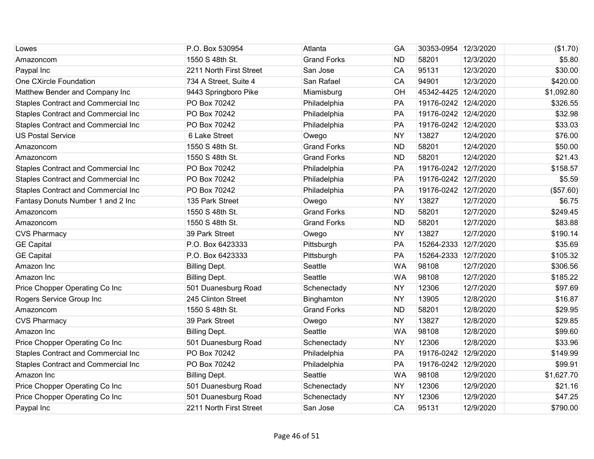| Lowes                                      | P.O. Box 530954         | Atlanta            | GA        | 30353-0954 12/3/2020 |           | (\$1.70)   |
|--------------------------------------------|-------------------------|--------------------|-----------|----------------------|-----------|------------|
| Amazoncom                                  | 1550 S 48th St.         | <b>Grand Forks</b> | <b>ND</b> | 58201                | 12/3/2020 | \$5.80     |
| Paypal Inc                                 | 2211 North First Street | San Jose           | CA        | 95131                | 12/3/2020 | \$30.00    |
| One CXircle Foundation                     | 734 A Street, Suite 4   | San Rafael         | CA        | 94901                | 12/3/2020 | \$420.00   |
| Matthew Bender and Company Inc             | 9443 Springboro Pike    | Miamisburg         | OH        | 45342-4425 12/4/2020 |           | \$1,092.80 |
| <b>Staples Contract and Commercial Inc</b> | PO Box 70242            | Philadelphia       | PA        | 19176-0242 12/4/2020 |           | \$326.55   |
| Staples Contract and Commercial Inc        | PO Box 70242            | Philadelphia       | PA        | 19176-0242 12/4/2020 |           | \$32.98    |
| Staples Contract and Commercial Inc        | PO Box 70242            | Philadelphia       | PA        | 19176-0242 12/4/2020 |           | \$33.03    |
| <b>US Postal Service</b>                   | 6 Lake Street           | Owego              | <b>NY</b> | 13827                | 12/4/2020 | \$76.00    |
| Amazoncom                                  | 1550 S 48th St.         | <b>Grand Forks</b> | <b>ND</b> | 58201                | 12/4/2020 | \$50.00    |
| Amazoncom                                  | 1550 S 48th St.         | <b>Grand Forks</b> | <b>ND</b> | 58201                | 12/4/2020 | \$21.43    |
| Staples Contract and Commercial Inc        | PO Box 70242            | Philadelphia       | PA        | 19176-0242 12/7/2020 |           | \$158.57   |
| <b>Staples Contract and Commercial Inc</b> | PO Box 70242            | Philadelphia       | PA        | 19176-0242 12/7/2020 |           | \$5.59     |
| Staples Contract and Commercial Inc        | PO Box 70242            | Philadelphia       | PA        | 19176-0242 12/7/2020 |           | (\$57.60)  |
| Fantasy Donuts Number 1 and 2 Inc          | 135 Park Street         | Owego              | <b>NY</b> | 13827                | 12/7/2020 | \$6.75     |
| Amazoncom                                  | 1550 S 48th St.         | <b>Grand Forks</b> | <b>ND</b> | 58201                | 12/7/2020 | \$249.45   |
| Amazoncom                                  | 1550 S 48th St.         | <b>Grand Forks</b> | <b>ND</b> | 58201                | 12/7/2020 | \$83.88    |
| <b>CVS Pharmacy</b>                        | 39 Park Street          | Owego              | <b>NY</b> | 13827                | 12/7/2020 | \$190.14   |
| <b>GE Capital</b>                          | P.O. Box 6423333        | Pittsburgh         | PA        | 15264-2333 12/7/2020 |           | \$35.69    |
| <b>GE Capital</b>                          | P.O. Box 6423333        | Pittsburgh         | PA        | 15264-2333 12/7/2020 |           | \$105.32   |
| Amazon Inc                                 | <b>Billing Dept.</b>    | Seattle            | <b>WA</b> | 98108                | 12/7/2020 | \$306.56   |
| Amazon Inc                                 | <b>Billing Dept.</b>    | Seattle            | <b>WA</b> | 98108                | 12/7/2020 | \$185.22   |
| Price Chopper Operating Co Inc             | 501 Duanesburg Road     | Schenectady        | <b>NY</b> | 12306                | 12/7/2020 | \$97.69    |
| Rogers Service Group Inc                   | 245 Clinton Street      | Binghamton         | <b>NY</b> | 13905                | 12/8/2020 | \$16.87    |
| Amazoncom                                  | 1550 S 48th St.         | <b>Grand Forks</b> | <b>ND</b> | 58201                | 12/8/2020 | \$29.95    |
| <b>CVS Pharmacy</b>                        | 39 Park Street          | Owego              | <b>NY</b> | 13827                | 12/8/2020 | \$29.85    |
| Amazon Inc                                 | <b>Billing Dept.</b>    | Seattle            | <b>WA</b> | 98108                | 12/8/2020 | \$99.60    |
| Price Chopper Operating Co Inc             | 501 Duanesburg Road     | Schenectady        | <b>NY</b> | 12306                | 12/8/2020 | \$33.96    |
| <b>Staples Contract and Commercial Inc</b> | PO Box 70242            | Philadelphia       | PA        | 19176-0242 12/9/2020 |           | \$149.99   |
| Staples Contract and Commercial Inc        | PO Box 70242            | Philadelphia       | PA        | 19176-0242 12/9/2020 |           | \$99.91    |
| Amazon Inc                                 | <b>Billing Dept.</b>    | Seattle            | <b>WA</b> | 98108                | 12/9/2020 | \$1,627.70 |
| Price Chopper Operating Co Inc             | 501 Duanesburg Road     | Schenectady        | <b>NY</b> | 12306                | 12/9/2020 | \$21.16    |
| Price Chopper Operating Co Inc             | 501 Duanesburg Road     | Schenectady        | <b>NY</b> | 12306                | 12/9/2020 | \$47.25    |
| Paypal Inc                                 | 2211 North First Street | San Jose           | CA        | 95131                | 12/9/2020 | \$790.00   |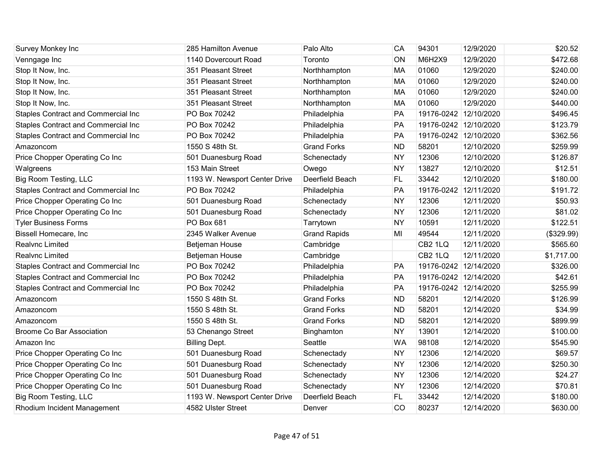| Survey Monkey Inc                          | 285 Hamilton Avenue           | Palo Alto           | CA        | 94301                 | 12/9/2020  | \$20.52    |
|--------------------------------------------|-------------------------------|---------------------|-----------|-----------------------|------------|------------|
| Venngage Inc                               | 1140 Dovercourt Road          | Toronto             | ON        | M6H2X9                | 12/9/2020  | \$472.68   |
| Stop It Now, Inc.                          | 351 Pleasant Street           | Northhampton        | MA        | 01060                 | 12/9/2020  | \$240.00   |
| Stop It Now, Inc.                          | 351 Pleasant Street           | Northhampton        | <b>MA</b> | 01060                 | 12/9/2020  | \$240.00   |
| Stop It Now, Inc.                          | 351 Pleasant Street           | Northhampton        | MA        | 01060                 | 12/9/2020  | \$240.00   |
| Stop It Now, Inc.                          | 351 Pleasant Street           | Northhampton        | MA        | 01060                 | 12/9/2020  | \$440.00   |
| Staples Contract and Commercial Inc        | PO Box 70242                  | Philadelphia        | PA        | 19176-0242 12/10/2020 |            | \$496.45   |
| Staples Contract and Commercial Inc        | PO Box 70242                  | Philadelphia        | PA        | 19176-0242 12/10/2020 |            | \$123.79   |
| Staples Contract and Commercial Inc        | PO Box 70242                  | Philadelphia        | PA        | 19176-0242 12/10/2020 |            | \$362.56   |
| Amazoncom                                  | 1550 S 48th St.               | <b>Grand Forks</b>  | <b>ND</b> | 58201                 | 12/10/2020 | \$259.99   |
| Price Chopper Operating Co Inc             | 501 Duanesburg Road           | Schenectady         | <b>NY</b> | 12306                 | 12/10/2020 | \$126.87   |
| Walgreens                                  | 153 Main Street               | Owego               | <b>NY</b> | 13827                 | 12/10/2020 | \$12.51    |
| Big Room Testing, LLC                      | 1193 W. Newsport Center Drive | Deerfield Beach     | <b>FL</b> | 33442                 | 12/10/2020 | \$180.00   |
| <b>Staples Contract and Commercial Inc</b> | PO Box 70242                  | Philadelphia        | PA        | 19176-0242 12/11/2020 |            | \$191.72   |
| Price Chopper Operating Co Inc             | 501 Duanesburg Road           | Schenectady         | <b>NY</b> | 12306                 | 12/11/2020 | \$50.93    |
| Price Chopper Operating Co Inc             | 501 Duanesburg Road           | Schenectady         | <b>NY</b> | 12306                 | 12/11/2020 | \$81.02    |
| <b>Tyler Business Forms</b>                | PO Box 681                    | Tarrytown           | <b>NY</b> | 10591                 | 12/11/2020 | \$122.51   |
| <b>Bissell Homecare, Inc</b>               | 2345 Walker Avenue            | <b>Grand Rapids</b> | MI        | 49544                 | 12/11/2020 | (\$329.99) |
| Realvnc Limited                            | Betjeman House                | Cambridge           |           | CB <sub>2</sub> 1LQ   | 12/11/2020 | \$565.60   |
| Realvnc Limited                            | Betjeman House                | Cambridge           |           | CB <sub>2</sub> 1LQ   | 12/11/2020 | \$1,717.00 |
| Staples Contract and Commercial Inc        | PO Box 70242                  | Philadelphia        | PA        | 19176-0242 12/14/2020 |            | \$326.00   |
| Staples Contract and Commercial Inc        | PO Box 70242                  | Philadelphia        | PA        | 19176-0242 12/14/2020 |            | \$42.61    |
| <b>Staples Contract and Commercial Inc</b> | PO Box 70242                  | Philadelphia        | <b>PA</b> | 19176-0242 12/14/2020 |            | \$255.99   |
| Amazoncom                                  | 1550 S 48th St.               | <b>Grand Forks</b>  | <b>ND</b> | 58201                 | 12/14/2020 | \$126.99   |
| Amazoncom                                  | 1550 S 48th St.               | <b>Grand Forks</b>  | <b>ND</b> | 58201                 | 12/14/2020 | \$34.99    |
| Amazoncom                                  | 1550 S 48th St.               | <b>Grand Forks</b>  | <b>ND</b> | 58201                 | 12/14/2020 | \$899.99   |
| <b>Broome Co Bar Association</b>           | 53 Chenango Street            | Binghamton          | <b>NY</b> | 13901                 | 12/14/2020 | \$100.00   |
| Amazon Inc                                 | <b>Billing Dept.</b>          | Seattle             | <b>WA</b> | 98108                 | 12/14/2020 | \$545.90   |
| Price Chopper Operating Co Inc             | 501 Duanesburg Road           | Schenectady         | <b>NY</b> | 12306                 | 12/14/2020 | \$69.57    |
| Price Chopper Operating Co Inc             | 501 Duanesburg Road           | Schenectady         | <b>NY</b> | 12306                 | 12/14/2020 | \$250.30   |
| Price Chopper Operating Co Inc             | 501 Duanesburg Road           | Schenectady         | <b>NY</b> | 12306                 | 12/14/2020 | \$24.27    |
| Price Chopper Operating Co Inc             | 501 Duanesburg Road           | Schenectady         | <b>NY</b> | 12306                 | 12/14/2020 | \$70.81    |
| Big Room Testing, LLC                      | 1193 W. Newsport Center Drive | Deerfield Beach     | <b>FL</b> | 33442                 | 12/14/2020 | \$180.00   |
| Rhodium Incident Management                | 4582 Ulster Street            | Denver              | CO        | 80237                 | 12/14/2020 | \$630.00   |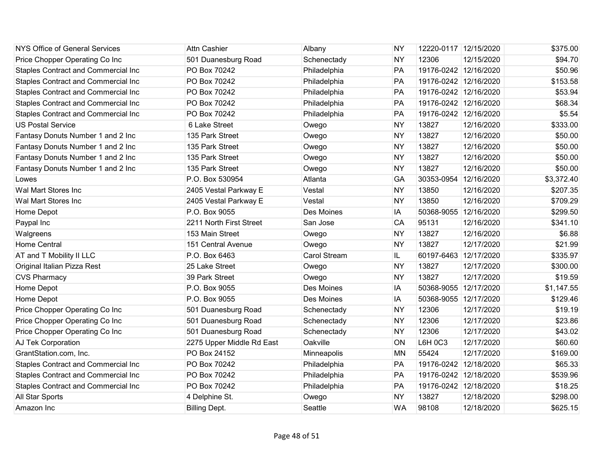| NYS Office of General Services             | <b>Attn Cashier</b>       | Albany              | <b>NY</b> | 12220-0117 12/15/2020 |            | \$375.00   |
|--------------------------------------------|---------------------------|---------------------|-----------|-----------------------|------------|------------|
| Price Chopper Operating Co Inc             | 501 Duanesburg Road       | Schenectady         | <b>NY</b> | 12306                 | 12/15/2020 | \$94.70    |
| Staples Contract and Commercial Inc        | PO Box 70242              | Philadelphia        | PA        | 19176-0242 12/16/2020 |            | \$50.96    |
| <b>Staples Contract and Commercial Inc</b> | PO Box 70242              | Philadelphia        | PA        | 19176-0242 12/16/2020 |            | \$153.58   |
| Staples Contract and Commercial Inc        | PO Box 70242              | Philadelphia        | PA        | 19176-0242 12/16/2020 |            | \$53.94    |
| Staples Contract and Commercial Inc        | PO Box 70242              | Philadelphia        | PA        | 19176-0242 12/16/2020 |            | \$68.34    |
| Staples Contract and Commercial Inc        | PO Box 70242              | Philadelphia        | PA        | 19176-0242 12/16/2020 |            | \$5.54     |
| <b>US Postal Service</b>                   | 6 Lake Street             | Owego               | <b>NY</b> | 13827                 | 12/16/2020 | \$333.00   |
| Fantasy Donuts Number 1 and 2 Inc          | 135 Park Street           | Owego               | <b>NY</b> | 13827                 | 12/16/2020 | \$50.00    |
| Fantasy Donuts Number 1 and 2 Inc          | 135 Park Street           | Owego               | <b>NY</b> | 13827                 | 12/16/2020 | \$50.00    |
| Fantasy Donuts Number 1 and 2 Inc          | 135 Park Street           | Owego               | <b>NY</b> | 13827                 | 12/16/2020 | \$50.00    |
| Fantasy Donuts Number 1 and 2 Inc          | 135 Park Street           | Owego               | <b>NY</b> | 13827                 | 12/16/2020 | \$50.00    |
| Lowes                                      | P.O. Box 530954           | Atlanta             | GA        | 30353-0954            | 12/16/2020 | \$3,372.40 |
| Wal Mart Stores Inc                        | 2405 Vestal Parkway E     | Vestal              | <b>NY</b> | 13850                 | 12/16/2020 | \$207.35   |
| Wal Mart Stores Inc                        | 2405 Vestal Parkway E     | Vestal              | <b>NY</b> | 13850                 | 12/16/2020 | \$709.29   |
| Home Depot                                 | P.O. Box 9055             | Des Moines          | IA        | 50368-9055 12/16/2020 |            | \$299.50   |
| Paypal Inc                                 | 2211 North First Street   | San Jose            | CA        | 95131                 | 12/16/2020 | \$341.10   |
| Walgreens                                  | 153 Main Street           | Owego               | <b>NY</b> | 13827                 | 12/16/2020 | \$6.88     |
| <b>Home Central</b>                        | 151 Central Avenue        | Owego               | <b>NY</b> | 13827                 | 12/17/2020 | \$21.99    |
| AT and T Mobility II LLC                   | P.O. Box 6463             | <b>Carol Stream</b> | IL.       | 60197-6463 12/17/2020 |            | \$335.97   |
| Original Italian Pizza Rest                | 25 Lake Street            | Owego               | <b>NY</b> | 13827                 | 12/17/2020 | \$300.00   |
| <b>CVS Pharmacy</b>                        | 39 Park Street            | Owego               | <b>NY</b> | 13827                 | 12/17/2020 | \$19.59    |
| Home Depot                                 | P.O. Box 9055             | Des Moines          | IA        | 50368-9055 12/17/2020 |            | \$1,147.55 |
| Home Depot                                 | P.O. Box 9055             | Des Moines          | IA        | 50368-9055 12/17/2020 |            | \$129.46   |
| Price Chopper Operating Co Inc             | 501 Duanesburg Road       | Schenectady         | <b>NY</b> | 12306                 | 12/17/2020 | \$19.19    |
| Price Chopper Operating Co Inc             | 501 Duanesburg Road       | Schenectady         | <b>NY</b> | 12306                 | 12/17/2020 | \$23.86    |
| Price Chopper Operating Co Inc             | 501 Duanesburg Road       | Schenectady         | <b>NY</b> | 12306                 | 12/17/2020 | \$43.02    |
| AJ Tek Corporation                         | 2275 Upper Middle Rd East | Oakville            | ON        | L6H 0C3               | 12/17/2020 | \$60.60    |
| GrantStation.com, Inc.                     | PO Box 24152              | Minneapolis         | <b>MN</b> | 55424                 | 12/17/2020 | \$169.00   |
| Staples Contract and Commercial Inc        | PO Box 70242              | Philadelphia        | PA        | 19176-0242 12/18/2020 |            | \$65.33    |
| Staples Contract and Commercial Inc        | PO Box 70242              | Philadelphia        | PA        | 19176-0242 12/18/2020 |            | \$539.96   |
| Staples Contract and Commercial Inc        | PO Box 70242              | Philadelphia        | PA        | 19176-0242 12/18/2020 |            | \$18.25    |
| All Star Sports                            | 4 Delphine St.            | Owego               | <b>NY</b> | 13827                 | 12/18/2020 | \$298.00   |
| Amazon Inc                                 | <b>Billing Dept.</b>      | Seattle             | <b>WA</b> | 98108                 | 12/18/2020 | \$625.15   |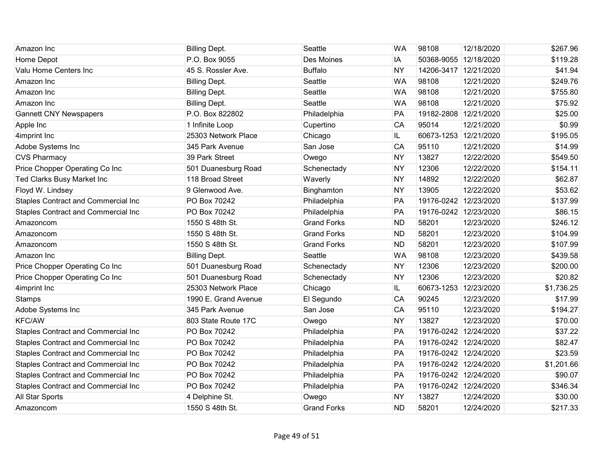| Amazon Inc                                 | <b>Billing Dept.</b> | Seattle            | <b>WA</b> | 98108                 | 12/18/2020 | \$267.96   |
|--------------------------------------------|----------------------|--------------------|-----------|-----------------------|------------|------------|
| Home Depot                                 | P.O. Box 9055        | Des Moines         | IA        | 50368-9055 12/18/2020 |            | \$119.28   |
| Valu Home Centers Inc                      | 45 S. Rossler Ave.   | <b>Buffalo</b>     | <b>NY</b> | 14206-3417 12/21/2020 |            | \$41.94    |
| Amazon Inc                                 | <b>Billing Dept.</b> | Seattle            | <b>WA</b> | 98108                 | 12/21/2020 | \$249.76   |
| Amazon Inc                                 | <b>Billing Dept.</b> | Seattle            | <b>WA</b> | 98108                 | 12/21/2020 | \$755.80   |
| Amazon Inc                                 | <b>Billing Dept.</b> | Seattle            | <b>WA</b> | 98108                 | 12/21/2020 | \$75.92    |
| <b>Gannett CNY Newspapers</b>              | P.O. Box 822802      | Philadelphia       | PA        | 19182-2808            | 12/21/2020 | \$25.00    |
| Apple Inc                                  | 1 Infinite Loop      | Cupertino          | CA        | 95014                 | 12/21/2020 | \$0.99     |
| 4imprint Inc                               | 25303 Network Place  | Chicago            | IL.       | 60673-1253 12/21/2020 |            | \$195.05   |
| Adobe Systems Inc                          | 345 Park Avenue      | San Jose           | CA        | 95110                 | 12/21/2020 | \$14.99    |
| <b>CVS Pharmacy</b>                        | 39 Park Street       | Owego              | <b>NY</b> | 13827                 | 12/22/2020 | \$549.50   |
| Price Chopper Operating Co Inc             | 501 Duanesburg Road  | Schenectady        | <b>NY</b> | 12306                 | 12/22/2020 | \$154.11   |
| Ted Clarks Busy Market Inc                 | 118 Broad Street     | Waverly            | <b>NY</b> | 14892                 | 12/22/2020 | \$62.87    |
| Floyd W. Lindsey                           | 9 Glenwood Ave.      | Binghamton         | <b>NY</b> | 13905                 | 12/22/2020 | \$53.62    |
| Staples Contract and Commercial Inc        | PO Box 70242         | Philadelphia       | <b>PA</b> | 19176-0242 12/23/2020 |            | \$137.99   |
| Staples Contract and Commercial Inc        | PO Box 70242         | Philadelphia       | PA        | 19176-0242 12/23/2020 |            | \$86.15    |
| Amazoncom                                  | 1550 S 48th St.      | <b>Grand Forks</b> | <b>ND</b> | 58201                 | 12/23/2020 | \$246.12   |
| Amazoncom                                  | 1550 S 48th St.      | <b>Grand Forks</b> | <b>ND</b> | 58201                 | 12/23/2020 | \$104.99   |
| Amazoncom                                  | 1550 S 48th St.      | <b>Grand Forks</b> | <b>ND</b> | 58201                 | 12/23/2020 | \$107.99   |
| Amazon Inc                                 | <b>Billing Dept.</b> | Seattle            | <b>WA</b> | 98108                 | 12/23/2020 | \$439.58   |
| Price Chopper Operating Co Inc             | 501 Duanesburg Road  | Schenectady        | <b>NY</b> | 12306                 | 12/23/2020 | \$200.00   |
| Price Chopper Operating Co Inc             | 501 Duanesburg Road  | Schenectady        | <b>NY</b> | 12306                 | 12/23/2020 | \$20.82    |
| 4imprint Inc                               | 25303 Network Place  | Chicago            | IL.       | 60673-1253            | 12/23/2020 | \$1,736.25 |
| <b>Stamps</b>                              | 1990 E. Grand Avenue | El Segundo         | CA        | 90245                 | 12/23/2020 | \$17.99    |
| Adobe Systems Inc                          | 345 Park Avenue      | San Jose           | CA        | 95110                 | 12/23/2020 | \$194.27   |
| <b>KFC/AW</b>                              | 803 State Route 17C  | Owego              | <b>NY</b> | 13827                 | 12/23/2020 | \$70.00    |
| <b>Staples Contract and Commercial Inc</b> | PO Box 70242         | Philadelphia       | PA        | 19176-0242 12/24/2020 |            | \$37.22    |
| Staples Contract and Commercial Inc        | PO Box 70242         | Philadelphia       | PA        | 19176-0242 12/24/2020 |            | \$82.47    |
| <b>Staples Contract and Commercial Inc</b> | PO Box 70242         | Philadelphia       | PA        | 19176-0242 12/24/2020 |            | \$23.59    |
| Staples Contract and Commercial Inc        | PO Box 70242         | Philadelphia       | PA        | 19176-0242 12/24/2020 |            | \$1,201.66 |
| Staples Contract and Commercial Inc        | PO Box 70242         | Philadelphia       | PA        | 19176-0242 12/24/2020 |            | \$90.07    |
| Staples Contract and Commercial Inc        | PO Box 70242         | Philadelphia       | PA        | 19176-0242 12/24/2020 |            | \$346.34   |
| All Star Sports                            | 4 Delphine St.       | Owego              | <b>NY</b> | 13827                 | 12/24/2020 | \$30.00    |
| Amazoncom                                  | 1550 S 48th St.      | <b>Grand Forks</b> | <b>ND</b> | 58201                 | 12/24/2020 | \$217.33   |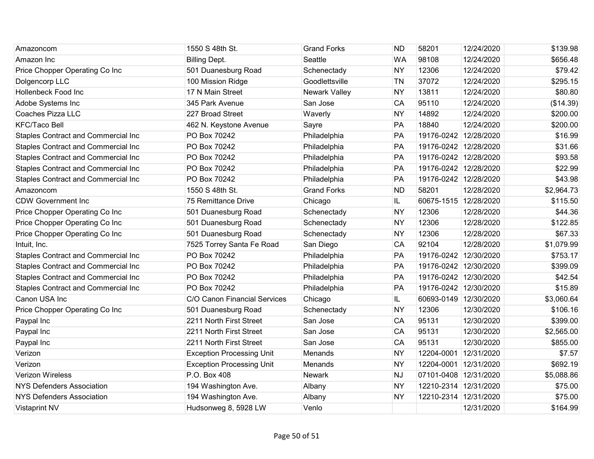| Amazoncom                                  | 1550 S 48th St.                  | <b>Grand Forks</b> | <b>ND</b> | 58201                 | 12/24/2020 | \$139.98   |
|--------------------------------------------|----------------------------------|--------------------|-----------|-----------------------|------------|------------|
| Amazon Inc                                 | <b>Billing Dept.</b>             | Seattle            | <b>WA</b> | 98108                 | 12/24/2020 | \$656.48   |
| Price Chopper Operating Co Inc             | 501 Duanesburg Road              | Schenectady        | <b>NY</b> | 12306                 | 12/24/2020 | \$79.42    |
| Dolgencorp LLC                             | 100 Mission Ridge                | Goodlettsville     | <b>TN</b> | 37072                 | 12/24/2020 | \$295.15   |
| Hollenbeck Food Inc                        | 17 N Main Street                 | Newark Valley      | <b>NY</b> | 13811                 | 12/24/2020 | \$80.80    |
| Adobe Systems Inc                          | 345 Park Avenue                  | San Jose           | CA        | 95110                 | 12/24/2020 | (\$14.39)  |
| Coaches Pizza LLC                          | 227 Broad Street                 | Waverly            | <b>NY</b> | 14892                 | 12/24/2020 | \$200.00   |
| <b>KFC/Taco Bell</b>                       | 462 N. Keystone Avenue           | Sayre              | PA        | 18840                 | 12/24/2020 | \$200.00   |
| <b>Staples Contract and Commercial Inc</b> | PO Box 70242                     | Philadelphia       | PA        | 19176-0242 12/28/2020 |            | \$16.99    |
| <b>Staples Contract and Commercial Inc</b> | PO Box 70242                     | Philadelphia       | PA        | 19176-0242 12/28/2020 |            | \$31.66    |
| <b>Staples Contract and Commercial Inc</b> | PO Box 70242                     | Philadelphia       | PA        | 19176-0242 12/28/2020 |            | \$93.58    |
| Staples Contract and Commercial Inc        | PO Box 70242                     | Philadelphia       | PA        | 19176-0242 12/28/2020 |            | \$22.99    |
| Staples Contract and Commercial Inc        | PO Box 70242                     | Philadelphia       | PA        | 19176-0242 12/28/2020 |            | \$43.98    |
| Amazoncom                                  | 1550 S 48th St.                  | <b>Grand Forks</b> | <b>ND</b> | 58201                 | 12/28/2020 | \$2,964.73 |
| <b>CDW Government Inc</b>                  | 75 Remittance Drive              | Chicago            | IL.       | 60675-1515 12/28/2020 |            | \$115.50   |
| Price Chopper Operating Co Inc             | 501 Duanesburg Road              | Schenectady        | <b>NY</b> | 12306                 | 12/28/2020 | \$44.36    |
| Price Chopper Operating Co Inc             | 501 Duanesburg Road              | Schenectady        | <b>NY</b> | 12306                 | 12/28/2020 | \$122.85   |
| Price Chopper Operating Co Inc             | 501 Duanesburg Road              | Schenectady        | <b>NY</b> | 12306                 | 12/28/2020 | \$67.33    |
| Intuit, Inc.                               | 7525 Torrey Santa Fe Road        | San Diego          | CA        | 92104                 | 12/28/2020 | \$1,079.99 |
| <b>Staples Contract and Commercial Inc</b> | PO Box 70242                     | Philadelphia       | PA        | 19176-0242 12/30/2020 |            | \$753.17   |
| <b>Staples Contract and Commercial Inc</b> | PO Box 70242                     | Philadelphia       | PA        | 19176-0242 12/30/2020 |            | \$399.09   |
| <b>Staples Contract and Commercial Inc</b> | PO Box 70242                     | Philadelphia       | PA        | 19176-0242 12/30/2020 |            | \$42.54    |
| Staples Contract and Commercial Inc        | PO Box 70242                     | Philadelphia       | PA        | 19176-0242 12/30/2020 |            | \$15.89    |
| Canon USA Inc                              | C/O Canon Financial Services     | Chicago            | IL.       | 60693-0149 12/30/2020 |            | \$3,060.64 |
| Price Chopper Operating Co Inc             | 501 Duanesburg Road              | Schenectady        | <b>NY</b> | 12306                 | 12/30/2020 | \$106.16   |
| Paypal Inc                                 | 2211 North First Street          | San Jose           | CA        | 95131                 | 12/30/2020 | \$399.00   |
| Paypal Inc                                 | 2211 North First Street          | San Jose           | <b>CA</b> | 95131                 | 12/30/2020 | \$2,565.00 |
| Paypal Inc                                 | 2211 North First Street          | San Jose           | CA        | 95131                 | 12/30/2020 | \$855.00   |
| Verizon                                    | <b>Exception Processing Unit</b> | Menands            | <b>NY</b> | 12204-0001 12/31/2020 |            | \$7.57     |
| Verizon                                    | <b>Exception Processing Unit</b> | Menands            | <b>NY</b> | 12204-0001 12/31/2020 |            | \$692.19   |
| <b>Verizon Wireless</b>                    | P.O. Box 408                     | <b>Newark</b>      | <b>NJ</b> | 07101-0408 12/31/2020 |            | \$5,088.86 |
| <b>NYS Defenders Association</b>           | 194 Washington Ave.              | Albany             | <b>NY</b> | 12210-2314 12/31/2020 |            | \$75.00    |
| <b>NYS Defenders Association</b>           | 194 Washington Ave.              | Albany             | <b>NY</b> | 12210-2314 12/31/2020 |            | \$75.00    |
| <b>Vistaprint NV</b>                       | Hudsonweg 8, 5928 LW             | Venlo              |           |                       | 12/31/2020 | \$164.99   |